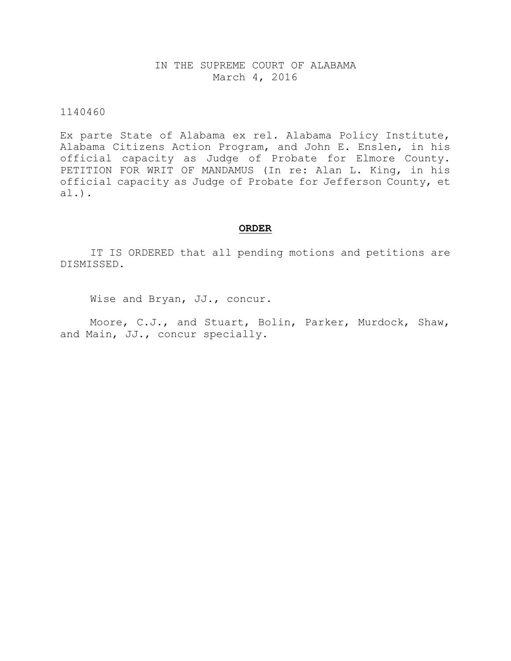# IN THE SUPREME COURT OF ALABAMA March 4, 2016

# 1140460

Ex parte State of Alabama ex rel. Alabama Policy Institute, Alabama Citizens Action Program, and John E. Enslen, in his official capacity as Judge of Probate for Elmore County. PETITION FOR WRIT OF MANDAMUS (In re: Alan L. King, in his official capacity as Judge of Probate for Jefferson County, et al.).

#### **ORDER**

IT IS ORDERED that all pending motions and petitions are DISMISSED.

Wise and Bryan, JJ., concur.

Moore, C.J., and Stuart, Bolin, Parker, Murdock, Shaw, and Main, JJ., concur specially.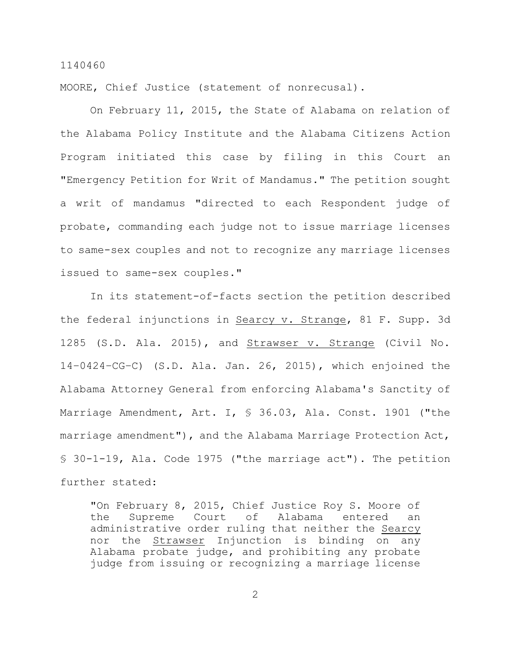MOORE, Chief Justice (statement of nonrecusal).

On February 11, 2015, the State of Alabama on relation of the Alabama Policy Institute and the Alabama Citizens Action Program initiated this case by filing in this Court an "Emergency Petition for Writ of Mandamus." The petition sought a writ of mandamus "directed to each Respondent judge of probate, commanding each judge not to issue marriage licenses to same-sex couples and not to recognize any marriage licenses issued to same-sex couples."

In its statement-of-facts section the petition described the federal injunctions in Searcy v. Strange, 81 F. Supp. 3d 1285 (S.D. Ala. 2015), and Strawser v. Strange (Civil No. 14–0424–CG–C) (S.D. Ala. Jan. 26, 2015), which enjoined the Alabama Attorney General from enforcing Alabama's Sanctity of Marriage Amendment, Art. I, § 36.03, Ala. Const. 1901 ("the marriage amendment"), and the Alabama Marriage Protection Act, § 30-1-19, Ala. Code 1975 ("the marriage act"). The petition further stated:

"On February 8, 2015, Chief Justice Roy S. Moore of the Supreme Court of Alabama entered an administrative order ruling that neither the Searcy nor the Strawser Injunction is binding on any Alabama probate judge, and prohibiting any probate judge from issuing or recognizing a marriage license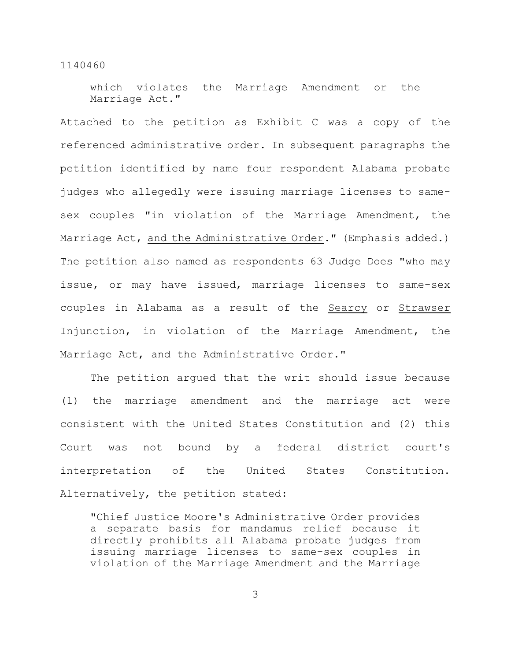which violates the Marriage Amendment or the Marriage Act."

Attached to the petition as Exhibit C was a copy of the referenced administrative order. In subsequent paragraphs the petition identified by name four respondent Alabama probate judges who allegedly were issuing marriage licenses to samesex couples "in violation of the Marriage Amendment, the Marriage Act, and the Administrative Order." (Emphasis added.) The petition also named as respondents 63 Judge Does "who may issue, or may have issued, marriage licenses to same-sex couples in Alabama as a result of the Searcy or Strawser Injunction, in violation of the Marriage Amendment, the Marriage Act, and the Administrative Order."

The petition argued that the writ should issue because (1) the marriage amendment and the marriage act were consistent with the United States Constitution and (2) this Court was not bound by a federal district court's interpretation of the United States Constitution. Alternatively, the petition stated:

"Chief Justice Moore's Administrative Order provides a separate basis for mandamus relief because it directly prohibits all Alabama probate judges from issuing marriage licenses to same-sex couples in violation of the Marriage Amendment and the Marriage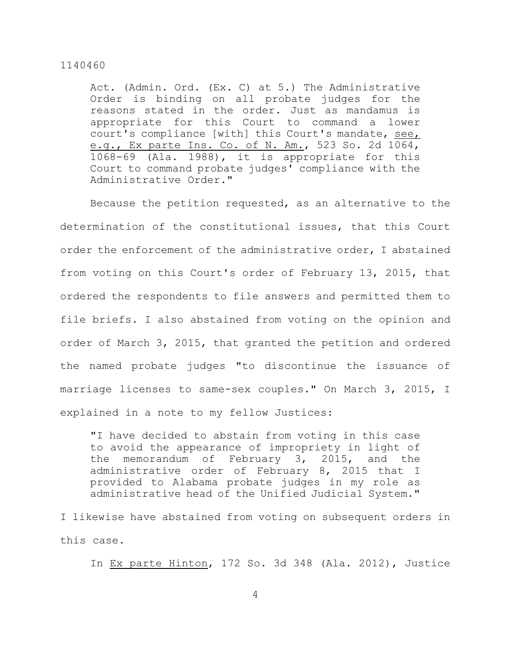Act. (Admin. Ord. (Ex. C) at 5.) The Administrative Order is binding on all probate judges for the reasons stated in the order. Just as mandamus is appropriate for this Court to command a lower court's compliance [with] this Court's mandate, see, e.g., Ex parte Ins. Co. of N. Am., 523 So. 2d 1064, 1068-69 (Ala. 1988), it is appropriate for this Court to command probate judges' compliance with the Administrative Order."

Because the petition requested, as an alternative to the determination of the constitutional issues, that this Court order the enforcement of the administrative order, I abstained from voting on this Court's order of February 13, 2015, that ordered the respondents to file answers and permitted them to file briefs. I also abstained from voting on the opinion and order of March 3, 2015, that granted the petition and ordered the named probate judges "to discontinue the issuance of marriage licenses to same-sex couples." On March 3, 2015, I explained in a note to my fellow Justices:

"I have decided to abstain from voting in this case to avoid the appearance of impropriety in light of the memorandum of February 3, 2015, and the administrative order of February 8, 2015 that I provided to Alabama probate judges in my role as administrative head of the Unified Judicial System."

I likewise have abstained from voting on subsequent orders in this case.

In Ex parte Hinton, 172 So. 3d 348 (Ala. 2012), Justice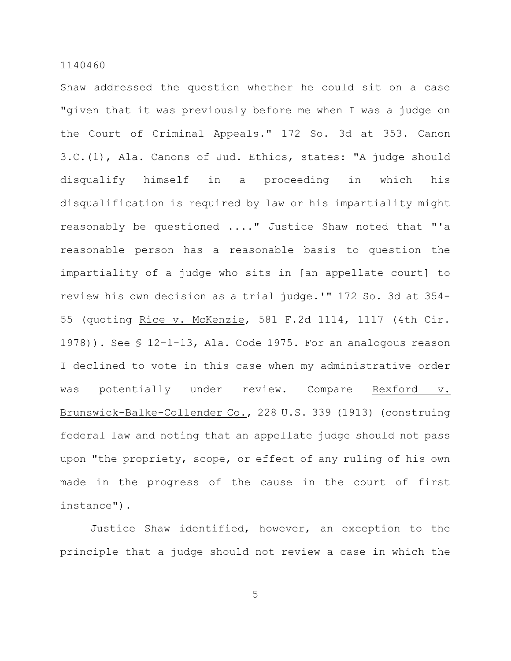Shaw addressed the question whether he could sit on a case "given that it was previously before me when I was a judge on the Court of Criminal Appeals." 172 So. 3d at 353. Canon 3.C.(1), Ala. Canons of Jud. Ethics, states: "A judge should disqualify himself in a proceeding in which his disqualification is required by law or his impartiality might reasonably be questioned ...." Justice Shaw noted that "'a reasonable person has a reasonable basis to question the impartiality of a judge who sits in [an appellate court] to review his own decision as a trial judge.'" 172 So. 3d at 354- 55 (quoting Rice v. McKenzie, 581 F.2d 1114, 1117 (4th Cir. 1978)). See § 12-1-13, Ala. Code 1975. For an analogous reason I declined to vote in this case when my administrative order was potentially under review. Compare Rexford v. Brunswick-Balke-Collender Co., 228 U.S. 339 (1913) (construing federal law and noting that an appellate judge should not pass upon "the propriety, scope, or effect of any ruling of his own made in the progress of the cause in the court of first instance").

Justice Shaw identified, however, an exception to the principle that a judge should not review a case in which the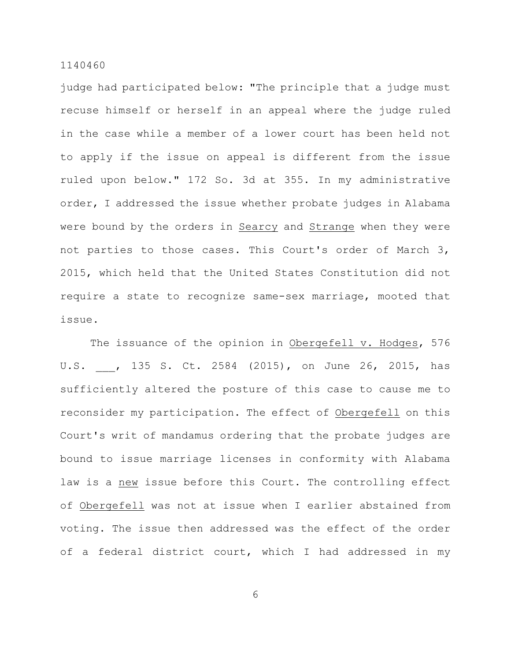judge had participated below: "The principle that a judge must recuse himself or herself in an appeal where the judge ruled in the case while a member of a lower court has been held not to apply if the issue on appeal is different from the issue ruled upon below." 172 So. 3d at 355. In my administrative order, I addressed the issue whether probate judges in Alabama were bound by the orders in Searcy and Strange when they were not parties to those cases. This Court's order of March 3, 2015, which held that the United States Constitution did not require a state to recognize same-sex marriage, mooted that issue.

The issuance of the opinion in Obergefell v. Hodges, 576 U.S. , 135 S. Ct. 2584 (2015), on June 26, 2015, has sufficiently altered the posture of this case to cause me to reconsider my participation. The effect of Obergefell on this Court's writ of mandamus ordering that the probate judges are bound to issue marriage licenses in conformity with Alabama law is a new issue before this Court. The controlling effect of Obergefell was not at issue when I earlier abstained from voting. The issue then addressed was the effect of the order of a federal district court, which I had addressed in my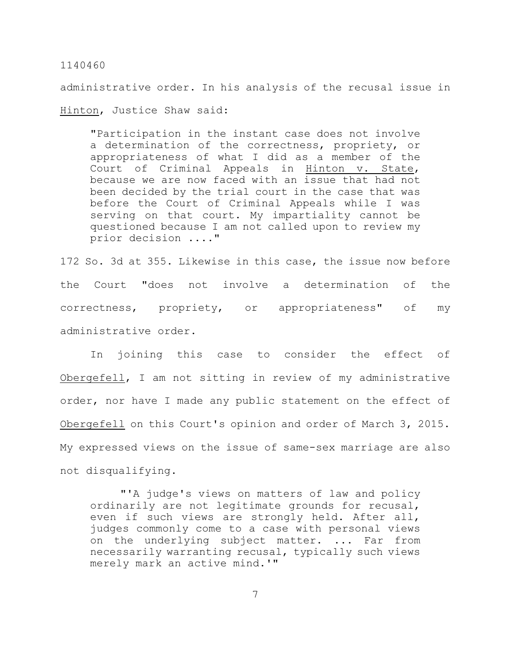administrative order. In his analysis of the recusal issue in Hinton, Justice Shaw said:

"Participation in the instant case does not involve a determination of the correctness, propriety, or appropriateness of what I did as a member of the Court of Criminal Appeals in Hinton v. State, because we are now faced with an issue that had not been decided by the trial court in the case that was before the Court of Criminal Appeals while I was serving on that court. My impartiality cannot be questioned because I am not called upon to review my prior decision ...."

172 So. 3d at 355. Likewise in this case, the issue now before the Court "does not involve a determination of the correctness, propriety, or appropriateness" of my administrative order.

In joining this case to consider the effect of Obergefell, I am not sitting in review of my administrative order, nor have I made any public statement on the effect of Obergefell on this Court's opinion and order of March 3, 2015. My expressed views on the issue of same-sex marriage are also not disqualifying.

"'A judge's views on matters of law and policy ordinarily are not legitimate grounds for recusal, even if such views are strongly held. After all, judges commonly come to a case with personal views on the underlying subject matter. ... Far from necessarily warranting recusal, typically such views merely mark an active mind.'"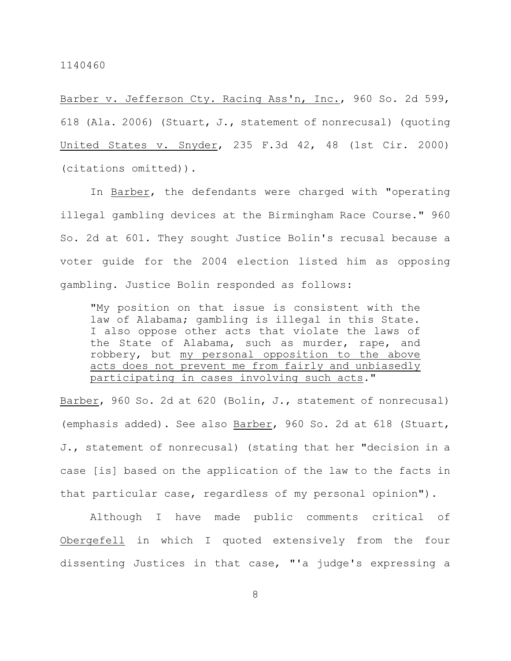Barber v. Jefferson Cty. Racing Ass'n, Inc., 960 So. 2d 599, 618 (Ala. 2006) (Stuart, J., statement of nonrecusal) (quoting United States v. Snyder, 235 F.3d 42, 48 (1st Cir. 2000) (citations omitted)).

In Barber, the defendants were charged with "operating illegal gambling devices at the Birmingham Race Course." 960 So. 2d at 601. They sought Justice Bolin's recusal because a voter guide for the 2004 election listed him as opposing gambling. Justice Bolin responded as follows:

"My position on that issue is consistent with the law of Alabama; gambling is illegal in this State. I also oppose other acts that violate the laws of the State of Alabama, such as murder, rape, and robbery, but my personal opposition to the above acts does not prevent me from fairly and unbiasedly participating in cases involving such acts."

Barber, 960 So. 2d at 620 (Bolin, J., statement of nonrecusal) (emphasis added). See also Barber, 960 So. 2d at 618 (Stuart, J., statement of nonrecusal) (stating that her "decision in a case [is] based on the application of the law to the facts in that particular case, regardless of my personal opinion").

Although I have made public comments critical of Obergefell in which I quoted extensively from the four dissenting Justices in that case, "'a judge's expressing a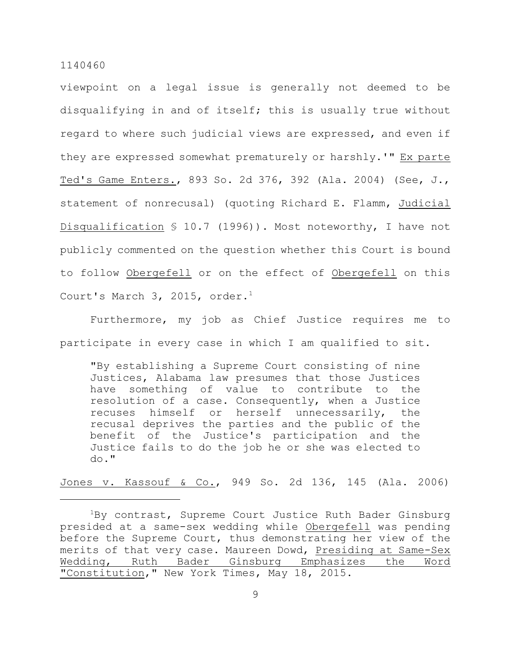viewpoint on a legal issue is generally not deemed to be disqualifying in and of itself; this is usually true without regard to where such judicial views are expressed, and even if they are expressed somewhat prematurely or harshly.'" Ex parte Ted's Game Enters., 893 So. 2d 376, 392 (Ala. 2004) (See, J., statement of nonrecusal) (quoting Richard E. Flamm, Judicial Disqualification § 10.7 (1996)). Most noteworthy, I have not publicly commented on the question whether this Court is bound to follow Obergefell or on the effect of Obergefell on this Court's March 3, 2015, order. $1$ 

Furthermore, my job as Chief Justice requires me to participate in every case in which I am qualified to sit.

"By establishing a Supreme Court consisting of nine Justices, Alabama law presumes that those Justices have something of value to contribute to the resolution of a case. Consequently, when a Justice recuses himself or herself unnecessarily, the recusal deprives the parties and the public of the benefit of the Justice's participation and the Justice fails to do the job he or she was elected to do."

Jones v. Kassouf & Co., 949 So. 2d 136, 145 (Ala. 2006)

 ${}^{1}$ By contrast, Supreme Court Justice Ruth Bader Ginsburg presided at a same-sex wedding while Obergefell was pending before the Supreme Court, thus demonstrating her view of the merits of that very case. Maureen Dowd, Presiding at Same-Sex Wedding, Ruth Bader Ginsburg Emphasizes the Word "Constitution," New York Times, May 18, 2015.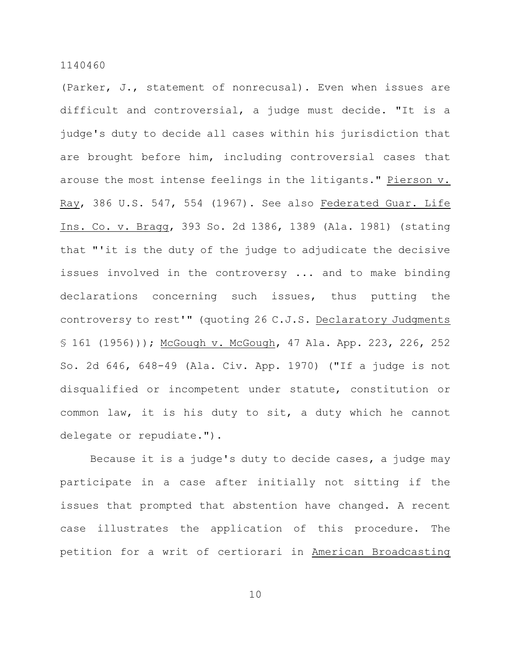(Parker, J., statement of nonrecusal). Even when issues are difficult and controversial, a judge must decide. "It is a judge's duty to decide all cases within his jurisdiction that are brought before him, including controversial cases that arouse the most intense feelings in the litigants." Pierson v. Ray, 386 U.S. 547, 554 (1967). See also Federated Guar. Life Ins. Co. v. Bragg, 393 So. 2d 1386, 1389 (Ala. 1981) (stating that "'it is the duty of the judge to adjudicate the decisive issues involved in the controversy ... and to make binding declarations concerning such issues, thus putting the controversy to rest'" (quoting 26 C.J.S. Declaratory Judgments § 161 (1956))); McGough v. McGough, 47 Ala. App. 223, 226, 252 So. 2d 646, 648-49 (Ala. Civ. App. 1970) ("If a judge is not disqualified or incompetent under statute, constitution or common law, it is his duty to sit, a duty which he cannot delegate or repudiate.").

Because it is a judge's duty to decide cases, a judge may participate in a case after initially not sitting if the issues that prompted that abstention have changed. A recent case illustrates the application of this procedure. The petition for a writ of certiorari in American Broadcasting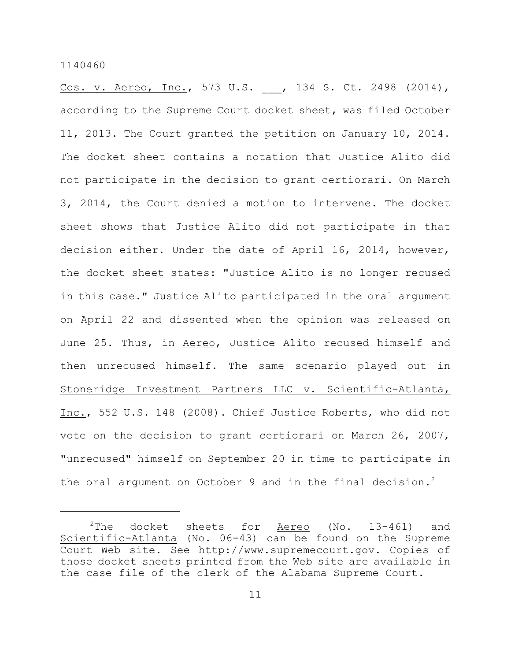Cos. v. Aereo, Inc., 573 U.S. , 134 S. Ct. 2498 (2014), according to the Supreme Court docket sheet, was filed October 11, 2013. The Court granted the petition on January 10, 2014. The docket sheet contains a notation that Justice Alito did not participate in the decision to grant certiorari. On March 3, 2014, the Court denied a motion to intervene. The docket sheet shows that Justice Alito did not participate in that decision either. Under the date of April 16, 2014, however, the docket sheet states: "Justice Alito is no longer recused in this case." Justice Alito participated in the oral argument on April 22 and dissented when the opinion was released on June 25. Thus, in Aereo, Justice Alito recused himself and then unrecused himself. The same scenario played out in Stoneridge Investment Partners LLC v. Scientific-Atlanta, Inc., 552 U.S. 148 (2008). Chief Justice Roberts, who did not vote on the decision to grant certiorari on March 26, 2007, "unrecused" himself on September 20 in time to participate in the oral argument on October 9 and in the final decision.<sup>2</sup>

 $2$ The docket sheets for Aereo (No. 13-461) and Scientific-Atlanta (No. 06-43) can be found on the Supreme Court Web site. See http://www.supremecourt.gov. Copies of those docket sheets printed from the Web site are available in the case file of the clerk of the Alabama Supreme Court.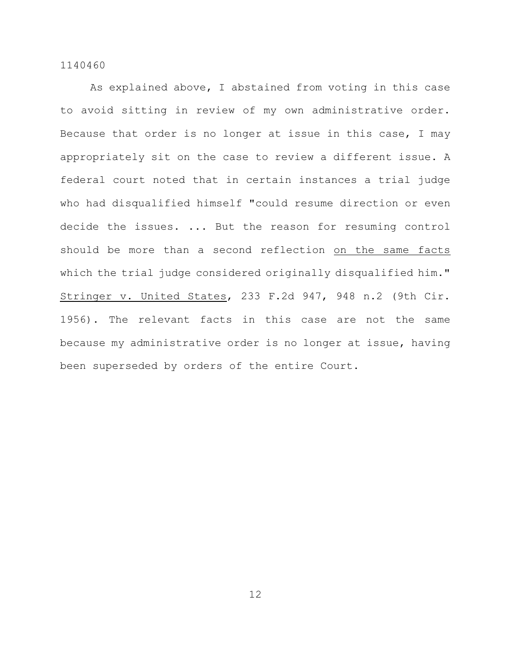As explained above, I abstained from voting in this case to avoid sitting in review of my own administrative order. Because that order is no longer at issue in this case, I may appropriately sit on the case to review a different issue. A federal court noted that in certain instances a trial judge who had disqualified himself "could resume direction or even decide the issues. ... But the reason for resuming control should be more than a second reflection on the same facts which the trial judge considered originally disqualified him." Stringer v. United States, 233 F.2d 947, 948 n.2 (9th Cir. 1956). The relevant facts in this case are not the same because my administrative order is no longer at issue, having been superseded by orders of the entire Court.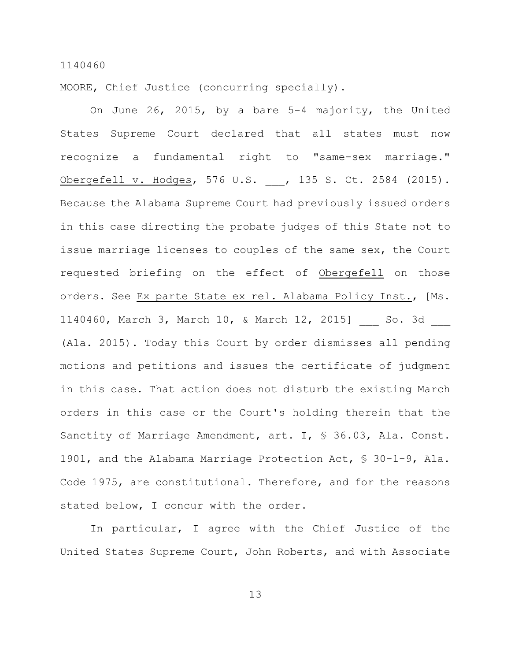MOORE, Chief Justice (concurring specially).

On June 26, 2015, by a bare 5-4 majority, the United States Supreme Court declared that all states must now recognize a fundamental right to "same-sex marriage." Obergefell v. Hodges, 576 U.S. , 135 S. Ct. 2584 (2015). Because the Alabama Supreme Court had previously issued orders in this case directing the probate judges of this State not to issue marriage licenses to couples of the same sex, the Court requested briefing on the effect of Obergefell on those orders. See Ex parte State ex rel. Alabama Policy Inst., [Ms. 1140460, March 3, March 10, & March 12, 2015] So. 3d (Ala. 2015). Today this Court by order dismisses all pending motions and petitions and issues the certificate of judgment in this case. That action does not disturb the existing March orders in this case or the Court's holding therein that the Sanctity of Marriage Amendment, art. I, § 36.03, Ala. Const. 1901, and the Alabama Marriage Protection Act, § 30-1-9, Ala. Code 1975, are constitutional. Therefore, and for the reasons stated below, I concur with the order.

In particular, I agree with the Chief Justice of the United States Supreme Court, John Roberts, and with Associate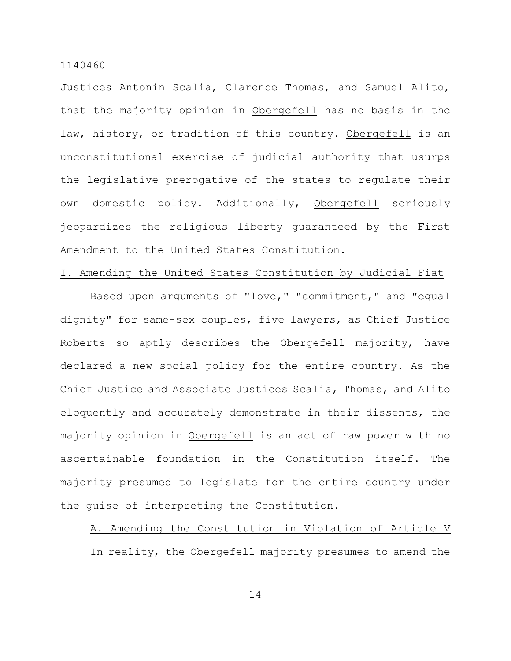Justices Antonin Scalia, Clarence Thomas, and Samuel Alito, that the majority opinion in Obergefell has no basis in the law, history, or tradition of this country. Obergefell is an unconstitutional exercise of judicial authority that usurps the legislative prerogative of the states to regulate their own domestic policy. Additionally, Obergefell seriously jeopardizes the religious liberty guaranteed by the First Amendment to the United States Constitution.

# I. Amending the United States Constitution by Judicial Fiat

Based upon arguments of "love," "commitment," and "equal dignity" for same-sex couples, five lawyers, as Chief Justice Roberts so aptly describes the Obergefell majority, have declared a new social policy for the entire country. As the Chief Justice and Associate Justices Scalia, Thomas, and Alito eloquently and accurately demonstrate in their dissents, the majority opinion in Obergefell is an act of raw power with no ascertainable foundation in the Constitution itself. The majority presumed to legislate for the entire country under the guise of interpreting the Constitution.

A. Amending the Constitution in Violation of Article V In reality, the Obergefell majority presumes to amend the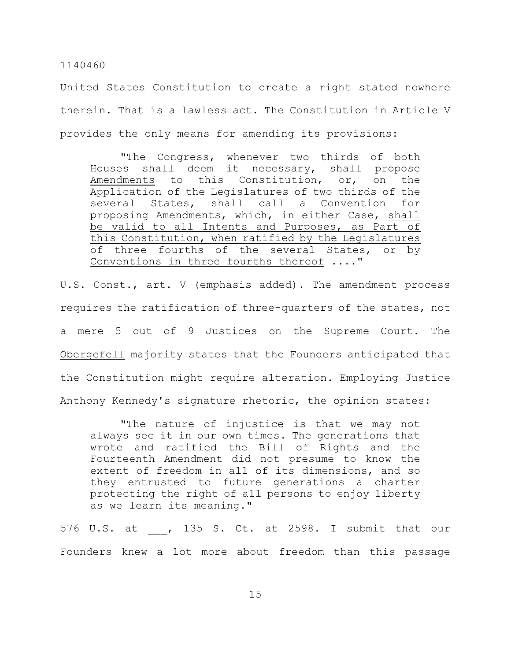United States Constitution to create a right stated nowhere therein. That is a lawless act. The Constitution in Article V provides the only means for amending its provisions:

"The Congress, whenever two thirds of both Houses shall deem it necessary, shall propose Amendments to this Constitution, or, on the Application of the Legislatures of two thirds of the several States, shall call a Convention for proposing Amendments, which, in either Case, shall be valid to all Intents and Purposes, as Part of this Constitution, when ratified by the Legislatures of three fourths of the several States, or by Conventions in three fourths thereof ...."

U.S. Const., art. V (emphasis added). The amendment process requires the ratification of three-quarters of the states, not a mere 5 out of 9 Justices on the Supreme Court. The Obergefell majority states that the Founders anticipated that the Constitution might require alteration. Employing Justice Anthony Kennedy's signature rhetoric, the opinion states:

"The nature of injustice is that we may not always see it in our own times. The generations that wrote and ratified the Bill of Rights and the Fourteenth Amendment did not presume to know the extent of freedom in all of its dimensions, and so they entrusted to future generations a charter protecting the right of all persons to enjoy liberty as we learn its meaning."

576 U.S. at \_\_\_, 135 S. Ct. at 2598. I submit that our Founders knew a lot more about freedom than this passage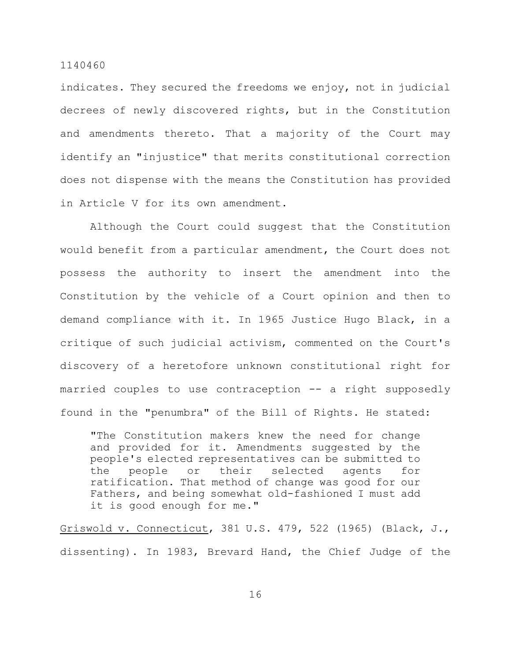indicates. They secured the freedoms we enjoy, not in judicial decrees of newly discovered rights, but in the Constitution and amendments thereto. That a majority of the Court may identify an "injustice" that merits constitutional correction does not dispense with the means the Constitution has provided in Article V for its own amendment.

Although the Court could suggest that the Constitution would benefit from a particular amendment, the Court does not possess the authority to insert the amendment into the Constitution by the vehicle of a Court opinion and then to demand compliance with it. In 1965 Justice Hugo Black, in a critique of such judicial activism, commented on the Court's discovery of a heretofore unknown constitutional right for married couples to use contraception -- a right supposedly found in the "penumbra" of the Bill of Rights. He stated:

"The Constitution makers knew the need for change and provided for it. Amendments suggested by the people's elected representatives can be submitted to the people or their selected agents for ratification. That method of change was good for our Fathers, and being somewhat old-fashioned I must add it is good enough for me."

Griswold v. Connecticut, 381 U.S. 479, 522 (1965) (Black, J., dissenting). In 1983, Brevard Hand, the Chief Judge of the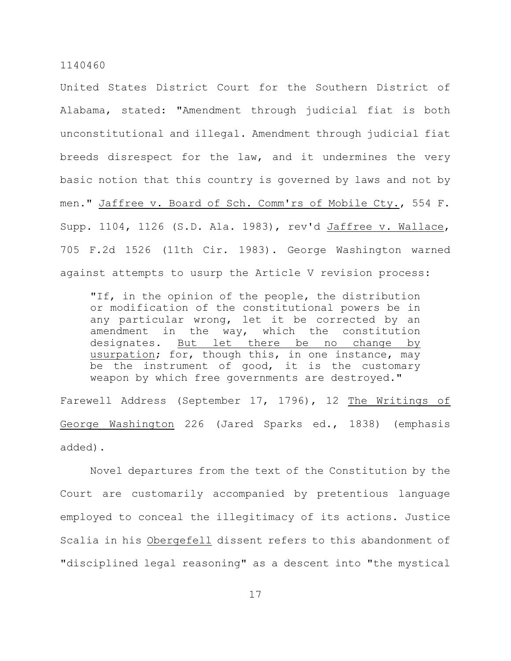United States District Court for the Southern District of Alabama, stated: "Amendment through judicial fiat is both unconstitutional and illegal. Amendment through judicial fiat breeds disrespect for the law, and it undermines the very basic notion that this country is governed by laws and not by men." Jaffree v. Board of Sch. Comm'rs of Mobile Cty., 554 F. Supp. 1104, 1126 (S.D. Ala. 1983), rev'd Jaffree v. Wallace, 705 F.2d 1526 (11th Cir. 1983). George Washington warned against attempts to usurp the Article V revision process:

"If, in the opinion of the people, the distribution or modification of the constitutional powers be in any particular wrong, let it be corrected by an amendment in the way, which the constitution designates. But let there be no change by usurpation; for, though this, in one instance, may be the instrument of good, it is the customary weapon by which free governments are destroyed."

Farewell Address (September 17, 1796), 12 The Writings of George Washington 226 (Jared Sparks ed., 1838) (emphasis added).

Novel departures from the text of the Constitution by the Court are customarily accompanied by pretentious language employed to conceal the illegitimacy of its actions. Justice Scalia in his Obergefell dissent refers to this abandonment of "disciplined legal reasoning" as a descent into "the mystical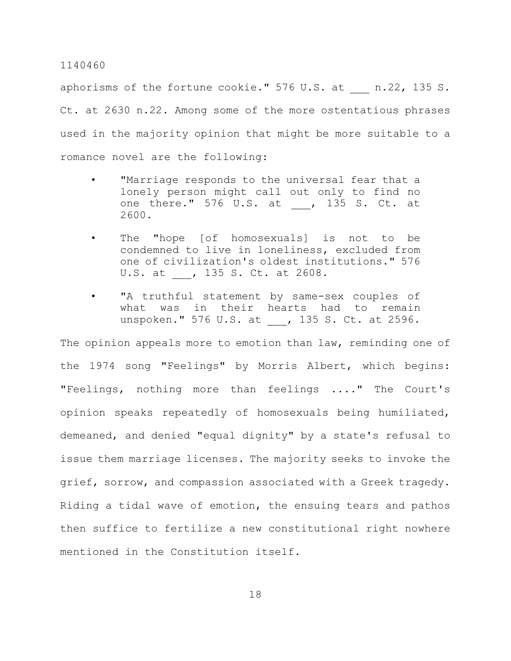aphorisms of the fortune cookie." 576 U.S. at n.22, 135 S. Ct. at 2630 n.22. Among some of the more ostentatious phrases used in the majority opinion that might be more suitable to a romance novel are the following:

- "Marriage responds to the universal fear that a lonely person might call out only to find no one there." 576 U.S. at , 135 S. Ct. at 2600.
- The "hope [of homosexuals] is not to be condemned to live in loneliness, excluded from one of civilization's oldest institutions." 576 U.S. at , 135 S. Ct. at 2608.
- "A truthful statement by same-sex couples of what was in their hearts had to remain unspoken." 576 U.S. at , 135 S. Ct. at 2596.

The opinion appeals more to emotion than law, reminding one of the 1974 song "Feelings" by Morris Albert, which begins: "Feelings, nothing more than feelings ...." The Court's opinion speaks repeatedly of homosexuals being humiliated, demeaned, and denied "equal dignity" by a state's refusal to issue them marriage licenses. The majority seeks to invoke the grief, sorrow, and compassion associated with a Greek tragedy. Riding a tidal wave of emotion, the ensuing tears and pathos then suffice to fertilize a new constitutional right nowhere mentioned in the Constitution itself.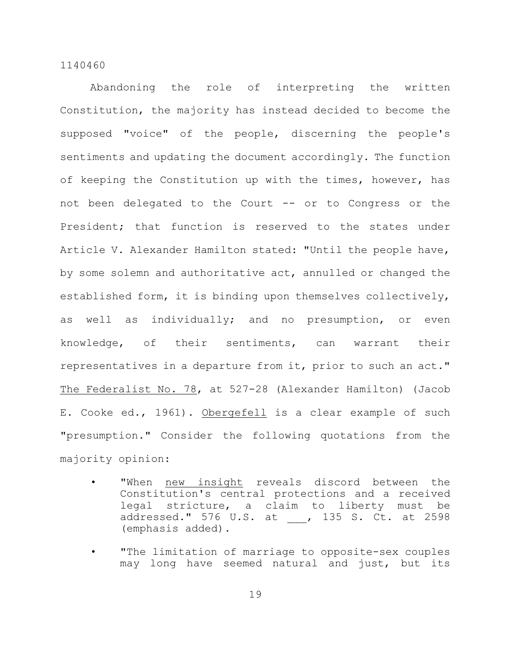Abandoning the role of interpreting the written Constitution, the majority has instead decided to become the supposed "voice" of the people, discerning the people's sentiments and updating the document accordingly. The function of keeping the Constitution up with the times, however, has not been delegated to the Court -- or to Congress or the President; that function is reserved to the states under Article V. Alexander Hamilton stated: "Until the people have, by some solemn and authoritative act, annulled or changed the established form, it is binding upon themselves collectively, as well as individually; and no presumption, or even knowledge, of their sentiments, can warrant their representatives in a departure from it, prior to such an act." The Federalist No. 78, at 527-28 (Alexander Hamilton) (Jacob E. Cooke ed., 1961). Obergefell is a clear example of such "presumption." Consider the following quotations from the majority opinion:

- "When new insight reveals discord between the Constitution's central protections and a received legal stricture, a claim to liberty must be addressed." 576 U.S. at \_\_\_, 135 S. Ct. at 2598 (emphasis added).
- "The limitation of marriage to opposite-sex couples may long have seemed natural and just, but its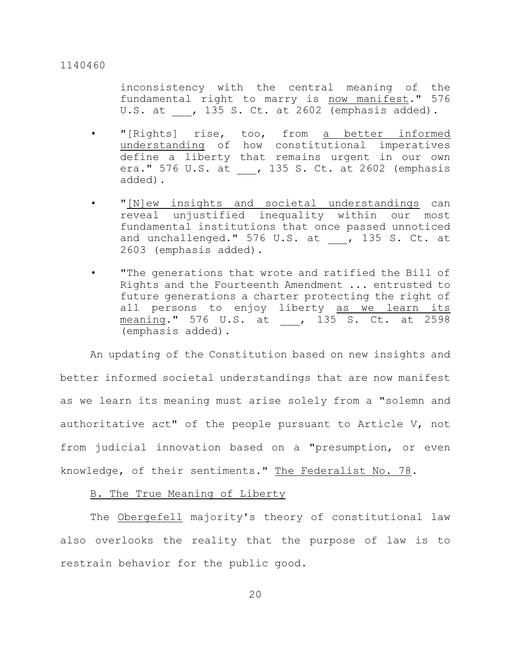inconsistency with the central meaning of the fundamental right to marry is now manifest." 576 U.S. at  $\blacksquare$ , 135 S. Ct. at 2602 (emphasis added).

- "[Rights] rise, too, from a better informed understanding of how constitutional imperatives define a liberty that remains urgent in our own era." 576 U.S. at , 135 S. Ct. at 2602 (emphasis added).
- "[N]ew insights and societal understandings can reveal unjustified inequality within our most fundamental institutions that once passed unnoticed and unchallenged."  $576$  U.S. at  $\frac{1}{2}$ , 135 S. Ct. at 2603 (emphasis added).
- "The generations that wrote and ratified the Bill of Rights and the Fourteenth Amendment ... entrusted to future generations a charter protecting the right of all persons to enjoy liberty as we learn its meaning." 576 U.S. at , 135 S. Ct. at 2598 (emphasis added).

An updating of the Constitution based on new insights and better informed societal understandings that are now manifest as we learn its meaning must arise solely from a "solemn and authoritative act" of the people pursuant to Article V, not from judicial innovation based on a "presumption, or even knowledge, of their sentiments." The Federalist No. 78.

# B. The True Meaning of Liberty

The Obergefell majority's theory of constitutional law also overlooks the reality that the purpose of law is to restrain behavior for the public good.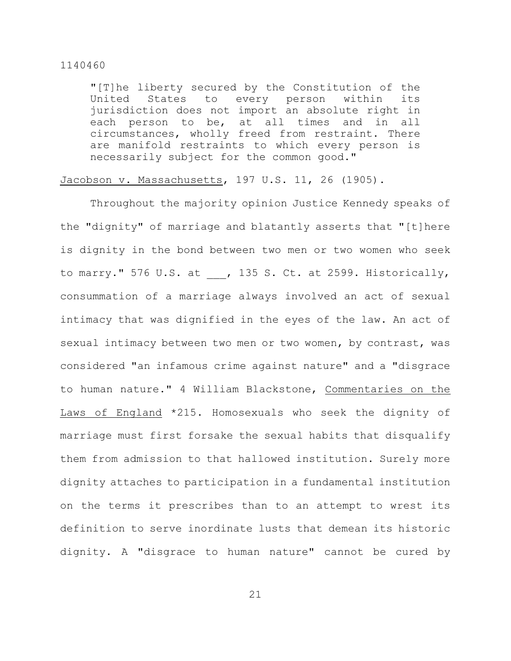"[T]he liberty secured by the Constitution of the United States to every person within its jurisdiction does not import an absolute right in each person to be, at all times and in all circumstances, wholly freed from restraint. There are manifold restraints to which every person is necessarily subject for the common good."

# Jacobson v. Massachusetts, 197 U.S. 11, 26 (1905).

Throughout the majority opinion Justice Kennedy speaks of the "dignity" of marriage and blatantly asserts that "[t]here is dignity in the bond between two men or two women who seek to marry." 576 U.S. at  $\phantom{i}$ , 135 S. Ct. at 2599. Historically, consummation of a marriage always involved an act of sexual intimacy that was dignified in the eyes of the law. An act of sexual intimacy between two men or two women, by contrast, was considered "an infamous crime against nature" and a "disgrace to human nature." 4 William Blackstone, Commentaries on the Laws of England \*215. Homosexuals who seek the dignity of marriage must first forsake the sexual habits that disqualify them from admission to that hallowed institution. Surely more dignity attaches to participation in a fundamental institution on the terms it prescribes than to an attempt to wrest its definition to serve inordinate lusts that demean its historic dignity. A "disgrace to human nature" cannot be cured by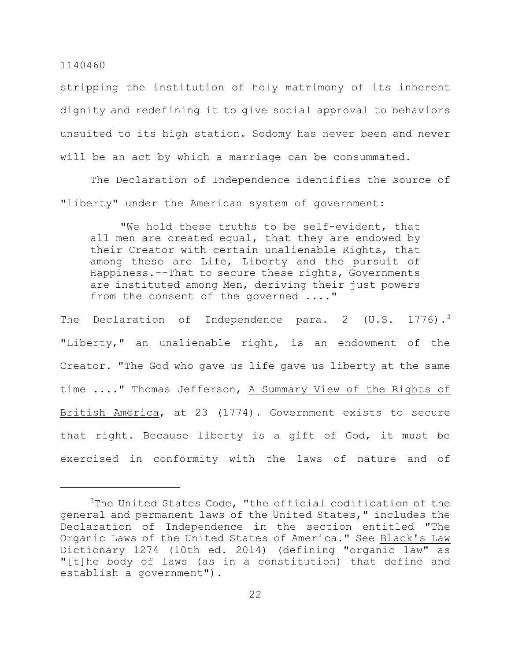stripping the institution of holy matrimony of its inherent dignity and redefining it to give social approval to behaviors unsuited to its high station. Sodomy has never been and never will be an act by which a marriage can be consummated.

The Declaration of Independence identifies the source of "liberty" under the American system of government:

"We hold these truths to be self-evident, that all men are created equal, that they are endowed by their Creator with certain unalienable Rights, that among these are Life, Liberty and the pursuit of Happiness.--That to secure these rights, Governments are instituted among Men, deriving their just powers from the consent of the governed ...."

The Declaration of Independence para. 2 (U.S.  $1776$ ).<sup>3</sup> "Liberty," an unalienable right, is an endowment of the Creator. "The God who gave us life gave us liberty at the same time ...." Thomas Jefferson, A Summary View of the Rights of British America, at 23 (1774). Government exists to secure that right. Because liberty is a gift of God, it must be exercised in conformity with the laws of nature and of

 $3$ The United States Code, "the official codification of the general and permanent laws of the United States," includes the Declaration of Independence in the section entitled "The Organic Laws of the United States of America." See Black's Law Dictionary 1274 (10th ed. 2014) (defining "organic law" as "[t]he body of laws (as in a constitution) that define and establish a government").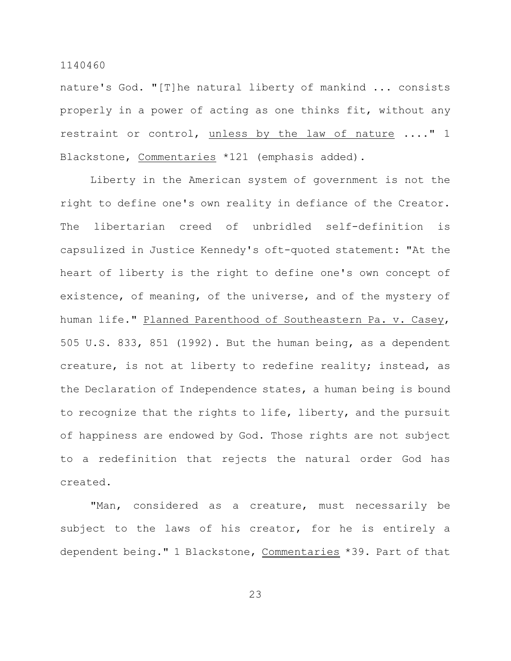nature's God. "[T]he natural liberty of mankind ... consists properly in a power of acting as one thinks fit, without any restraint or control, unless by the law of nature ...." 1 Blackstone, Commentaries \*121 (emphasis added).

Liberty in the American system of government is not the right to define one's own reality in defiance of the Creator. The libertarian creed of unbridled self-definition is capsulized in Justice Kennedy's oft-quoted statement: "At the heart of liberty is the right to define one's own concept of existence, of meaning, of the universe, and of the mystery of human life." Planned Parenthood of Southeastern Pa. v. Casey, 505 U.S. 833, 851 (1992). But the human being, as a dependent creature, is not at liberty to redefine reality; instead, as the Declaration of Independence states, a human being is bound to recognize that the rights to life, liberty, and the pursuit of happiness are endowed by God. Those rights are not subject to a redefinition that rejects the natural order God has created.

"Man, considered as a creature, must necessarily be subject to the laws of his creator, for he is entirely a dependent being." 1 Blackstone, Commentaries \*39. Part of that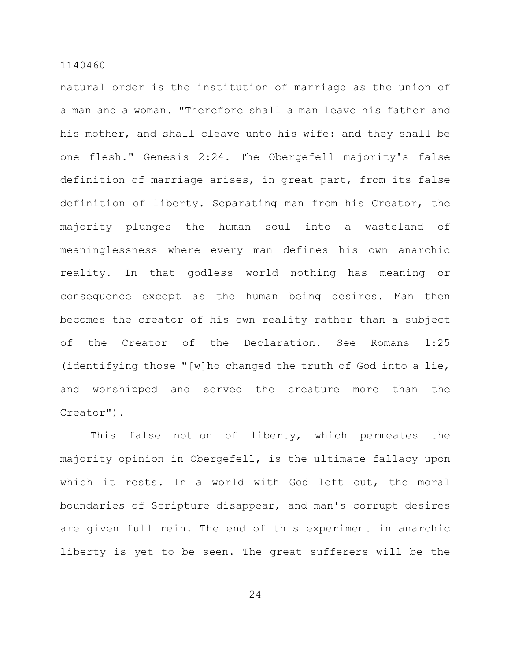natural order is the institution of marriage as the union of a man and a woman. "Therefore shall a man leave his father and his mother, and shall cleave unto his wife: and they shall be one flesh." Genesis 2:24. The Obergefell majority's false definition of marriage arises, in great part, from its false definition of liberty. Separating man from his Creator, the majority plunges the human soul into a wasteland of meaninglessness where every man defines his own anarchic reality. In that godless world nothing has meaning or consequence except as the human being desires. Man then becomes the creator of his own reality rather than a subject of the Creator of the Declaration. See Romans 1:25 (identifying those "[w]ho changed the truth of God into a lie, and worshipped and served the creature more than the Creator").

This false notion of liberty, which permeates the majority opinion in Obergefell, is the ultimate fallacy upon which it rests. In a world with God left out, the moral boundaries of Scripture disappear, and man's corrupt desires are given full rein. The end of this experiment in anarchic liberty is yet to be seen. The great sufferers will be the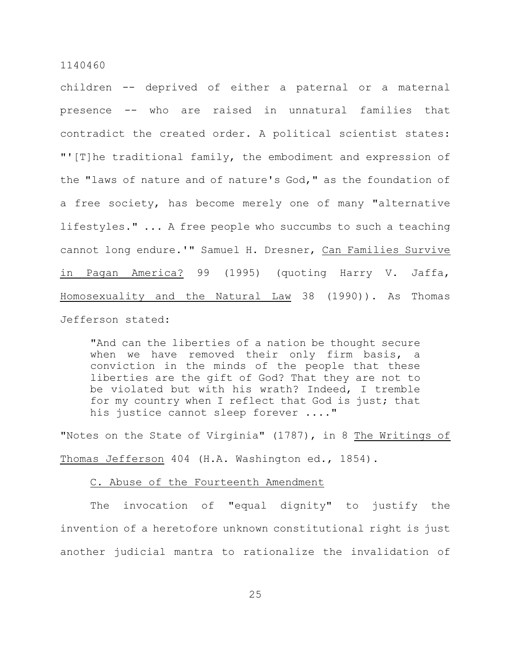children -- deprived of either a paternal or a maternal presence -- who are raised in unnatural families that contradict the created order. A political scientist states: "'[T]he traditional family, the embodiment and expression of the "laws of nature and of nature's God," as the foundation of a free society, has become merely one of many "alternative lifestyles." ... A free people who succumbs to such a teaching cannot long endure.'" Samuel H. Dresner, Can Families Survive in Pagan America? 99 (1995) (quoting Harry V. Jaffa, Homosexuality and the Natural Law 38 (1990)). As Thomas Jefferson stated:

"And can the liberties of a nation be thought secure when we have removed their only firm basis, a conviction in the minds of the people that these liberties are the gift of God? That they are not to be violated but with his wrath? Indeed, I tremble for my country when I reflect that God is just; that his justice cannot sleep forever ...."

"Notes on the State of Virginia" (1787), in 8 The Writings of Thomas Jefferson 404 (H.A. Washington ed., 1854).

# C. Abuse of the Fourteenth Amendment

The invocation of "equal dignity" to justify the invention of a heretofore unknown constitutional right is just another judicial mantra to rationalize the invalidation of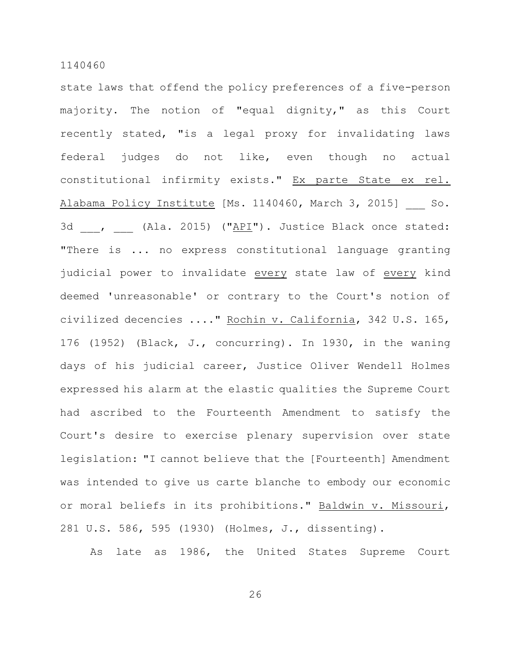state laws that offend the policy preferences of a five-person majority. The notion of "equal dignity," as this Court recently stated, "is a legal proxy for invalidating laws federal judges do not like, even though no actual constitutional infirmity exists." Ex parte State ex rel. Alabama Policy Institute [Ms. 1140460, March 3, 2015] So. 3d , (Ala. 2015) ("API"). Justice Black once stated: "There is ... no express constitutional language granting judicial power to invalidate every state law of every kind deemed 'unreasonable' or contrary to the Court's notion of civilized decencies ...." Rochin v. California, 342 U.S. 165, 176 (1952) (Black, J., concurring). In 1930, in the waning days of his judicial career, Justice Oliver Wendell Holmes expressed his alarm at the elastic qualities the Supreme Court had ascribed to the Fourteenth Amendment to satisfy the Court's desire to exercise plenary supervision over state legislation: "I cannot believe that the [Fourteenth] Amendment was intended to give us carte blanche to embody our economic or moral beliefs in its prohibitions." Baldwin v. Missouri, 281 U.S. 586, 595 (1930) (Holmes, J., dissenting).

As late as 1986, the United States Supreme Court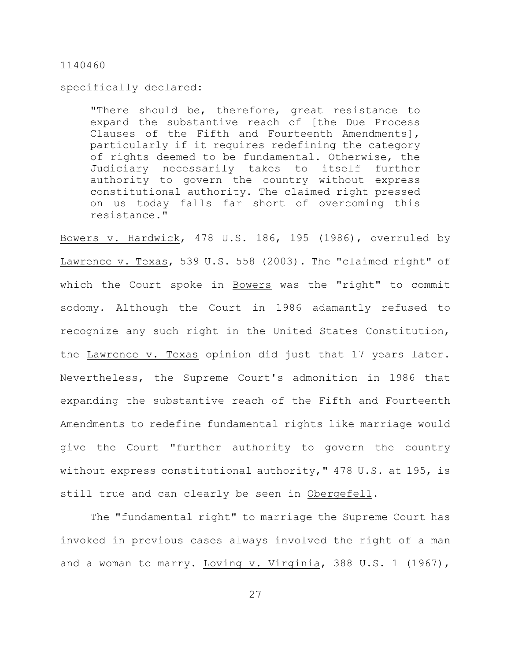specifically declared:

"There should be, therefore, great resistance to expand the substantive reach of [the Due Process Clauses of the Fifth and Fourteenth Amendments], particularly if it requires redefining the category of rights deemed to be fundamental. Otherwise, the Judiciary necessarily takes to itself further authority to govern the country without express constitutional authority. The claimed right pressed on us today falls far short of overcoming this resistance."

Bowers v. Hardwick, 478 U.S. 186, 195 (1986), overruled by Lawrence v. Texas, 539 U.S. 558 (2003). The "claimed right" of which the Court spoke in Bowers was the "right" to commit sodomy. Although the Court in 1986 adamantly refused to recognize any such right in the United States Constitution, the Lawrence v. Texas opinion did just that 17 years later. Nevertheless, the Supreme Court's admonition in 1986 that expanding the substantive reach of the Fifth and Fourteenth Amendments to redefine fundamental rights like marriage would give the Court "further authority to govern the country without express constitutional authority," 478 U.S. at 195, is still true and can clearly be seen in Obergefell.

The "fundamental right" to marriage the Supreme Court has invoked in previous cases always involved the right of a man and a woman to marry. Loving v. Virginia, 388 U.S. 1 (1967),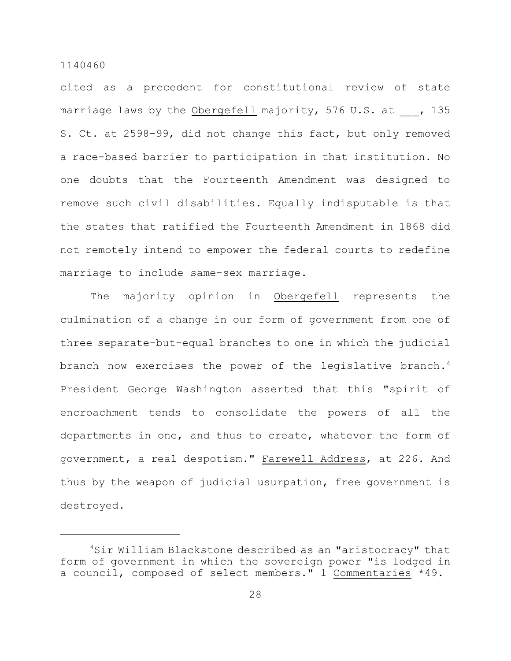cited as a precedent for constitutional review of state marriage laws by the Obergefell majority, 576 U.S. at , 135 S. Ct. at 2598-99, did not change this fact, but only removed a race-based barrier to participation in that institution. No one doubts that the Fourteenth Amendment was designed to remove such civil disabilities. Equally indisputable is that the states that ratified the Fourteenth Amendment in 1868 did not remotely intend to empower the federal courts to redefine marriage to include same-sex marriage.

The majority opinion in Obergefell represents the culmination of a change in our form of government from one of three separate-but-equal branches to one in which the judicial branch now exercises the power of the legislative branch. $^4$ President George Washington asserted that this "spirit of encroachment tends to consolidate the powers of all the departments in one, and thus to create, whatever the form of government, a real despotism." Farewell Address, at 226. And thus by the weapon of judicial usurpation, free government is destroyed.

<sup>&</sup>lt;sup>4</sup>Sir William Blackstone described as an "aristocracy" that form of government in which the sovereign power "is lodged in a council, composed of select members." 1 Commentaries \*49.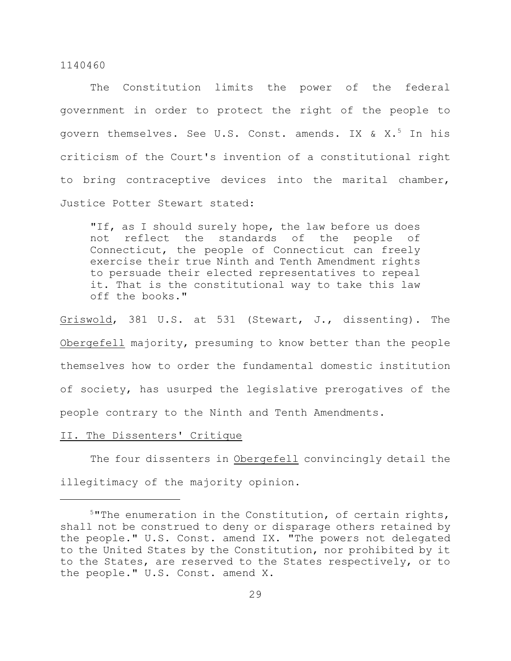The Constitution limits the power of the federal government in order to protect the right of the people to govern themselves. See U.S. Const. amends. IX & X. $^5$  In his criticism of the Court's invention of a constitutional right to bring contraceptive devices into the marital chamber, Justice Potter Stewart stated:

"If, as I should surely hope, the law before us does not reflect the standards of the people of Connecticut, the people of Connecticut can freely exercise their true Ninth and Tenth Amendment rights to persuade their elected representatives to repeal it. That is the constitutional way to take this law off the books."

Griswold, 381 U.S. at 531 (Stewart, J., dissenting). The Obergefell majority, presuming to know better than the people themselves how to order the fundamental domestic institution of society, has usurped the legislative prerogatives of the people contrary to the Ninth and Tenth Amendments.

# II. The Dissenters' Critique

The four dissenters in Obergefell convincingly detail the illegitimacy of the majority opinion.

 $5$ "The enumeration in the Constitution, of certain rights, shall not be construed to deny or disparage others retained by the people." U.S. Const. amend IX. "The powers not delegated to the United States by the Constitution, nor prohibited by it to the States, are reserved to the States respectively, or to the people." U.S. Const. amend X.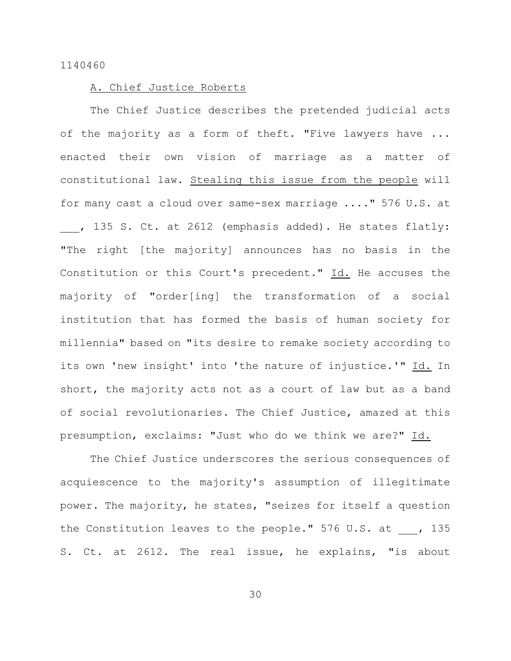# A. Chief Justice Roberts

The Chief Justice describes the pretended judicial acts of the majority as a form of theft. "Five lawyers have ... enacted their own vision of marriage as a matter of constitutional law. Stealing this issue from the people will for many cast a cloud over same-sex marriage ...." 576 U.S. at , 135 S. Ct. at 2612 (emphasis added). He states flatly: "The right [the majority] announces has no basis in the Constitution or this Court's precedent." Id. He accuses the majority of "order[ing] the transformation of a social institution that has formed the basis of human society for millennia" based on "its desire to remake society according to its own 'new insight' into 'the nature of injustice.'" Id. In short, the majority acts not as a court of law but as a band of social revolutionaries. The Chief Justice, amazed at this presumption, exclaims: "Just who do we think we are?" Id.

The Chief Justice underscores the serious consequences of acquiescence to the majority's assumption of illegitimate power. The majority, he states, "seizes for itself a question the Constitution leaves to the people." 576 U.S. at , 135 S. Ct. at 2612. The real issue, he explains, "is about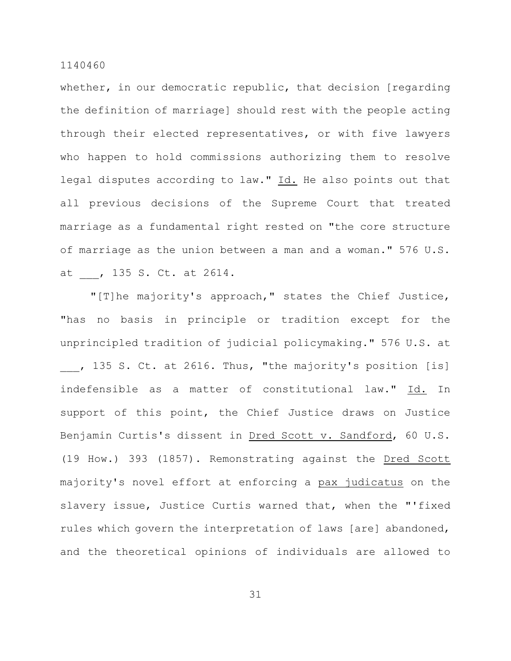whether, in our democratic republic, that decision [regarding] the definition of marriage] should rest with the people acting through their elected representatives, or with five lawyers who happen to hold commissions authorizing them to resolve legal disputes according to law." Id. He also points out that all previous decisions of the Supreme Court that treated marriage as a fundamental right rested on "the core structure of marriage as the union between a man and a woman." 576 U.S. at , 135 S. Ct. at 2614.

"[T]he majority's approach," states the Chief Justice, "has no basis in principle or tradition except for the unprincipled tradition of judicial policymaking." 576 U.S. at , 135 S. Ct. at 2616. Thus, "the majority's position [is] indefensible as a matter of constitutional law." Id. In support of this point, the Chief Justice draws on Justice Benjamin Curtis's dissent in Dred Scott v. Sandford, 60 U.S. (19 How.) 393 (1857). Remonstrating against the Dred Scott majority's novel effort at enforcing a pax judicatus on the slavery issue, Justice Curtis warned that, when the "'fixed rules which govern the interpretation of laws [are] abandoned, and the theoretical opinions of individuals are allowed to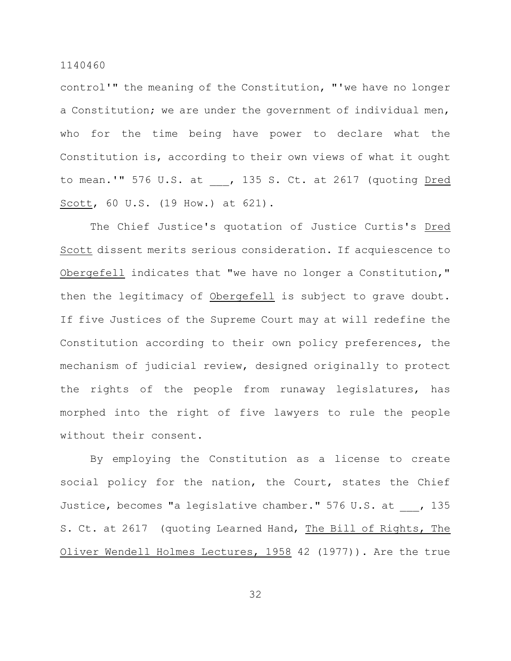control'" the meaning of the Constitution, "'we have no longer a Constitution; we are under the government of individual men, who for the time being have power to declare what the Constitution is, according to their own views of what it ought to mean.'" 576 U.S. at , 135 S. Ct. at 2617 (quoting Dred Scott, 60 U.S. (19 How.) at 621).

The Chief Justice's quotation of Justice Curtis's Dred Scott dissent merits serious consideration. If acquiescence to Obergefell indicates that "we have no longer a Constitution," then the legitimacy of Obergefell is subject to grave doubt. If five Justices of the Supreme Court may at will redefine the Constitution according to their own policy preferences, the mechanism of judicial review, designed originally to protect the rights of the people from runaway legislatures, has morphed into the right of five lawyers to rule the people without their consent.

By employing the Constitution as a license to create social policy for the nation, the Court, states the Chief Justice, becomes "a legislative chamber." 576 U.S. at , 135 S. Ct. at 2617 (quoting Learned Hand, The Bill of Rights, The Oliver Wendell Holmes Lectures, 1958 42 (1977)). Are the true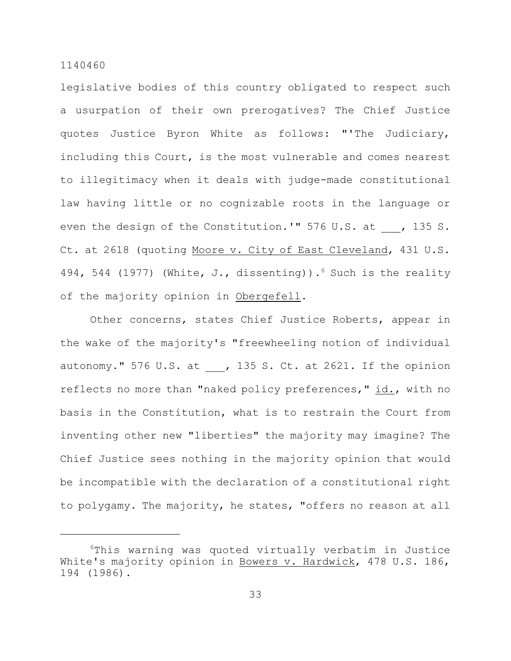legislative bodies of this country obligated to respect such a usurpation of their own prerogatives? The Chief Justice quotes Justice Byron White as follows: "'The Judiciary, including this Court, is the most vulnerable and comes nearest to illegitimacy when it deals with judge-made constitutional law having little or no cognizable roots in the language or even the design of the Constitution.'" 576 U.S. at , 135 S. Ct. at 2618 (quoting Moore v. City of East Cleveland, 431 U.S. 494, 544 (1977) (White, J., dissenting)).  $6$  Such is the reality of the majority opinion in Obergefell.

Other concerns, states Chief Justice Roberts, appear in the wake of the majority's "freewheeling notion of individual autonomy." 576 U.S. at , 135 S. Ct. at 2621. If the opinion reflects no more than "naked policy preferences," id., with no basis in the Constitution, what is to restrain the Court from inventing other new "liberties" the majority may imagine? The Chief Justice sees nothing in the majority opinion that would be incompatible with the declaration of a constitutional right to polygamy. The majority, he states, "offers no reason at all

 $6$ This warning was quoted virtually verbatim in Justice White's majority opinion in Bowers v. Hardwick, 478 U.S. 186, 194 (1986).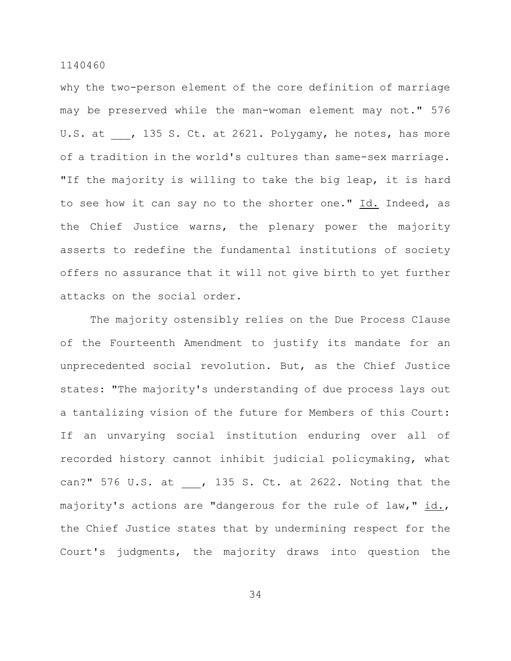why the two-person element of the core definition of marriage may be preserved while the man-woman element may not." 576 U.S. at , 135 S. Ct. at 2621. Polygamy, he notes, has more of a tradition in the world's cultures than same-sex marriage. "If the majority is willing to take the big leap, it is hard to see how it can say no to the shorter one." Id. Indeed, as the Chief Justice warns, the plenary power the majority asserts to redefine the fundamental institutions of society offers no assurance that it will not give birth to yet further attacks on the social order.

The majority ostensibly relies on the Due Process Clause of the Fourteenth Amendment to justify its mandate for an unprecedented social revolution. But, as the Chief Justice states: "The majority's understanding of due process lays out a tantalizing vision of the future for Members of this Court: If an unvarying social institution enduring over all of recorded history cannot inhibit judicial policymaking, what can?" 576 U.S. at , 135 S. Ct. at 2622. Noting that the majority's actions are "dangerous for the rule of law," id., the Chief Justice states that by undermining respect for the Court's judgments, the majority draws into question the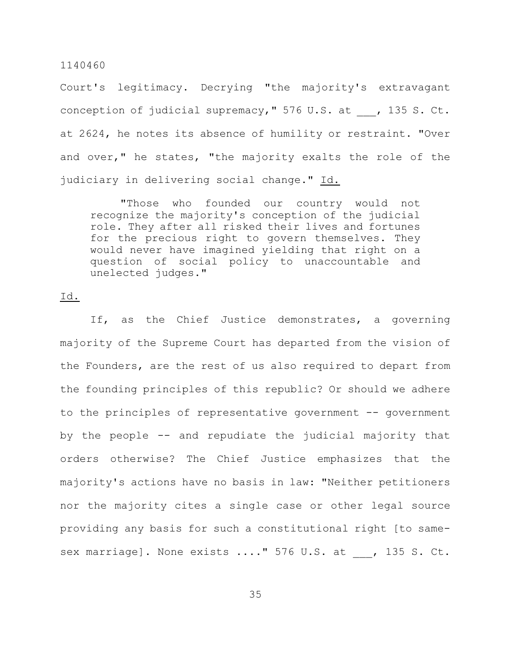Court's legitimacy. Decrying "the majority's extravagant conception of judicial supremacy," 576 U.S. at , 135 S. Ct. at 2624, he notes its absence of humility or restraint. "Over and over," he states, "the majority exalts the role of the judiciary in delivering social change." Id.

"Those who founded our country would not recognize the majority's conception of the judicial role. They after all risked their lives and fortunes for the precious right to govern themselves. They would never have imagined yielding that right on a question of social policy to unaccountable and unelected judges."

# Id.

If, as the Chief Justice demonstrates, a governing majority of the Supreme Court has departed from the vision of the Founders, are the rest of us also required to depart from the founding principles of this republic? Or should we adhere to the principles of representative government -- government by the people -- and repudiate the judicial majority that orders otherwise? The Chief Justice emphasizes that the majority's actions have no basis in law: "Neither petitioners nor the majority cites a single case or other legal source providing any basis for such a constitutional right [to samesex marriage]. None exists ...." 576 U.S. at , 135 S. Ct.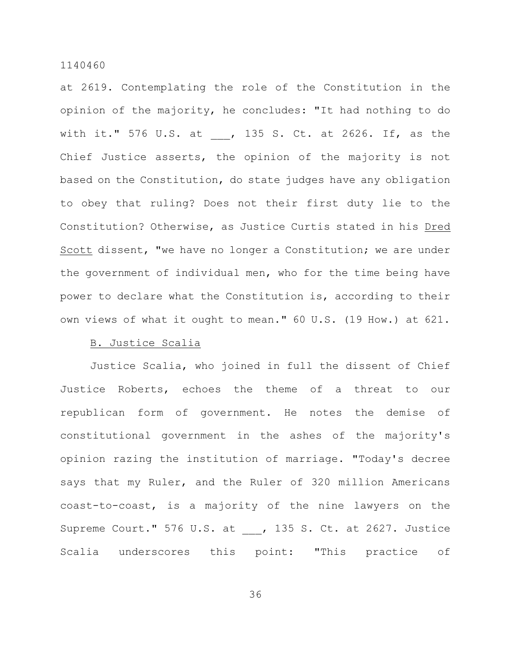at 2619. Contemplating the role of the Constitution in the opinion of the majority, he concludes: "It had nothing to do with it." 576 U.S. at , 135 S. Ct. at 2626. If, as the Chief Justice asserts, the opinion of the majority is not based on the Constitution, do state judges have any obligation to obey that ruling? Does not their first duty lie to the Constitution? Otherwise, as Justice Curtis stated in his Dred Scott dissent, "we have no longer a Constitution; we are under the government of individual men, who for the time being have power to declare what the Constitution is, according to their own views of what it ought to mean." 60 U.S. (19 How.) at 621.

#### B. Justice Scalia

Justice Scalia, who joined in full the dissent of Chief Justice Roberts, echoes the theme of a threat to our republican form of government. He notes the demise of constitutional government in the ashes of the majority's opinion razing the institution of marriage. "Today's decree says that my Ruler, and the Ruler of 320 million Americans coast-to-coast, is a majority of the nine lawyers on the Supreme Court." 576 U.S. at , 135 S. Ct. at 2627. Justice Scalia underscores this point: "This practice of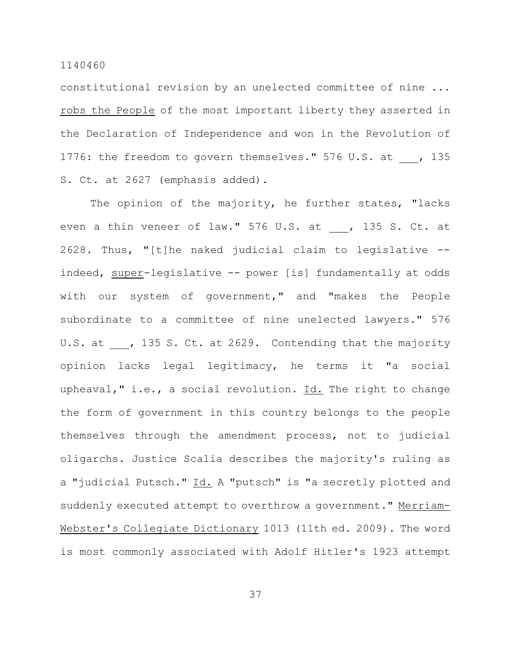constitutional revision by an unelected committee of nine ... robs the People of the most important liberty they asserted in the Declaration of Independence and won in the Revolution of 1776: the freedom to govern themselves." 576 U.S. at , 135 S. Ct. at 2627 (emphasis added).

The opinion of the majority, he further states, "lacks even a thin veneer of law." 576 U.S. at , 135 S. Ct. at 2628. Thus, "[t]he naked judicial claim to legislative - indeed, super-legislative -- power [is] fundamentally at odds with our system of government," and "makes the People subordinate to a committee of nine unelected lawyers." 576 U.S. at , 135 S. Ct. at 2629. Contending that the majority opinion lacks legal legitimacy, he terms it "a social upheaval," i.e., a social revolution. Id. The right to change the form of government in this country belongs to the people themselves through the amendment process, not to judicial oligarchs. Justice Scalia describes the majority's ruling as a "judicial Putsch." Id. A "putsch" is "a secretly plotted and suddenly executed attempt to overthrow a government." Merriam-Webster's Collegiate Dictionary 1013 (11th ed. 2009). The word is most commonly associated with Adolf Hitler's 1923 attempt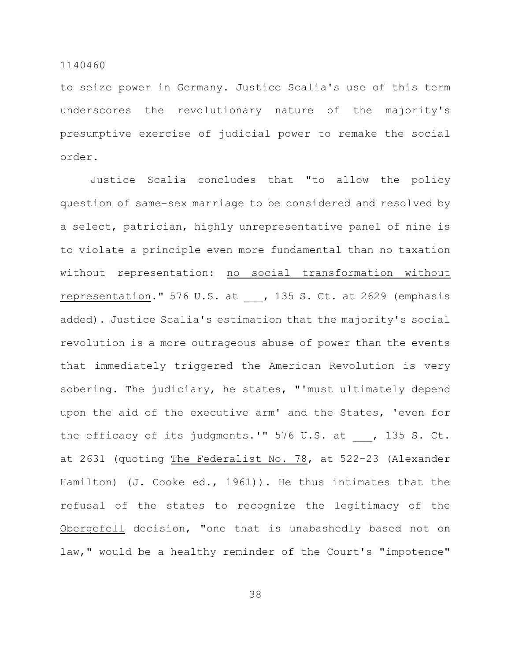to seize power in Germany. Justice Scalia's use of this term underscores the revolutionary nature of the majority's presumptive exercise of judicial power to remake the social order.

Justice Scalia concludes that "to allow the policy question of same-sex marriage to be considered and resolved by a select, patrician, highly unrepresentative panel of nine is to violate a principle even more fundamental than no taxation without representation: no social transformation without representation." 576 U.S. at \_\_\_, 135 S. Ct. at 2629 (emphasis added). Justice Scalia's estimation that the majority's social revolution is a more outrageous abuse of power than the events that immediately triggered the American Revolution is very sobering. The judiciary, he states, "'must ultimately depend upon the aid of the executive arm' and the States, 'even for the efficacy of its judgments.'" 576 U.S. at , 135 S. Ct. at 2631 (quoting The Federalist No. 78, at 522-23 (Alexander Hamilton) (J. Cooke ed., 1961)). He thus intimates that the refusal of the states to recognize the legitimacy of the Obergefell decision, "one that is unabashedly based not on law," would be a healthy reminder of the Court's "impotence"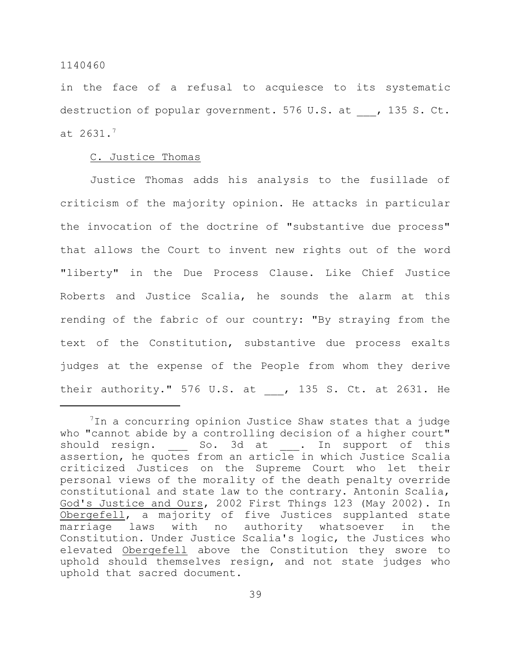in the face of a refusal to acquiesce to its systematic destruction of popular government. 576 U.S. at , 135 S. Ct. at  $2631.7$ 

# C. Justice Thomas

Justice Thomas adds his analysis to the fusillade of criticism of the majority opinion. He attacks in particular the invocation of the doctrine of "substantive due process" that allows the Court to invent new rights out of the word "liberty" in the Due Process Clause. Like Chief Justice Roberts and Justice Scalia, he sounds the alarm at this rending of the fabric of our country: "By straying from the text of the Constitution, substantive due process exalts judges at the expense of the People from whom they derive their authority." 576 U.S. at , 135 S. Ct. at 2631. He

 $1$ In a concurring opinion Justice Shaw states that a judge who "cannot abide by a controlling decision of a higher court" should resign. So. 3d at . In support of this assertion, he quotes from an article in which Justice Scalia criticized Justices on the Supreme Court who let their personal views of the morality of the death penalty override constitutional and state law to the contrary. Antonin Scalia, God's Justice and Ours, 2002 First Things 123 (May 2002). In Obergefell, a majority of five Justices supplanted state marriage laws with no authority whatsoever in the Constitution. Under Justice Scalia's logic, the Justices who elevated Obergefell above the Constitution they swore to uphold should themselves resign, and not state judges who uphold that sacred document.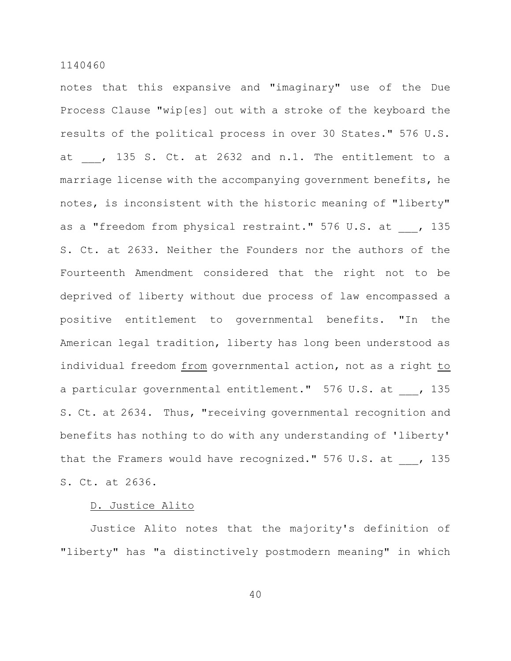notes that this expansive and "imaginary" use of the Due Process Clause "wip[es] out with a stroke of the keyboard the results of the political process in over 30 States." 576 U.S. at , 135 S. Ct. at 2632 and n.1. The entitlement to a marriage license with the accompanying government benefits, he notes, is inconsistent with the historic meaning of "liberty" as a "freedom from physical restraint." 576 U.S. at , 135 S. Ct. at 2633. Neither the Founders nor the authors of the Fourteenth Amendment considered that the right not to be deprived of liberty without due process of law encompassed a positive entitlement to governmental benefits. "In the American legal tradition, liberty has long been understood as individual freedom from governmental action, not as a right to a particular governmental entitlement." 576 U.S. at , 135 S. Ct. at 2634. Thus, "receiving governmental recognition and benefits has nothing to do with any understanding of 'liberty' that the Framers would have recognized." 576 U.S. at , 135 S. Ct. at 2636.

# D. Justice Alito

Justice Alito notes that the majority's definition of "liberty" has "a distinctively postmodern meaning" in which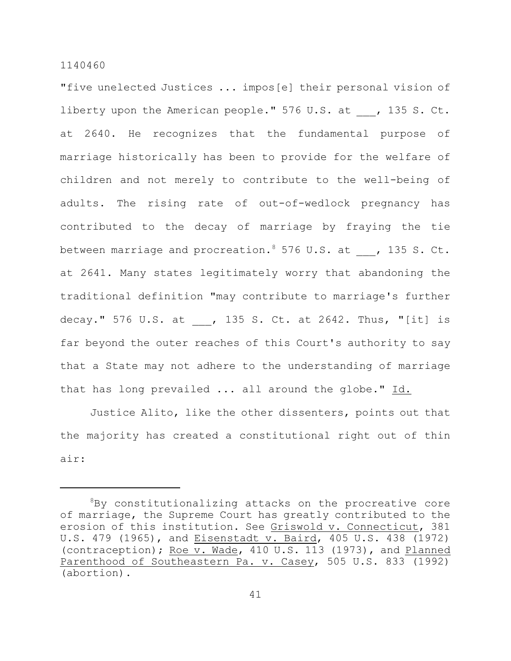"five unelected Justices ... impos[e] their personal vision of liberty upon the American people." 576 U.S. at , 135 S. Ct. at 2640. He recognizes that the fundamental purpose of marriage historically has been to provide for the welfare of children and not merely to contribute to the well-being of adults. The rising rate of out-of-wedlock pregnancy has contributed to the decay of marriage by fraying the tie between marriage and procreation. <sup>8</sup> 576 U.S. at , 135 S. Ct. at 2641. Many states legitimately worry that abandoning the traditional definition "may contribute to marriage's further decay." 576 U.S. at , 135 S. Ct. at 2642. Thus, "[it] is far beyond the outer reaches of this Court's authority to say that a State may not adhere to the understanding of marriage that has long prevailed ... all around the globe." Id.

Justice Alito, like the other dissenters, points out that the majority has created a constitutional right out of thin air:

 ${}^{8}$ By constitutionalizing attacks on the procreative core of marriage, the Supreme Court has greatly contributed to the erosion of this institution. See Griswold v. Connecticut, 381 U.S. 479 (1965), and Eisenstadt v. Baird, 405 U.S. 438 (1972) (contraception); Roe v. Wade, 410 U.S. 113 (1973), and Planned Parenthood of Southeastern Pa. v. Casey, 505 U.S. 833 (1992) (abortion).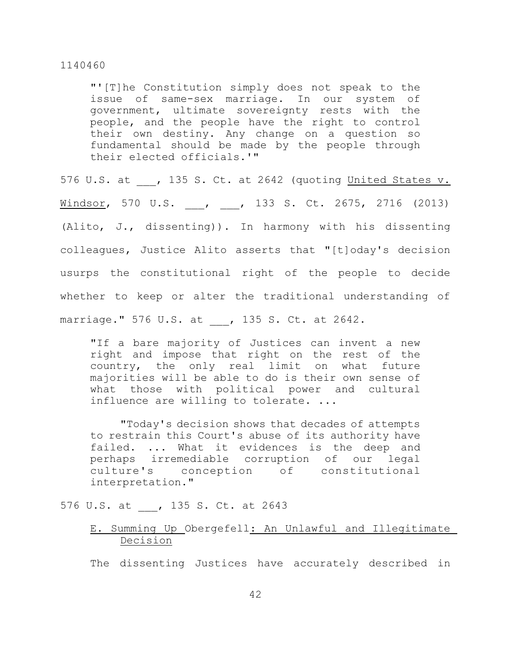"'[T]he Constitution simply does not speak to the issue of same-sex marriage. In our system of government, ultimate sovereignty rests with the people, and the people have the right to control their own destiny. Any change on a question so fundamental should be made by the people through their elected officials.'"

576 U.S. at , 135 S. Ct. at 2642 (quoting United States v. Windsor, 570 U.S. \_\_\_, \_\_\_, 133 S. Ct. 2675, 2716 (2013) (Alito, J., dissenting)). In harmony with his dissenting colleagues, Justice Alito asserts that "[t]oday's decision usurps the constitutional right of the people to decide whether to keep or alter the traditional understanding of marriage." 576 U.S. at , 135 S. Ct. at 2642.

"If a bare majority of Justices can invent a new right and impose that right on the rest of the country, the only real limit on what future majorities will be able to do is their own sense of what those with political power and cultural influence are willing to tolerate. ...

"Today's decision shows that decades of attempts to restrain this Court's abuse of its authority have failed. ... What it evidences is the deep and perhaps irremediable corruption of our legal culture's conception of constitutional interpretation."

576 U.S. at , 135 S. Ct. at 2643

# E. Summing Up Obergefell: An Unlawful and Illegitimate Decision

The dissenting Justices have accurately described in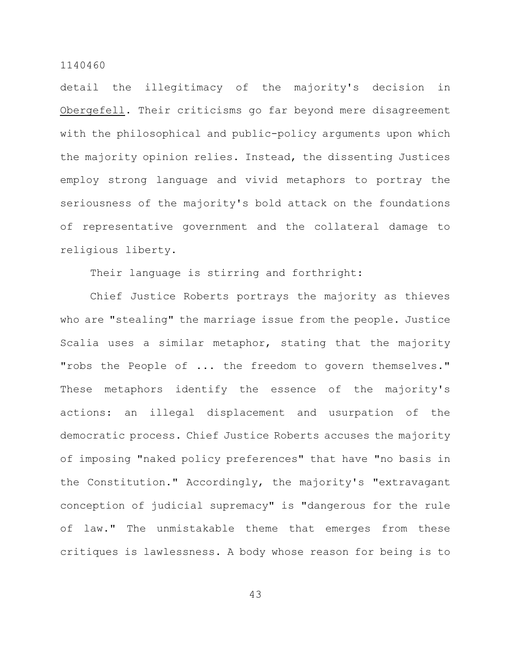detail the illegitimacy of the majority's decision in Obergefell. Their criticisms go far beyond mere disagreement with the philosophical and public-policy arguments upon which the majority opinion relies. Instead, the dissenting Justices employ strong language and vivid metaphors to portray the seriousness of the majority's bold attack on the foundations of representative government and the collateral damage to religious liberty.

Their language is stirring and forthright:

Chief Justice Roberts portrays the majority as thieves who are "stealing" the marriage issue from the people. Justice Scalia uses a similar metaphor, stating that the majority "robs the People of ... the freedom to govern themselves." These metaphors identify the essence of the majority's actions: an illegal displacement and usurpation of the democratic process. Chief Justice Roberts accuses the majority of imposing "naked policy preferences" that have "no basis in the Constitution." Accordingly, the majority's "extravagant conception of judicial supremacy" is "dangerous for the rule of law." The unmistakable theme that emerges from these critiques is lawlessness. A body whose reason for being is to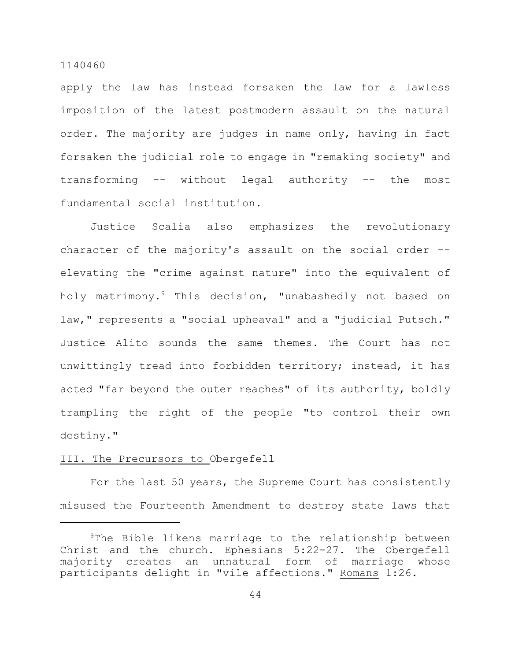apply the law has instead forsaken the law for a lawless imposition of the latest postmodern assault on the natural order. The majority are judges in name only, having in fact forsaken the judicial role to engage in "remaking society" and transforming -- without legal authority -- the most fundamental social institution.

Justice Scalia also emphasizes the revolutionary character of the majority's assault on the social order -elevating the "crime against nature" into the equivalent of holy matrimony.<sup>9</sup> This decision, "unabashedly not based on law," represents a "social upheaval" and a "judicial Putsch." Justice Alito sounds the same themes. The Court has not unwittingly tread into forbidden territory; instead, it has acted "far beyond the outer reaches" of its authority, boldly trampling the right of the people "to control their own destiny."

# III. The Precursors to Obergefell

For the last 50 years, the Supreme Court has consistently misused the Fourteenth Amendment to destroy state laws that

 $9$ The Bible likens marriage to the relationship between Christ and the church. Ephesians 5:22-27. The Obergefell majority creates an unnatural form of marriage whose participants delight in "vile affections." Romans 1:26.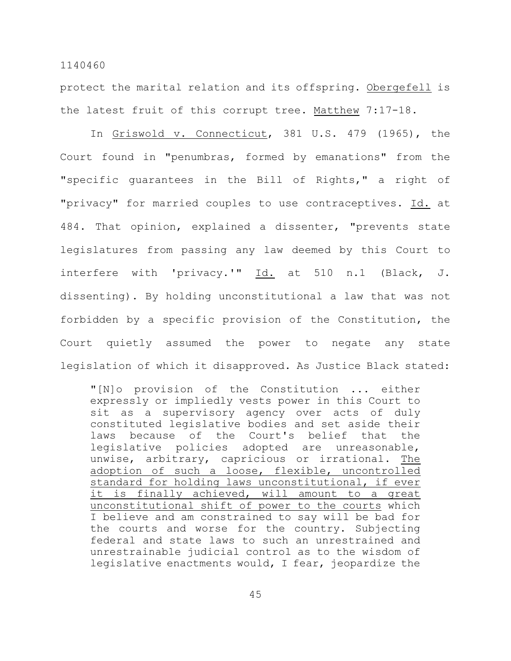protect the marital relation and its offspring. Obergefell is the latest fruit of this corrupt tree. Matthew 7:17-18.

In Griswold v. Connecticut, 381 U.S. 479 (1965), the Court found in "penumbras, formed by emanations" from the "specific guarantees in the Bill of Rights," a right of "privacy" for married couples to use contraceptives. Id. at 484. That opinion, explained a dissenter, "prevents state legislatures from passing any law deemed by this Court to interfere with 'privacy.'" Id. at 510 n.1 (Black, J. dissenting). By holding unconstitutional a law that was not forbidden by a specific provision of the Constitution, the Court quietly assumed the power to negate any state legislation of which it disapproved. As Justice Black stated:

"[N]o provision of the Constitution ... either expressly or impliedly vests power in this Court to sit as a supervisory agency over acts of duly constituted legislative bodies and set aside their laws because of the Court's belief that the legislative policies adopted are unreasonable, unwise, arbitrary, capricious or irrational. The adoption of such a loose, flexible, uncontrolled standard for holding laws unconstitutional, if ever it is finally achieved, will amount to a great unconstitutional shift of power to the courts which I believe and am constrained to say will be bad for the courts and worse for the country. Subjecting federal and state laws to such an unrestrained and unrestrainable judicial control as to the wisdom of legislative enactments would, I fear, jeopardize the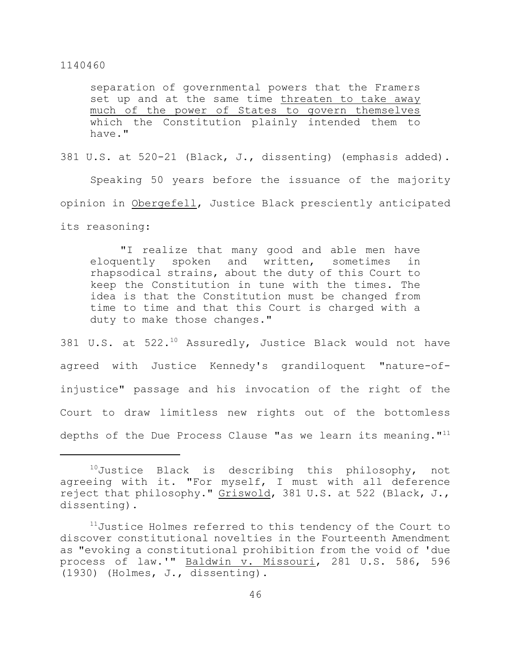separation of governmental powers that the Framers set up and at the same time threaten to take away much of the power of States to govern themselves which the Constitution plainly intended them to have."

381 U.S. at 520-21 (Black, J., dissenting) (emphasis added).

Speaking 50 years before the issuance of the majority opinion in Obergefell, Justice Black presciently anticipated its reasoning:

"I realize that many good and able men have eloquently spoken and written, sometimes in rhapsodical strains, about the duty of this Court to keep the Constitution in tune with the times. The idea is that the Constitution must be changed from time to time and that this Court is charged with a duty to make those changes."

381 U.S. at  $522.^{10}$  Assuredly, Justice Black would not have agreed with Justice Kennedy's grandiloquent "nature-ofinjustice" passage and his invocation of the right of the Court to draw limitless new rights out of the bottomless depths of the Due Process Clause "as we learn its meaning."<sup>11</sup>

 $10$ Justice Black is describing this philosophy, not agreeing with it. "For myself, I must with all deference reject that philosophy." Griswold, 381 U.S. at 522 (Black, J., dissenting).

 $11$ Justice Holmes referred to this tendency of the Court to discover constitutional novelties in the Fourteenth Amendment as "evoking a constitutional prohibition from the void of 'due process of law.'" Baldwin v. Missouri, 281 U.S. 586, 596 (1930) (Holmes, J., dissenting).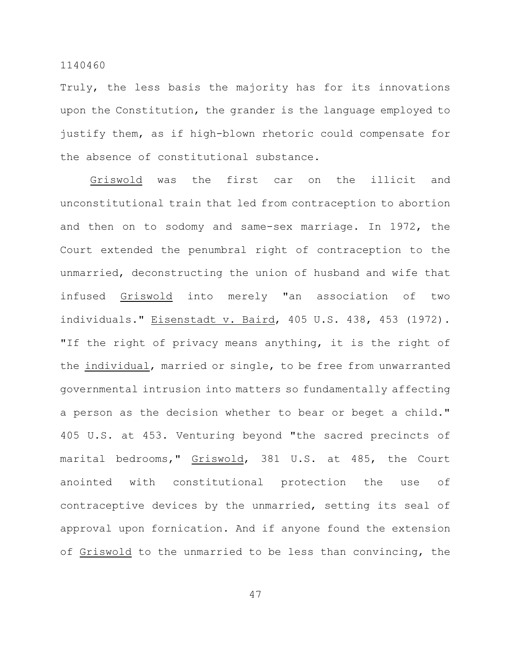Truly, the less basis the majority has for its innovations upon the Constitution, the grander is the language employed to justify them, as if high-blown rhetoric could compensate for the absence of constitutional substance.

Griswold was the first car on the illicit and unconstitutional train that led from contraception to abortion and then on to sodomy and same-sex marriage. In 1972, the Court extended the penumbral right of contraception to the unmarried, deconstructing the union of husband and wife that infused Griswold into merely "an association of two individuals." Eisenstadt v. Baird, 405 U.S. 438, 453 (1972). "If the right of privacy means anything, it is the right of the individual, married or single, to be free from unwarranted governmental intrusion into matters so fundamentally affecting a person as the decision whether to bear or beget a child." 405 U.S. at 453. Venturing beyond "the sacred precincts of marital bedrooms," Griswold, 381 U.S. at 485, the Court anointed with constitutional protection the use of contraceptive devices by the unmarried, setting its seal of approval upon fornication. And if anyone found the extension of Griswold to the unmarried to be less than convincing, the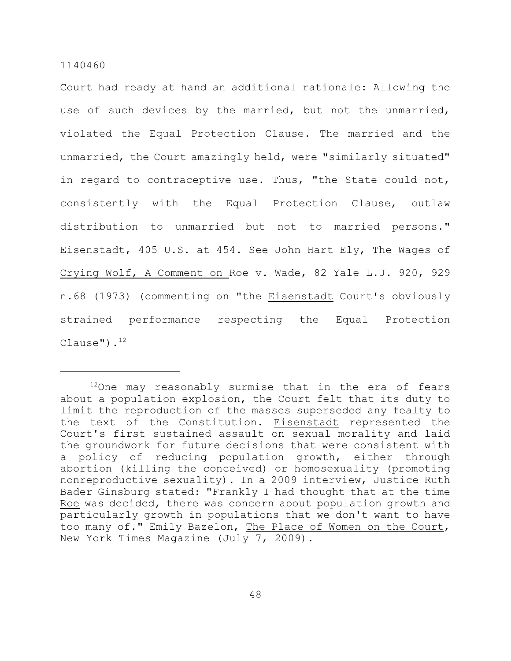Court had ready at hand an additional rationale: Allowing the use of such devices by the married, but not the unmarried, violated the Equal Protection Clause. The married and the unmarried, the Court amazingly held, were "similarly situated" in regard to contraceptive use. Thus, "the State could not, consistently with the Equal Protection Clause, outlaw distribution to unmarried but not to married persons." Eisenstadt, 405 U.S. at 454. See John Hart Ely, The Wages of Crying Wolf, A Comment on Roe v. Wade, 82 Yale L.J. 920, 929 n.68 (1973) (commenting on "the Eisenstadt Court's obviously strained performance respecting the Equal Protection Clause"). $^{12}$ 

 $12$ One may reasonably surmise that in the era of fears about a population explosion, the Court felt that its duty to limit the reproduction of the masses superseded any fealty to the text of the Constitution. Eisenstadt represented the Court's first sustained assault on sexual morality and laid the groundwork for future decisions that were consistent with a policy of reducing population growth, either through abortion (killing the conceived) or homosexuality (promoting nonreproductive sexuality). In a 2009 interview, Justice Ruth Bader Ginsburg stated: "Frankly I had thought that at the time Roe was decided, there was concern about population growth and particularly growth in populations that we don't want to have too many of." Emily Bazelon, The Place of Women on the Court, New York Times Magazine (July 7, 2009).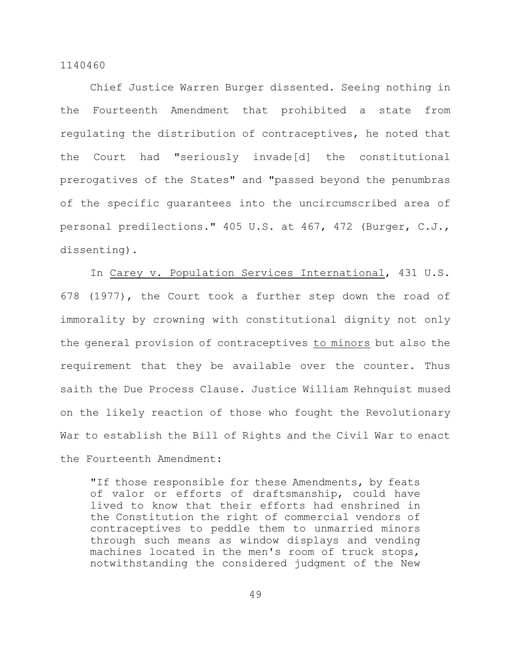Chief Justice Warren Burger dissented. Seeing nothing in the Fourteenth Amendment that prohibited a state from regulating the distribution of contraceptives, he noted that the Court had "seriously invade[d] the constitutional prerogatives of the States" and "passed beyond the penumbras of the specific guarantees into the uncircumscribed area of personal predilections." 405 U.S. at 467, 472 (Burger, C.J., dissenting).

In Carey v. Population Services International, 431 U.S. 678 (1977), the Court took a further step down the road of immorality by crowning with constitutional dignity not only the general provision of contraceptives to minors but also the requirement that they be available over the counter. Thus saith the Due Process Clause. Justice William Rehnquist mused on the likely reaction of those who fought the Revolutionary War to establish the Bill of Rights and the Civil War to enact the Fourteenth Amendment:

"If those responsible for these Amendments, by feats of valor or efforts of draftsmanship, could have lived to know that their efforts had enshrined in the Constitution the right of commercial vendors of contraceptives to peddle them to unmarried minors through such means as window displays and vending machines located in the men's room of truck stops, notwithstanding the considered judgment of the New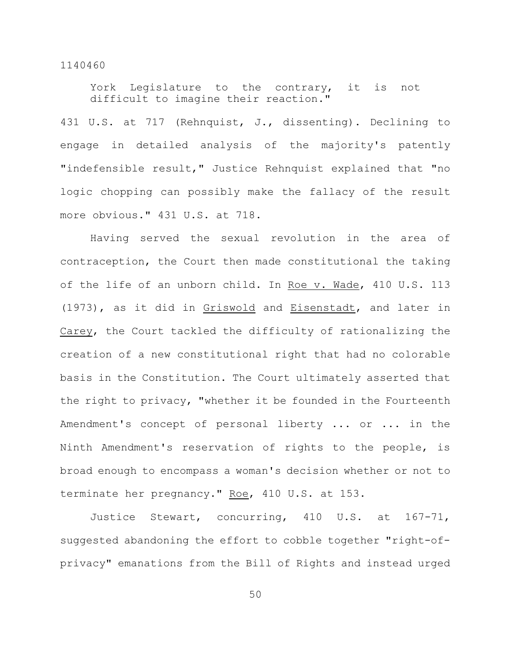York Legislature to the contrary, it is not difficult to imagine their reaction."

431 U.S. at 717 (Rehnquist, J., dissenting). Declining to engage in detailed analysis of the majority's patently "indefensible result," Justice Rehnquist explained that "no logic chopping can possibly make the fallacy of the result more obvious." 431 U.S. at 718.

Having served the sexual revolution in the area of contraception, the Court then made constitutional the taking of the life of an unborn child. In Roe v. Wade, 410 U.S. 113 (1973), as it did in Griswold and Eisenstadt, and later in Carey, the Court tackled the difficulty of rationalizing the creation of a new constitutional right that had no colorable basis in the Constitution. The Court ultimately asserted that the right to privacy, "whether it be founded in the Fourteenth Amendment's concept of personal liberty ... or ... in the Ninth Amendment's reservation of rights to the people, is broad enough to encompass a woman's decision whether or not to terminate her pregnancy." Roe, 410 U.S. at 153.

Justice Stewart, concurring, 410 U.S. at 167-71, suggested abandoning the effort to cobble together "right-ofprivacy" emanations from the Bill of Rights and instead urged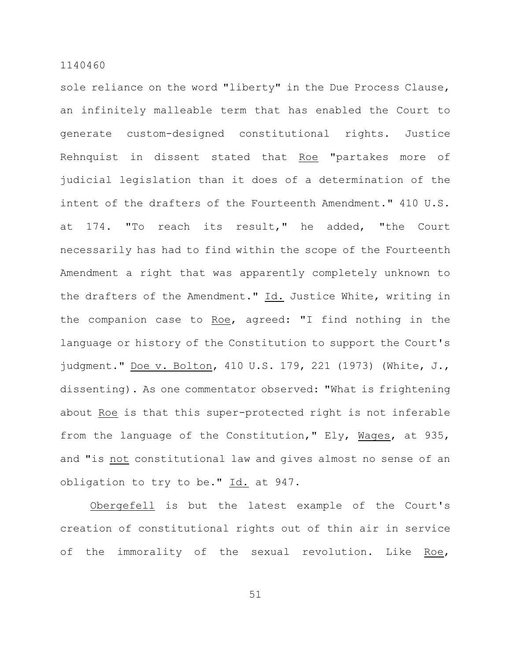sole reliance on the word "liberty" in the Due Process Clause, an infinitely malleable term that has enabled the Court to generate custom-designed constitutional rights. Justice Rehnquist in dissent stated that Roe "partakes more of judicial legislation than it does of a determination of the intent of the drafters of the Fourteenth Amendment." 410 U.S. at 174. "To reach its result," he added, "the Court necessarily has had to find within the scope of the Fourteenth Amendment a right that was apparently completely unknown to the drafters of the Amendment." Id. Justice White, writing in the companion case to Roe, agreed: "I find nothing in the language or history of the Constitution to support the Court's judgment." Doe v. Bolton, 410 U.S. 179, 221 (1973) (White, J., dissenting). As one commentator observed: "What is frightening about Roe is that this super-protected right is not inferable from the language of the Constitution," Ely, Mages, at 935, and "is not constitutional law and gives almost no sense of an obligation to try to be." Id. at 947.

Obergefell is but the latest example of the Court's creation of constitutional rights out of thin air in service of the immorality of the sexual revolution. Like Roe,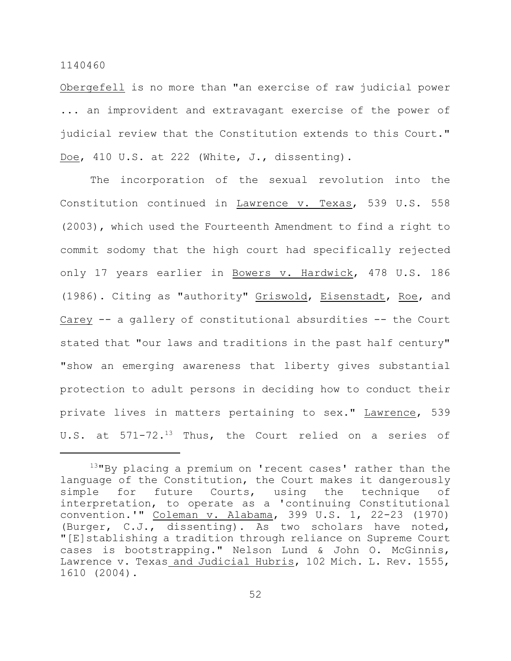Obergefell is no more than "an exercise of raw judicial power ... an improvident and extravagant exercise of the power of judicial review that the Constitution extends to this Court." Doe, 410 U.S. at 222 (White, J., dissenting).

The incorporation of the sexual revolution into the Constitution continued in Lawrence v. Texas, 539 U.S. 558 (2003), which used the Fourteenth Amendment to find a right to commit sodomy that the high court had specifically rejected only 17 years earlier in Bowers v. Hardwick, 478 U.S. 186 (1986). Citing as "authority" Griswold, Eisenstadt, Roe, and Carey -- a gallery of constitutional absurdities -- the Court stated that "our laws and traditions in the past half century" "show an emerging awareness that liberty gives substantial protection to adult persons in deciding how to conduct their private lives in matters pertaining to sex." Lawrence, 539 U.S. at  $571-72.^{13}$  Thus, the Court relied on a series of

 $13$ "By placing a premium on 'recent cases' rather than the language of the Constitution, the Court makes it dangerously simple for future Courts, using the technique of interpretation, to operate as a 'continuing Constitutional convention.'" Coleman v. Alabama, 399 U.S. 1, 22-23 (1970) (Burger, C.J., dissenting). As two scholars have noted, "[E]stablishing a tradition through reliance on Supreme Court cases is bootstrapping." Nelson Lund & John O. McGinnis, Lawrence v. Texas and Judicial Hubris, 102 Mich. L. Rev. 1555, 1610 (2004).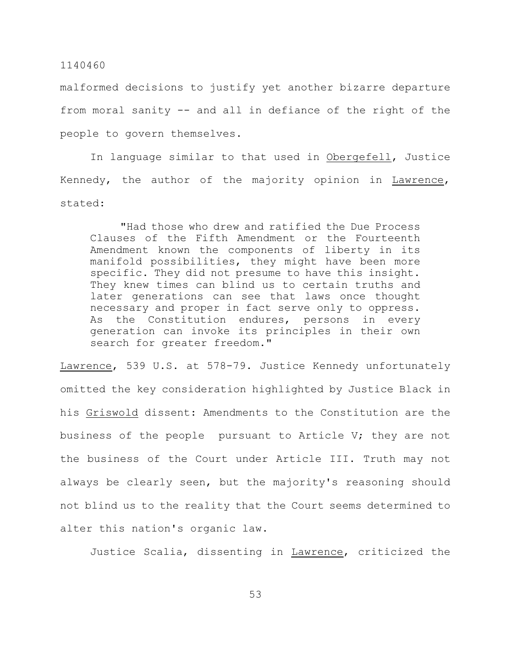malformed decisions to justify yet another bizarre departure from moral sanity -- and all in defiance of the right of the people to govern themselves.

In language similar to that used in Obergefell, Justice Kennedy, the author of the majority opinion in Lawrence, stated:

"Had those who drew and ratified the Due Process Clauses of the Fifth Amendment or the Fourteenth Amendment known the components of liberty in its manifold possibilities, they might have been more specific. They did not presume to have this insight. They knew times can blind us to certain truths and later generations can see that laws once thought necessary and proper in fact serve only to oppress. As the Constitution endures, persons in every generation can invoke its principles in their own search for greater freedom."

Lawrence, 539 U.S. at 578-79. Justice Kennedy unfortunately omitted the key consideration highlighted by Justice Black in his Griswold dissent: Amendments to the Constitution are the business of the people pursuant to Article V; they are not the business of the Court under Article III. Truth may not always be clearly seen, but the majority's reasoning should not blind us to the reality that the Court seems determined to alter this nation's organic law.

Justice Scalia, dissenting in Lawrence, criticized the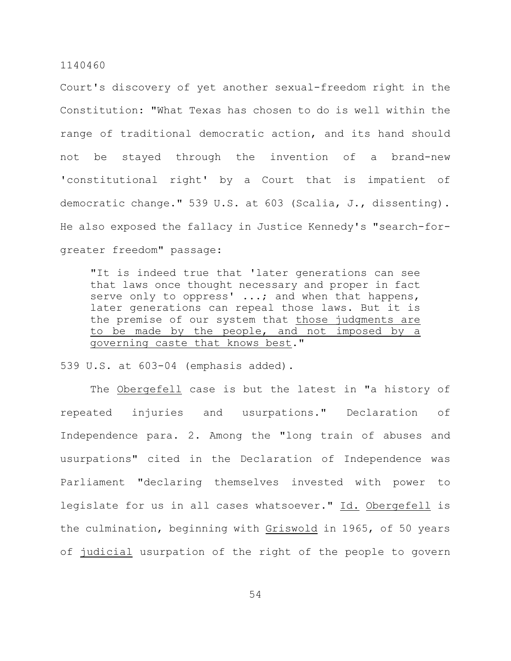Court's discovery of yet another sexual-freedom right in the Constitution: "What Texas has chosen to do is well within the range of traditional democratic action, and its hand should not be stayed through the invention of a brand-new 'constitutional right' by a Court that is impatient of democratic change." 539 U.S. at 603 (Scalia, J., dissenting). He also exposed the fallacy in Justice Kennedy's "search-forgreater freedom" passage:

"It is indeed true that 'later generations can see that laws once thought necessary and proper in fact serve only to oppress' ...; and when that happens, later generations can repeal those laws. But it is the premise of our system that those judgments are to be made by the people, and not imposed by a governing caste that knows best."

539 U.S. at 603-04 (emphasis added).

The Obergefell case is but the latest in "a history of repeated injuries and usurpations." Declaration of Independence para. 2. Among the "long train of abuses and usurpations" cited in the Declaration of Independence was Parliament "declaring themselves invested with power to legislate for us in all cases whatsoever." Id. Obergefell is the culmination, beginning with Griswold in 1965, of 50 years of judicial usurpation of the right of the people to govern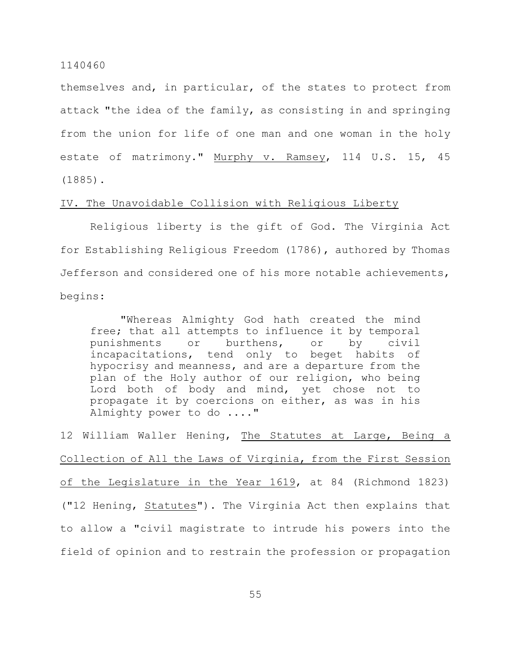themselves and, in particular, of the states to protect from attack "the idea of the family, as consisting in and springing from the union for life of one man and one woman in the holy estate of matrimony." Murphy v. Ramsey, 114 U.S. 15, 45 (1885).

### IV. The Unavoidable Collision with Religious Liberty

Religious liberty is the gift of God. The Virginia Act for Establishing Religious Freedom (1786), authored by Thomas Jefferson and considered one of his more notable achievements, begins:

"Whereas Almighty God hath created the mind free; that all attempts to influence it by temporal punishments or burthens, or by civil incapacitations, tend only to beget habits of hypocrisy and meanness, and are a departure from the plan of the Holy author of our religion, who being Lord both of body and mind, yet chose not to propagate it by coercions on either, as was in his Almighty power to do ...."

12 William Waller Hening, The Statutes at Large, Being a Collection of All the Laws of Virginia, from the First Session of the Legislature in the Year 1619, at 84 (Richmond 1823) ("12 Hening, Statutes"). The Virginia Act then explains that to allow a "civil magistrate to intrude his powers into the field of opinion and to restrain the profession or propagation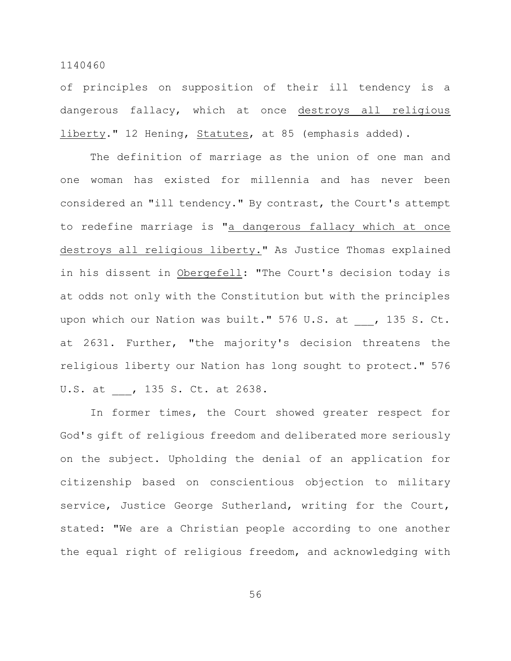of principles on supposition of their ill tendency is a dangerous fallacy, which at once destroys all religious liberty." 12 Hening, Statutes, at 85 (emphasis added).

The definition of marriage as the union of one man and one woman has existed for millennia and has never been considered an "ill tendency." By contrast, the Court's attempt to redefine marriage is "a dangerous fallacy which at once destroys all religious liberty." As Justice Thomas explained in his dissent in Obergefell: "The Court's decision today is at odds not only with the Constitution but with the principles upon which our Nation was built." 576 U.S. at , 135 S. Ct. at 2631. Further, "the majority's decision threatens the religious liberty our Nation has long sought to protect." 576 U.S. at , 135 S. Ct. at 2638.

In former times, the Court showed greater respect for God's gift of religious freedom and deliberated more seriously on the subject. Upholding the denial of an application for citizenship based on conscientious objection to military service, Justice George Sutherland, writing for the Court, stated: "We are a Christian people according to one another the equal right of religious freedom, and acknowledging with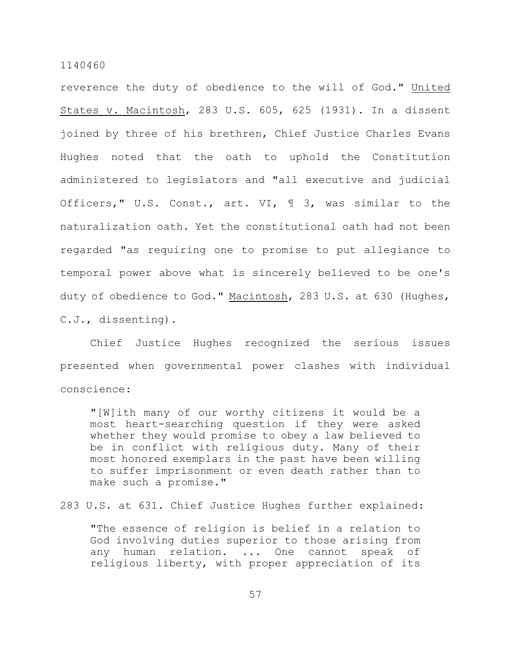reverence the duty of obedience to the will of God." United States v. Macintosh, 283 U.S. 605, 625 (1931). In a dissent joined by three of his brethren, Chief Justice Charles Evans Hughes noted that the oath to uphold the Constitution administered to legislators and "all executive and judicial Officers," U.S. Const., art. VI, ¶ 3, was similar to the naturalization oath. Yet the constitutional oath had not been regarded "as requiring one to promise to put allegiance to temporal power above what is sincerely believed to be one's duty of obedience to God." Macintosh, 283 U.S. at 630 (Hughes, C.J., dissenting).

Chief Justice Hughes recognized the serious issues presented when governmental power clashes with individual conscience:

"[W]ith many of our worthy citizens it would be a most heart-searching question if they were asked whether they would promise to obey a law believed to be in conflict with religious duty. Many of their most honored exemplars in the past have been willing to suffer imprisonment or even death rather than to make such a promise."

283 U.S. at 631. Chief Justice Hughes further explained:

"The essence of religion is belief in a relation to God involving duties superior to those arising from any human relation. ... One cannot speak of religious liberty, with proper appreciation of its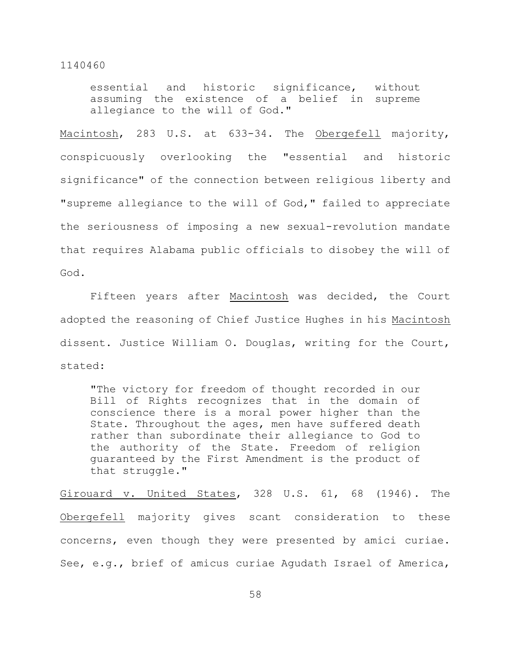essential and historic significance, without assuming the existence of a belief in supreme allegiance to the will of God."

Macintosh, 283 U.S. at 633-34. The Obergefell majority, conspicuously overlooking the "essential and historic significance" of the connection between religious liberty and "supreme allegiance to the will of God," failed to appreciate the seriousness of imposing a new sexual-revolution mandate that requires Alabama public officials to disobey the will of God.

Fifteen years after Macintosh was decided, the Court adopted the reasoning of Chief Justice Hughes in his Macintosh dissent. Justice William O. Douglas, writing for the Court, stated:

"The victory for freedom of thought recorded in our Bill of Rights recognizes that in the domain of conscience there is a moral power higher than the State. Throughout the ages, men have suffered death rather than subordinate their allegiance to God to the authority of the State. Freedom of religion guaranteed by the First Amendment is the product of that struggle."

Girouard v. United States, 328 U.S. 61, 68 (1946). The Obergefell majority gives scant consideration to these concerns, even though they were presented by amici curiae. See, e.g., brief of amicus curiae Agudath Israel of America,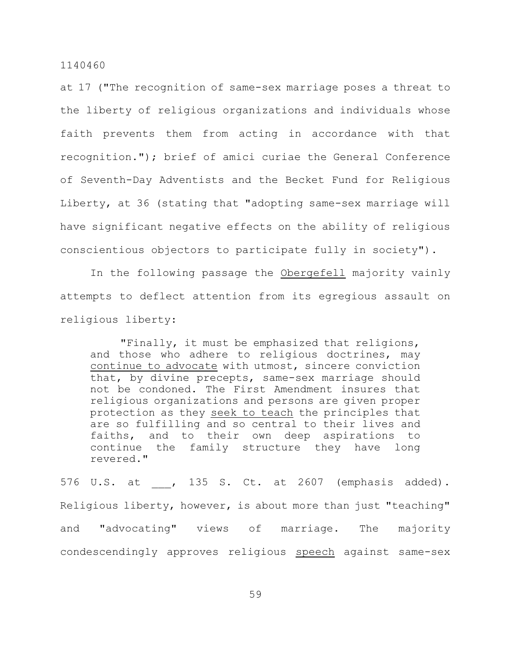at 17 ("The recognition of same-sex marriage poses a threat to the liberty of religious organizations and individuals whose faith prevents them from acting in accordance with that recognition."); brief of amici curiae the General Conference of Seventh-Day Adventists and the Becket Fund for Religious Liberty, at 36 (stating that "adopting same-sex marriage will have significant negative effects on the ability of religious conscientious objectors to participate fully in society").

In the following passage the Obergefell majority vainly attempts to deflect attention from its egregious assault on religious liberty:

"Finally, it must be emphasized that religions, and those who adhere to religious doctrines, may continue to advocate with utmost, sincere conviction that, by divine precepts, same-sex marriage should not be condoned. The First Amendment insures that religious organizations and persons are given proper protection as they seek to teach the principles that are so fulfilling and so central to their lives and faiths, and to their own deep aspirations to continue the family structure they have long revered."

576 U.S. at , 135 S. Ct. at 2607 (emphasis added). Religious liberty, however, is about more than just "teaching" and "advocating" views of marriage. The majority condescendingly approves religious speech against same-sex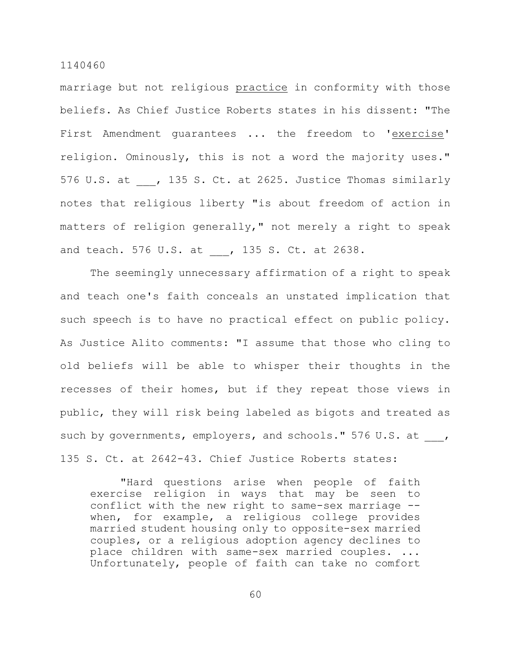marriage but not religious practice in conformity with those beliefs. As Chief Justice Roberts states in his dissent: "The First Amendment guarantees ... the freedom to 'exercise' religion. Ominously, this is not a word the majority uses." 576 U.S. at , 135 S. Ct. at 2625. Justice Thomas similarly notes that religious liberty "is about freedom of action in matters of religion generally," not merely a right to speak and teach. 576 U.S. at , 135 S. Ct. at 2638.

The seemingly unnecessary affirmation of a right to speak and teach one's faith conceals an unstated implication that such speech is to have no practical effect on public policy. As Justice Alito comments: "I assume that those who cling to old beliefs will be able to whisper their thoughts in the recesses of their homes, but if they repeat those views in public, they will risk being labeled as bigots and treated as such by governments, employers, and schools." 576 U.S. at , 135 S. Ct. at 2642-43. Chief Justice Roberts states:

"Hard questions arise when people of faith exercise religion in ways that may be seen to conflict with the new right to same-sex marriage - when, for example, a religious college provides married student housing only to opposite-sex married couples, or a religious adoption agency declines to place children with same-sex married couples. ... Unfortunately, people of faith can take no comfort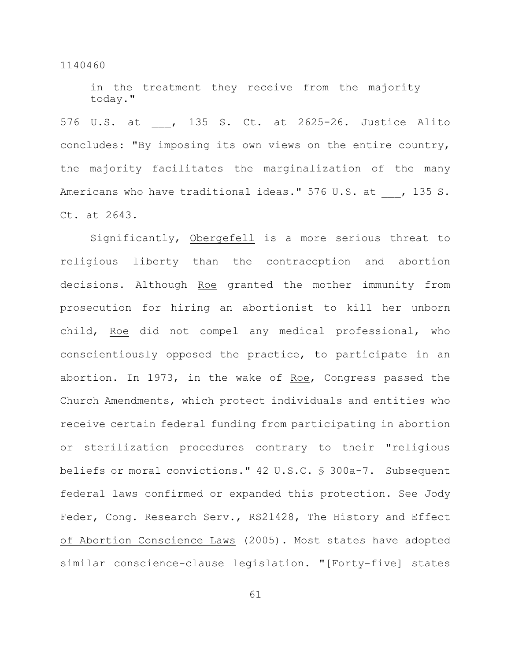in the treatment they receive from the majority today."

576 U.S. at \_\_\_, 135 S. Ct. at 2625-26. Justice Alito concludes: "By imposing its own views on the entire country, the majority facilitates the marginalization of the many Americans who have traditional ideas." 576 U.S. at , 135 S. Ct. at 2643.

Significantly, Obergefell is a more serious threat to religious liberty than the contraception and abortion decisions. Although Roe granted the mother immunity from prosecution for hiring an abortionist to kill her unborn child, Roe did not compel any medical professional, who conscientiously opposed the practice, to participate in an abortion. In 1973, in the wake of Roe, Congress passed the Church Amendments, which protect individuals and entities who receive certain federal funding from participating in abortion or sterilization procedures contrary to their "religious beliefs or moral convictions." 42 U.S.C. § 300a-7. Subsequent federal laws confirmed or expanded this protection. See Jody Feder, Cong. Research Serv., RS21428, The History and Effect of Abortion Conscience Laws (2005). Most states have adopted similar conscience-clause legislation. "[Forty-five] states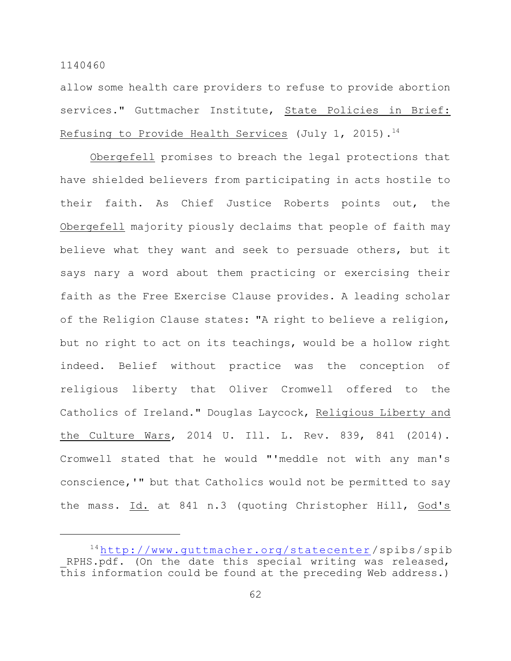allow some health care providers to refuse to provide abortion services." Guttmacher Institute, State Policies in Brief: Refusing to Provide Health Services (July 1, 2015).<sup>14</sup>

Obergefell promises to breach the legal protections that have shielded believers from participating in acts hostile to their faith. As Chief Justice Roberts points out, the Obergefell majority piously declaims that people of faith may believe what they want and seek to persuade others, but it says nary a word about them practicing or exercising their faith as the Free Exercise Clause provides. A leading scholar of the Religion Clause states: "A right to believe a religion, but no right to act on its teachings, would be a hollow right indeed. Belief without practice was the conception of religious liberty that Oliver Cromwell offered to the Catholics of Ireland." Douglas Laycock, Religious Liberty and the Culture Wars, 2014 U. Ill. L. Rev. 839, 841 (2014). Cromwell stated that he would "'meddle not with any man's conscience,'" but that Catholics would not be permitted to say the mass. Id. at 841 n.3 (quoting Christopher Hill, God's

<sup>14</sup><http://www.guttmacher.org/statecenter>/spibs/spib RPHS.pdf. (On the date this special writing was released, this information could be found at the preceding Web address.)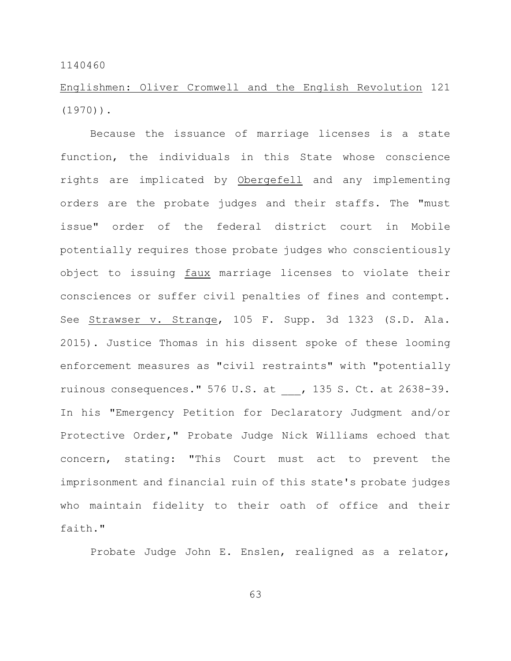Englishmen: Oliver Cromwell and the English Revolution 121 (1970)).

Because the issuance of marriage licenses is a state function, the individuals in this State whose conscience rights are implicated by Obergefell and any implementing orders are the probate judges and their staffs. The "must issue" order of the federal district court in Mobile potentially requires those probate judges who conscientiously object to issuing faux marriage licenses to violate their consciences or suffer civil penalties of fines and contempt. See Strawser v. Strange, 105 F. Supp. 3d 1323 (S.D. Ala. 2015). Justice Thomas in his dissent spoke of these looming enforcement measures as "civil restraints" with "potentially ruinous consequences." 576 U.S. at , 135 S. Ct. at 2638-39. In his "Emergency Petition for Declaratory Judgment and/or Protective Order," Probate Judge Nick Williams echoed that concern, stating: "This Court must act to prevent the imprisonment and financial ruin of this state's probate judges who maintain fidelity to their oath of office and their faith."

Probate Judge John E. Enslen, realigned as a relator,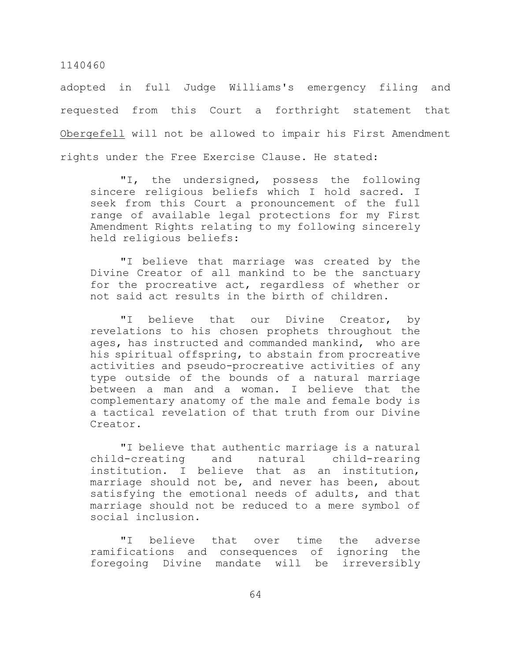adopted in full Judge Williams's emergency filing and requested from this Court a forthright statement that Obergefell will not be allowed to impair his First Amendment rights under the Free Exercise Clause. He stated:

"I, the undersigned, possess the following sincere religious beliefs which I hold sacred. I seek from this Court a pronouncement of the full range of available legal protections for my First Amendment Rights relating to my following sincerely held religious beliefs:

"I believe that marriage was created by the Divine Creator of all mankind to be the sanctuary for the procreative act, regardless of whether or not said act results in the birth of children.

"I believe that our Divine Creator, by revelations to his chosen prophets throughout the ages, has instructed and commanded mankind, who are his spiritual offspring, to abstain from procreative activities and pseudo-procreative activities of any type outside of the bounds of a natural marriage between a man and a woman. I believe that the complementary anatomy of the male and female body is a tactical revelation of that truth from our Divine Creator.

"I believe that authentic marriage is a natural child-creating and natural child-rearing institution. I believe that as an institution, marriage should not be, and never has been, about satisfying the emotional needs of adults, and that marriage should not be reduced to a mere symbol of social inclusion.

"I believe that over time the adverse ramifications and consequences of ignoring the foregoing Divine mandate will be irreversibly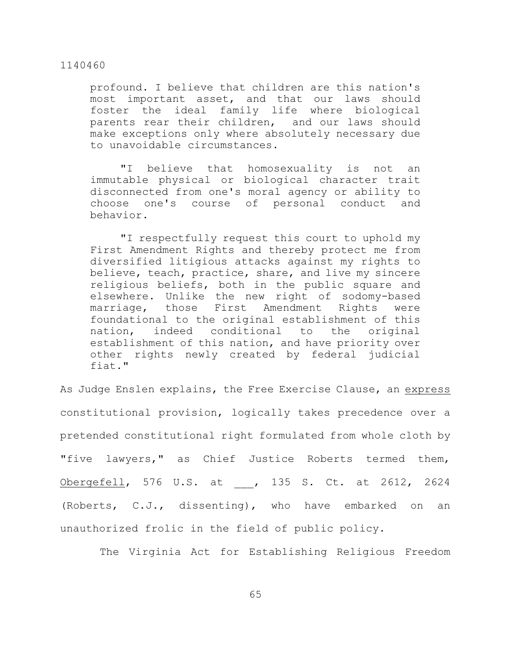profound. I believe that children are this nation's most important asset, and that our laws should foster the ideal family life where biological parents rear their children, and our laws should make exceptions only where absolutely necessary due to unavoidable circumstances.

"I believe that homosexuality is not an immutable physical or biological character trait disconnected from one's moral agency or ability to choose one's course of personal conduct and behavior.

"I respectfully request this court to uphold my First Amendment Rights and thereby protect me from diversified litigious attacks against my rights to believe, teach, practice, share, and live my sincere religious beliefs, both in the public square and elsewhere. Unlike the new right of sodomy-based marriage, those First Amendment Rights were foundational to the original establishment of this nation, indeed conditional to the original establishment of this nation, and have priority over other rights newly created by federal judicial fiat."

As Judge Enslen explains, the Free Exercise Clause, an express constitutional provision, logically takes precedence over a pretended constitutional right formulated from whole cloth by "five lawyers," as Chief Justice Roberts termed them, Obergefell, 576 U.S. at , 135 S. Ct. at 2612, 2624 (Roberts, C.J., dissenting), who have embarked on an unauthorized frolic in the field of public policy.

The Virginia Act for Establishing Religious Freedom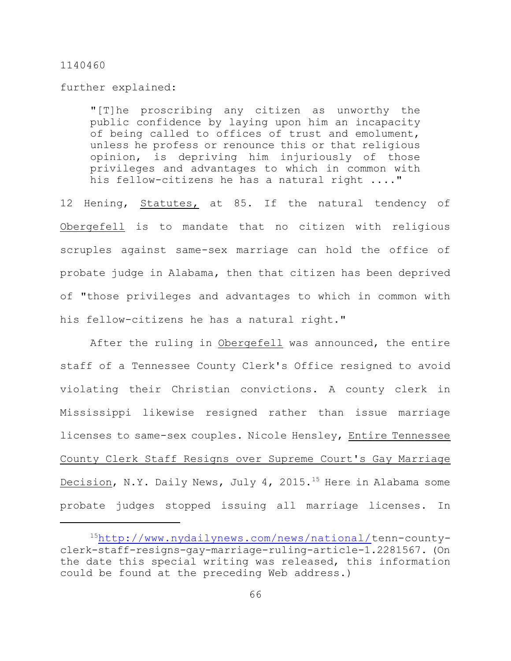further explained:

"[T]he proscribing any citizen as unworthy the public confidence by laying upon him an incapacity of being called to offices of trust and emolument, unless he profess or renounce this or that religious opinion, is depriving him injuriously of those privileges and advantages to which in common with his fellow-citizens he has a natural right ...."

12 Hening, Statutes, at 85. If the natural tendency of Obergefell is to mandate that no citizen with religious scruples against same-sex marriage can hold the office of probate judge in Alabama, then that citizen has been deprived of "those privileges and advantages to which in common with his fellow-citizens he has a natural right."

After the ruling in Obergefell was announced, the entire staff of a Tennessee County Clerk's Office resigned to avoid violating their Christian convictions. A county clerk in Mississippi likewise resigned rather than issue marriage licenses to same-sex couples. Nicole Hensley, Entire Tennessee County Clerk Staff Resigns over Supreme Court's Gay Marriage Decision, N.Y. Daily News, July 4, 2015.<sup>15</sup> Here in Alabama some probate judges stopped issuing all marriage licenses. In

<sup>15</sup><http://www.nydailynews.com/news/national/>tenn-countyclerk-staff-resigns-gay-marriage-ruling-article-1.2281567. (On the date this special writing was released, this information could be found at the preceding Web address.)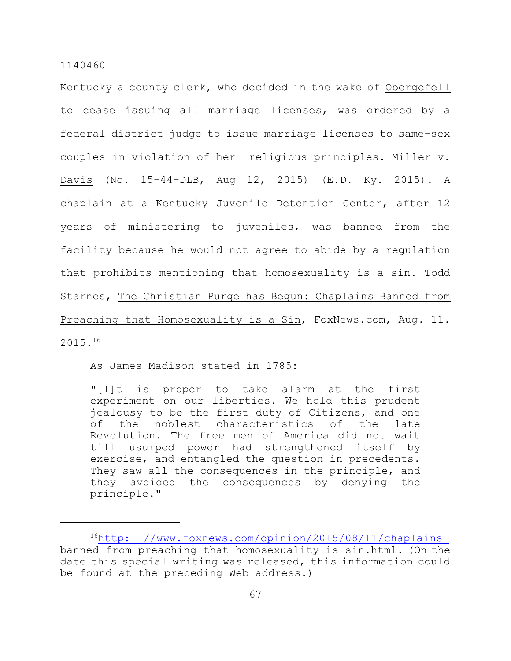Kentucky a county clerk, who decided in the wake of Obergefell to cease issuing all marriage licenses, was ordered by a federal district judge to issue marriage licenses to same-sex couples in violation of her religious principles. Miller v. Davis (No. 15-44-DLB, Aug 12, 2015) (E.D. Ky. 2015). A chaplain at a Kentucky Juvenile Detention Center, after 12 years of ministering to juveniles, was banned from the facility because he would not agree to abide by a regulation that prohibits mentioning that homosexuality is a sin. Todd Starnes, The Christian Purge has Begun: Chaplains Banned from Preaching that Homosexuality is a Sin, FoxNews.com, Aug. 11. 2015.<sup>16</sup>

As James Madison stated in 1785:

"[I]t is proper to take alarm at the first experiment on our liberties. We hold this prudent jealousy to be the first duty of Citizens, and one of the noblest characteristics of the late Revolution. The free men of America did not wait till usurped power had strengthened itself by exercise, and entangled the question in precedents. They saw all the consequences in the principle, and they avoided the consequences by denying the principle."

 $16$ [http: //www.foxnews.com/opinion/2015/08/11/chaplains](http://www.foxnews.com/opinion/2015/08/11/chaplains-)banned-from-preaching-that-homosexuality-is-sin.html. (On the date this special writing was released, this information could be found at the preceding Web address.)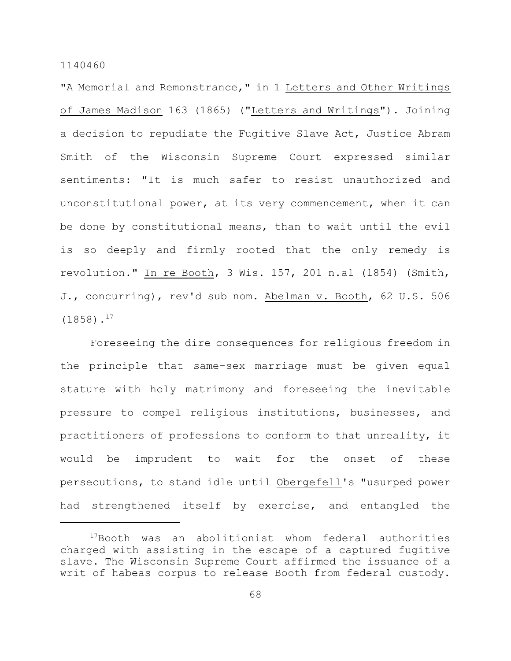"A Memorial and Remonstrance," in 1 Letters and Other Writings of James Madison 163 (1865) ("Letters and Writings"). Joining a decision to repudiate the Fugitive Slave Act, Justice Abram Smith of the Wisconsin Supreme Court expressed similar sentiments: "It is much safer to resist unauthorized and unconstitutional power, at its very commencement, when it can be done by constitutional means, than to wait until the evil is so deeply and firmly rooted that the only remedy is revolution." In re Booth, 3 Wis. 157, 201 n.a1 (1854) (Smith, J., concurring), rev'd sub nom. Abelman v. Booth, 62 U.S. 506  $(1858)$ .<sup>17</sup>

Foreseeing the dire consequences for religious freedom in the principle that same-sex marriage must be given equal stature with holy matrimony and foreseeing the inevitable pressure to compel religious institutions, businesses, and practitioners of professions to conform to that unreality, it would be imprudent to wait for the onset of these persecutions, to stand idle until Obergefell's "usurped power had strengthened itself by exercise, and entangled the

 $17$ Booth was an abolitionist whom federal authorities charged with assisting in the escape of a captured fugitive slave. The Wisconsin Supreme Court affirmed the issuance of a writ of habeas corpus to release Booth from federal custody.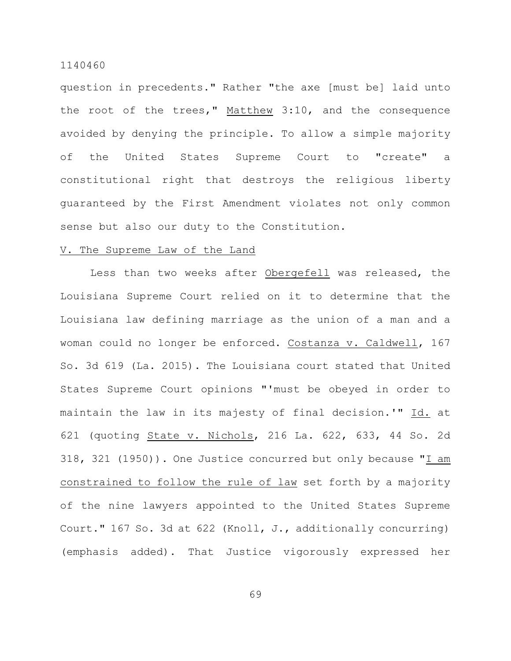question in precedents." Rather "the axe [must be] laid unto the root of the trees," Matthew 3:10, and the consequence avoided by denying the principle. To allow a simple majority of the United States Supreme Court to "create" a constitutional right that destroys the religious liberty guaranteed by the First Amendment violates not only common sense but also our duty to the Constitution.

### V. The Supreme Law of the Land

Less than two weeks after Obergefell was released, the Louisiana Supreme Court relied on it to determine that the Louisiana law defining marriage as the union of a man and a woman could no longer be enforced. Costanza v. Caldwell, 167 So. 3d 619 (La. 2015). The Louisiana court stated that United States Supreme Court opinions "'must be obeyed in order to maintain the law in its majesty of final decision.'" Id. at 621 (quoting State v. Nichols, 216 La. 622, 633, 44 So. 2d 318, 321 (1950)). One Justice concurred but only because "I am constrained to follow the rule of law set forth by a majority of the nine lawyers appointed to the United States Supreme Court." 167 So. 3d at 622 (Knoll, J., additionally concurring) (emphasis added). That Justice vigorously expressed her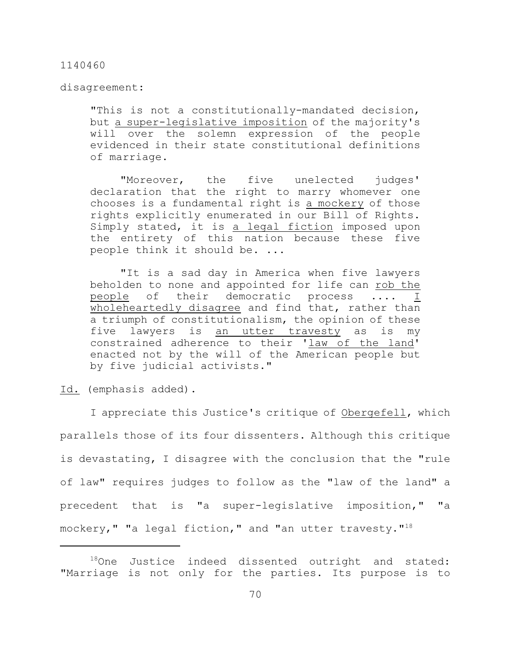disagreement:

"This is not a constitutionally-mandated decision, but a super-legislative imposition of the majority's will over the solemn expression of the people evidenced in their state constitutional definitions of marriage.

"Moreover, the five unelected judges' declaration that the right to marry whomever one chooses is a fundamental right is a mockery of those rights explicitly enumerated in our Bill of Rights. Simply stated, it is a legal fiction imposed upon the entirety of this nation because these five people think it should be. ...

"It is a sad day in America when five lawyers beholden to none and appointed for life can rob the people of their democratic process .... I wholeheartedly disagree and find that, rather than a triumph of constitutionalism, the opinion of these five lawyers is an utter travesty as is my constrained adherence to their 'law of the land' enacted not by the will of the American people but by five judicial activists."

Id. (emphasis added).

I appreciate this Justice's critique of Obergefell, which parallels those of its four dissenters. Although this critique is devastating, I disagree with the conclusion that the "rule of law" requires judges to follow as the "law of the land" a precedent that is "a super-legislative imposition," "a mockery," "a legal fiction," and "an utter travesty."<sup>18</sup>

 $18$ One Justice indeed dissented outright and stated: "Marriage is not only for the parties. Its purpose is to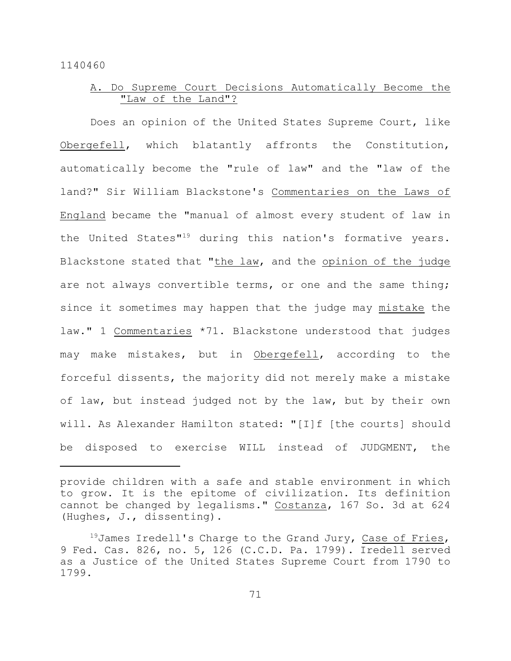# A. Do Supreme Court Decisions Automatically Become the "Law of the Land"?

Does an opinion of the United States Supreme Court, like Obergefell, which blatantly affronts the Constitution, automatically become the "rule of law" and the "law of the land?" Sir William Blackstone's Commentaries on the Laws of England became the "manual of almost every student of law in the United States"<sup>19</sup> during this nation's formative years. Blackstone stated that "the law, and the opinion of the judge are not always convertible terms, or one and the same thing; since it sometimes may happen that the judge may mistake the law." 1 Commentaries \*71. Blackstone understood that judges may make mistakes, but in Obergefell, according to the forceful dissents, the majority did not merely make a mistake of law, but instead judged not by the law, but by their own will. As Alexander Hamilton stated: "[I]f [the courts] should be disposed to exercise WILL instead of JUDGMENT, the

provide children with a safe and stable environment in which to grow. It is the epitome of civilization. Its definition cannot be changed by legalisms." Costanza, 167 So. 3d at 624 (Hughes, J., dissenting).

 $^{19}$ James Iredell's Charge to the Grand Jury, Case of Fries, 9 Fed. Cas. 826, no. 5, 126 (C.C.D. Pa. 1799). Iredell served as a Justice of the United States Supreme Court from 1790 to 1799.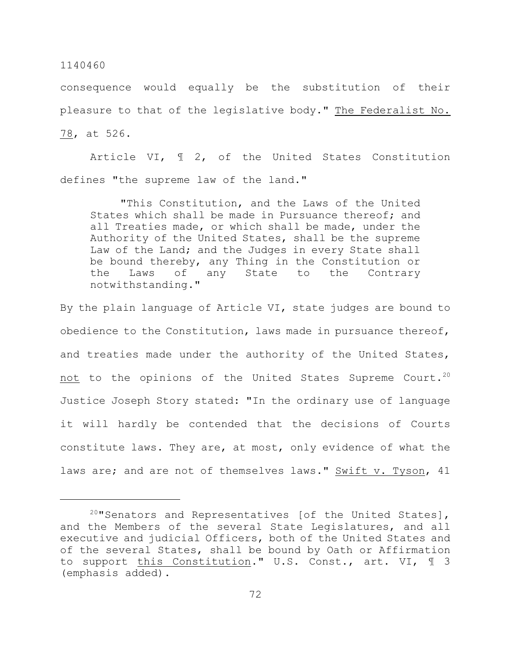consequence would equally be the substitution of their pleasure to that of the legislative body." The Federalist No. 78, at 526.

Article VI, ¶ 2, of the United States Constitution defines "the supreme law of the land."

"This Constitution, and the Laws of the United States which shall be made in Pursuance thereof; and all Treaties made, or which shall be made, under the Authority of the United States, shall be the supreme Law of the Land; and the Judges in every State shall be bound thereby, any Thing in the Constitution or the Laws of any State to the Contrary notwithstanding."

By the plain language of Article VI, state judges are bound to obedience to the Constitution, laws made in pursuance thereof, and treaties made under the authority of the United States, not to the opinions of the United States Supreme Court.<sup>20</sup> Justice Joseph Story stated: "In the ordinary use of language it will hardly be contended that the decisions of Courts constitute laws. They are, at most, only evidence of what the laws are; and are not of themselves laws." Swift v. Tyson, 41

 $20$ "Senators and Representatives [of the United States], and the Members of the several State Legislatures, and all executive and judicial Officers, both of the United States and of the several States, shall be bound by Oath or Affirmation to support this Constitution." U.S. Const., art. VI, 1 3 (emphasis added).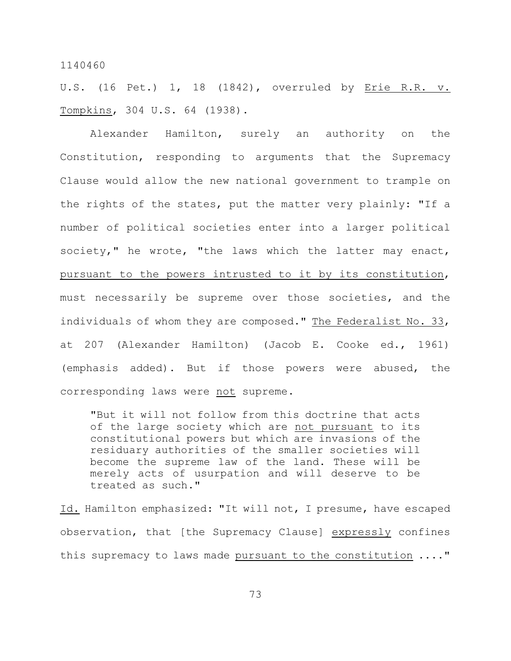U.S. (16 Pet.) 1, 18 (1842), overruled by Erie R.R. v. Tompkins, 304 U.S. 64 (1938).

Alexander Hamilton, surely an authority on the Constitution, responding to arguments that the Supremacy Clause would allow the new national government to trample on the rights of the states, put the matter very plainly: "If a number of political societies enter into a larger political society," he wrote, "the laws which the latter may enact, pursuant to the powers intrusted to it by its constitution, must necessarily be supreme over those societies, and the individuals of whom they are composed." The Federalist No. 33, at 207 (Alexander Hamilton) (Jacob E. Cooke ed., 1961) (emphasis added). But if those powers were abused, the corresponding laws were not supreme.

"But it will not follow from this doctrine that acts of the large society which are not pursuant to its constitutional powers but which are invasions of the residuary authorities of the smaller societies will become the supreme law of the land. These will be merely acts of usurpation and will deserve to be treated as such."

Id. Hamilton emphasized: "It will not, I presume, have escaped observation, that [the Supremacy Clause] expressly confines this supremacy to laws made pursuant to the constitution ...."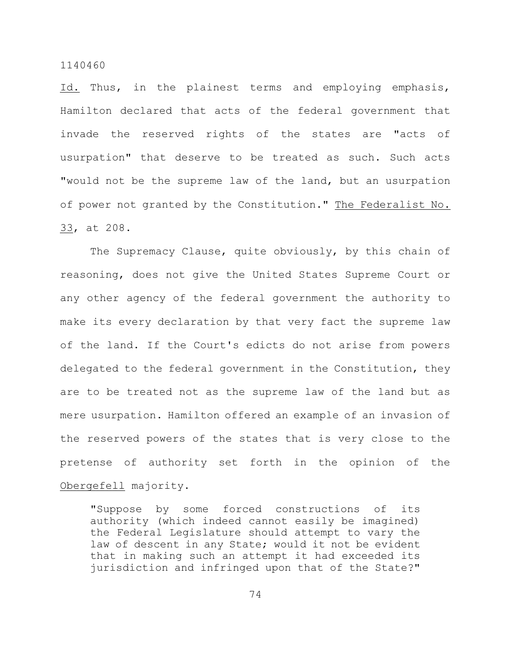Id. Thus, in the plainest terms and employing emphasis, Hamilton declared that acts of the federal government that invade the reserved rights of the states are "acts of usurpation" that deserve to be treated as such. Such acts "would not be the supreme law of the land, but an usurpation of power not granted by the Constitution." The Federalist No. 33, at 208.

The Supremacy Clause, quite obviously, by this chain of reasoning, does not give the United States Supreme Court or any other agency of the federal government the authority to make its every declaration by that very fact the supreme law of the land. If the Court's edicts do not arise from powers delegated to the federal government in the Constitution, they are to be treated not as the supreme law of the land but as mere usurpation. Hamilton offered an example of an invasion of the reserved powers of the states that is very close to the pretense of authority set forth in the opinion of the Obergefell majority.

"Suppose by some forced constructions of its authority (which indeed cannot easily be imagined) the Federal Legislature should attempt to vary the law of descent in any State; would it not be evident that in making such an attempt it had exceeded its jurisdiction and infringed upon that of the State?"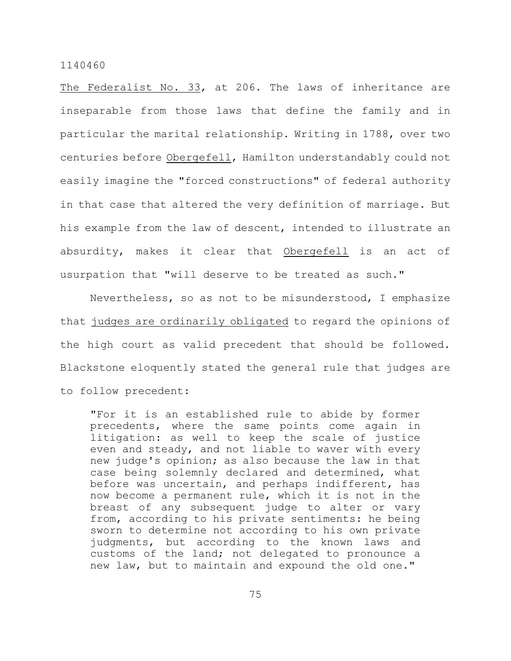The Federalist No. 33, at 206. The laws of inheritance are inseparable from those laws that define the family and in particular the marital relationship. Writing in 1788, over two centuries before Obergefell, Hamilton understandably could not easily imagine the "forced constructions" of federal authority in that case that altered the very definition of marriage. But his example from the law of descent, intended to illustrate an absurdity, makes it clear that Obergefell is an act of usurpation that "will deserve to be treated as such."

Nevertheless, so as not to be misunderstood, I emphasize that judges are ordinarily obligated to regard the opinions of the high court as valid precedent that should be followed. Blackstone eloquently stated the general rule that judges are to follow precedent:

"For it is an established rule to abide by former precedents, where the same points come again in litigation: as well to keep the scale of justice even and steady, and not liable to waver with every new judge's opinion; as also because the law in that case being solemnly declared and determined, what before was uncertain, and perhaps indifferent, has now become a permanent rule, which it is not in the breast of any subsequent judge to alter or vary from, according to his private sentiments: he being sworn to determine not according to his own private judgments, but according to the known laws and customs of the land; not delegated to pronounce a new law, but to maintain and expound the old one."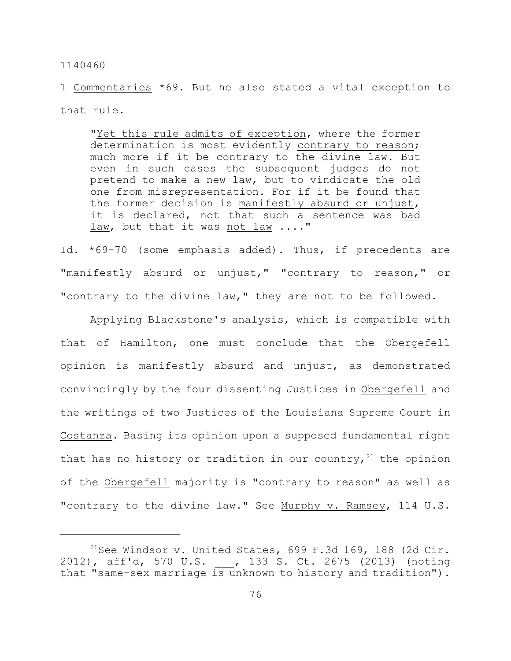1 Commentaries \*69. But he also stated a vital exception to that rule.

"Yet this rule admits of exception, where the former determination is most evidently contrary to reason; much more if it be contrary to the divine law. But even in such cases the subsequent judges do not pretend to make a new law, but to vindicate the old one from misrepresentation. For if it be found that the former decision is manifestly absurd or unjust, it is declared, not that such a sentence was bad law, but that it was not law ...."

Id. \*69-70 (some emphasis added). Thus, if precedents are "manifestly absurd or unjust," "contrary to reason," or "contrary to the divine law," they are not to be followed.

Applying Blackstone's analysis, which is compatible with that of Hamilton, one must conclude that the Obergefell opinion is manifestly absurd and unjust, as demonstrated convincingly by the four dissenting Justices in Obergefell and the writings of two Justices of the Louisiana Supreme Court in Costanza. Basing its opinion upon a supposed fundamental right that has no history or tradition in our country,  $21$  the opinion of the Obergefell majority is "contrary to reason" as well as "contrary to the divine law." See Murphy v. Ramsey, 114 U.S.

<sup>&</sup>lt;sup>21</sup>See <u>Windsor v. United States</u>, 699 F.3d 169, 188 (2d Cir. 2012), aff'd, 570 U.S. , 133 S. Ct. 2675 (2013) (noting that "same-sex marriage is unknown to history and tradition").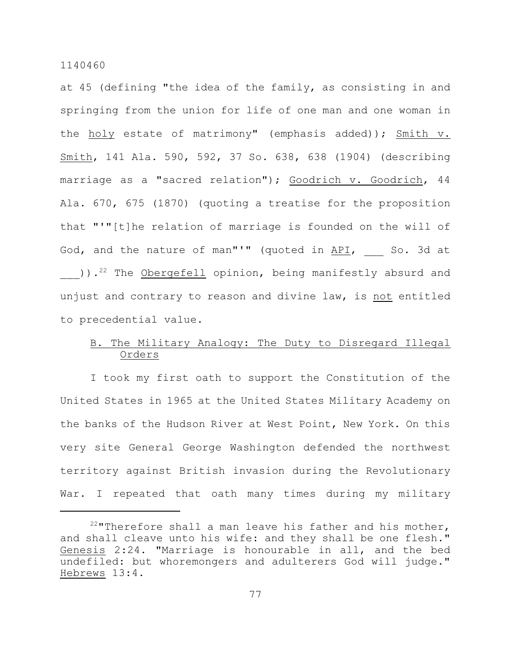at 45 (defining "the idea of the family, as consisting in and springing from the union for life of one man and one woman in the holy estate of matrimony" (emphasis added)); Smith v. Smith, 141 Ala. 590, 592, 37 So. 638, 638 (1904) (describing marriage as a "sacred relation"); Goodrich v. Goodrich, 44 Ala. 670, 675 (1870) (quoting a treatise for the proposition that "'"[t]he relation of marriage is founded on the will of God, and the nature of man"'" (quoted in API, So. 3d at )).<sup>22</sup> The <u>Obergefell</u> opinion, being manifestly absurd and unjust and contrary to reason and divine law, is not entitled to precedential value.

# B. The Military Analogy: The Duty to Disregard Illegal Orders

I took my first oath to support the Constitution of the United States in 1965 at the United States Military Academy on the banks of the Hudson River at West Point, New York. On this very site General George Washington defended the northwest territory against British invasion during the Revolutionary War. I repeated that oath many times during my military

 $22$ "Therefore shall a man leave his father and his mother, and shall cleave unto his wife: and they shall be one flesh." Genesis 2:24. "Marriage is honourable in all, and the bed undefiled: but whoremongers and adulterers God will judge." Hebrews 13:4.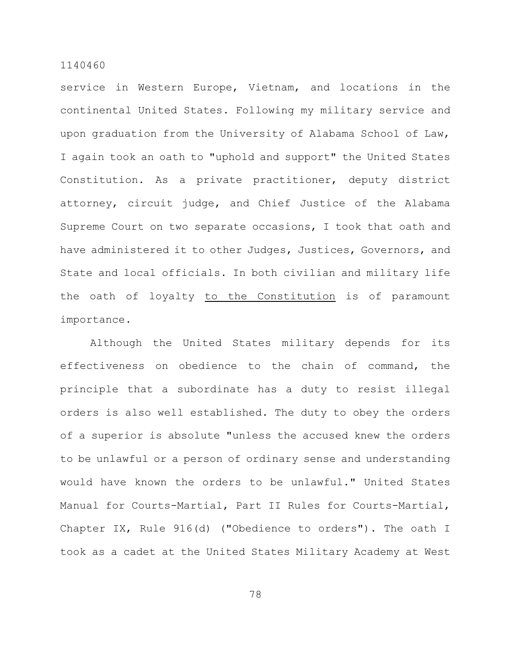service in Western Europe, Vietnam, and locations in the continental United States. Following my military service and upon graduation from the University of Alabama School of Law, I again took an oath to "uphold and support" the United States Constitution. As a private practitioner, deputy district attorney, circuit judge, and Chief Justice of the Alabama Supreme Court on two separate occasions, I took that oath and have administered it to other Judges, Justices, Governors, and State and local officials. In both civilian and military life the oath of loyalty to the Constitution is of paramount importance.

Although the United States military depends for its effectiveness on obedience to the chain of command, the principle that a subordinate has a duty to resist illegal orders is also well established. The duty to obey the orders of a superior is absolute "unless the accused knew the orders to be unlawful or a person of ordinary sense and understanding would have known the orders to be unlawful." United States Manual for Courts-Martial, Part II Rules for Courts-Martial, Chapter IX, Rule 916(d) ("Obedience to orders"). The oath I took as a cadet at the United States Military Academy at West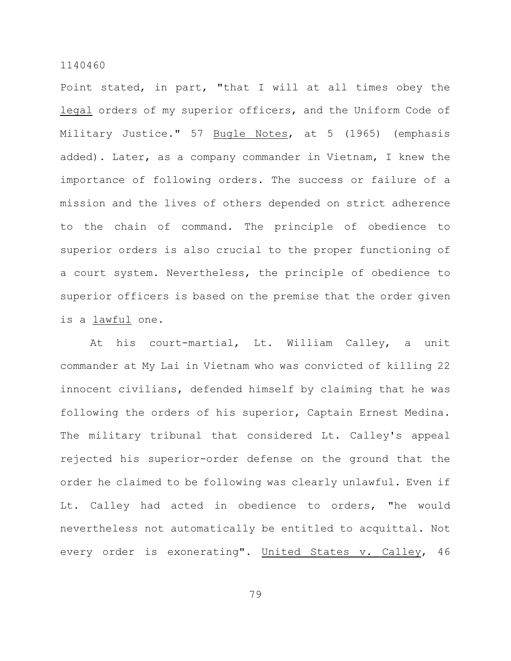Point stated, in part, "that I will at all times obey the legal orders of my superior officers, and the Uniform Code of Military Justice." 57 Bugle Notes, at 5 (1965) (emphasis added). Later, as a company commander in Vietnam, I knew the importance of following orders. The success or failure of a mission and the lives of others depended on strict adherence to the chain of command. The principle of obedience to superior orders is also crucial to the proper functioning of a court system. Nevertheless, the principle of obedience to superior officers is based on the premise that the order given is a lawful one.

At his court-martial, Lt. William Calley, a unit commander at My Lai in Vietnam who was convicted of killing 22 innocent civilians, defended himself by claiming that he was following the orders of his superior, Captain Ernest Medina. The military tribunal that considered Lt. Calley's appeal rejected his superior-order defense on the ground that the order he claimed to be following was clearly unlawful. Even if Lt. Calley had acted in obedience to orders, "he would nevertheless not automatically be entitled to acquittal. Not every order is exonerating". United States v. Calley, 46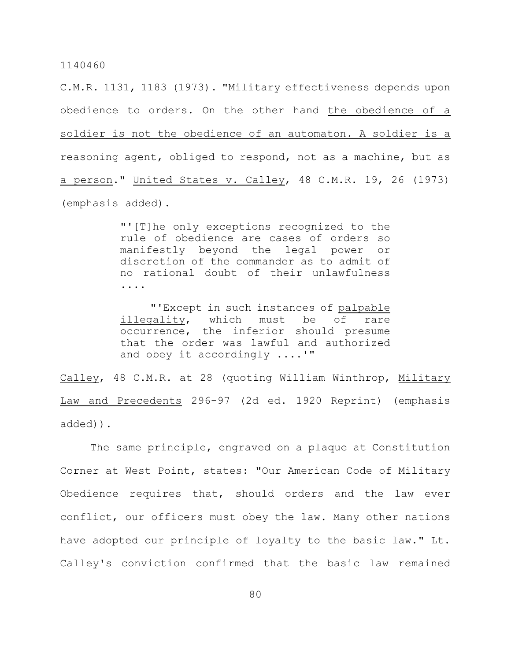C.M.R. 1131, 1183 (1973). "Military effectiveness depends upon obedience to orders. On the other hand the obedience of a soldier is not the obedience of an automaton. A soldier is a reasoning agent, obliged to respond, not as a machine, but as a person." United States v. Calley, 48 C.M.R. 19, 26 (1973) (emphasis added).

> "'[T]he only exceptions recognized to the rule of obedience are cases of orders so manifestly beyond the legal power or discretion of the commander as to admit of no rational doubt of their unlawfulness ....

> "'Except in such instances of palpable illegality, which must be of rare occurrence, the inferior should presume that the order was lawful and authorized and obey it accordingly ....'"

Calley, 48 C.M.R. at 28 (quoting William Winthrop, Military Law and Precedents 296-97 (2d ed. 1920 Reprint) (emphasis added)).

The same principle, engraved on a plaque at Constitution Corner at West Point, states: "Our American Code of Military Obedience requires that, should orders and the law ever conflict, our officers must obey the law. Many other nations have adopted our principle of loyalty to the basic law." Lt. Calley's conviction confirmed that the basic law remained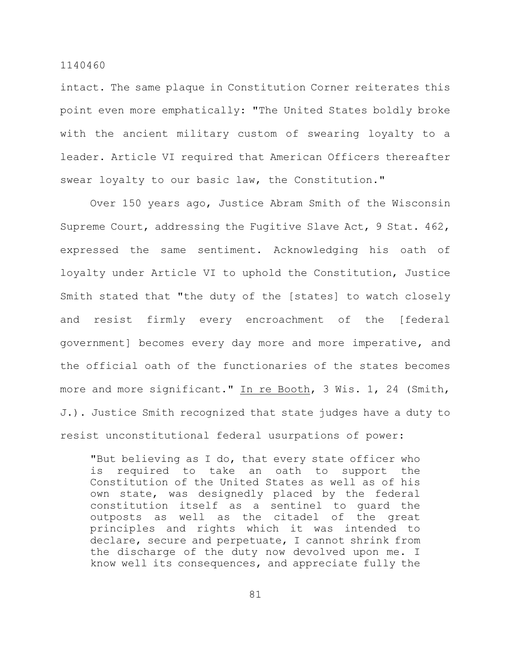intact. The same plaque in Constitution Corner reiterates this point even more emphatically: "The United States boldly broke with the ancient military custom of swearing loyalty to a leader. Article VI required that American Officers thereafter swear loyalty to our basic law, the Constitution."

Over 150 years ago, Justice Abram Smith of the Wisconsin Supreme Court, addressing the Fugitive Slave Act, 9 Stat. 462, expressed the same sentiment. Acknowledging his oath of loyalty under Article VI to uphold the Constitution, Justice Smith stated that "the duty of the [states] to watch closely and resist firmly every encroachment of the [federal government] becomes every day more and more imperative, and the official oath of the functionaries of the states becomes more and more significant." In re Booth, 3 Wis. 1, 24 (Smith, J.). Justice Smith recognized that state judges have a duty to resist unconstitutional federal usurpations of power:

"But believing as I do, that every state officer who is required to take an oath to support the Constitution of the United States as well as of his own state, was designedly placed by the federal constitution itself as a sentinel to guard the outposts as well as the citadel of the great principles and rights which it was intended to declare, secure and perpetuate, I cannot shrink from the discharge of the duty now devolved upon me. I know well its consequences, and appreciate fully the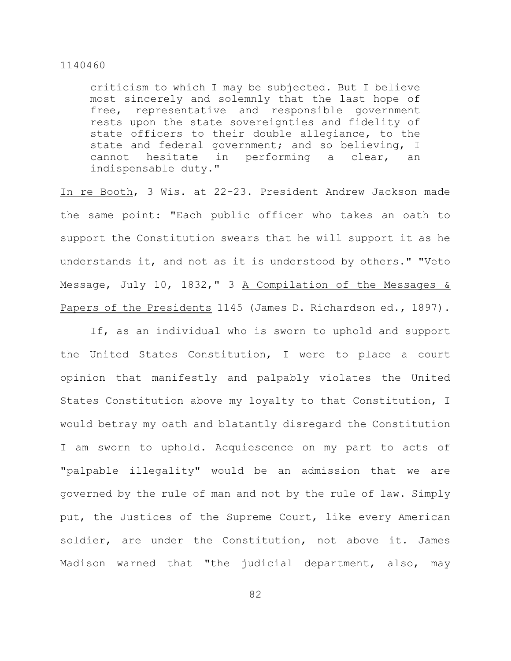criticism to which I may be subjected. But I believe most sincerely and solemnly that the last hope of free, representative and responsible government rests upon the state sovereignties and fidelity of state officers to their double allegiance, to the state and federal government; and so believing, I cannot hesitate in performing a clear, an indispensable duty."

In re Booth, 3 Wis. at 22-23. President Andrew Jackson made the same point: "Each public officer who takes an oath to support the Constitution swears that he will support it as he understands it, and not as it is understood by others." "Veto Message, July 10, 1832," 3 A Compilation of the Messages & Papers of the Presidents 1145 (James D. Richardson ed., 1897).

If, as an individual who is sworn to uphold and support the United States Constitution, I were to place a court opinion that manifestly and palpably violates the United States Constitution above my loyalty to that Constitution, I would betray my oath and blatantly disregard the Constitution I am sworn to uphold. Acquiescence on my part to acts of "palpable illegality" would be an admission that we are governed by the rule of man and not by the rule of law. Simply put, the Justices of the Supreme Court, like every American soldier, are under the Constitution, not above it. James Madison warned that "the judicial department, also, may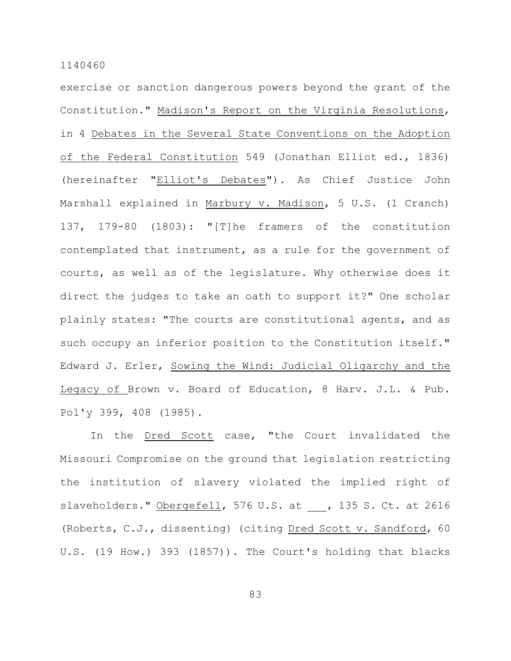exercise or sanction dangerous powers beyond the grant of the Constitution." Madison's Report on the Virginia Resolutions, in 4 Debates in the Several State Conventions on the Adoption of the Federal Constitution 549 (Jonathan Elliot ed., 1836) (hereinafter "Elliot's Debates"). As Chief Justice John Marshall explained in Marbury v. Madison, 5 U.S. (1 Cranch) 137, 179-80 (1803): "[T]he framers of the constitution contemplated that instrument, as a rule for the government of courts, as well as of the legislature. Why otherwise does it direct the judges to take an oath to support it?" One scholar plainly states: "The courts are constitutional agents, and as such occupy an inferior position to the Constitution itself." Edward J. Erler, Sowing the Wind: Judicial Oligarchy and the Legacy of Brown v. Board of Education, 8 Harv. J.L. & Pub. Pol'y 399, 408 (1985).

In the Dred Scott case, "the Court invalidated the Missouri Compromise on the ground that legislation restricting the institution of slavery violated the implied right of slaveholders." Obergefell, 576 U.S. at , 135 S. Ct. at 2616 (Roberts, C.J., dissenting) (citing Dred Scott v. Sandford, 60 U.S. (19 How.) 393 (1857)). The Court's holding that blacks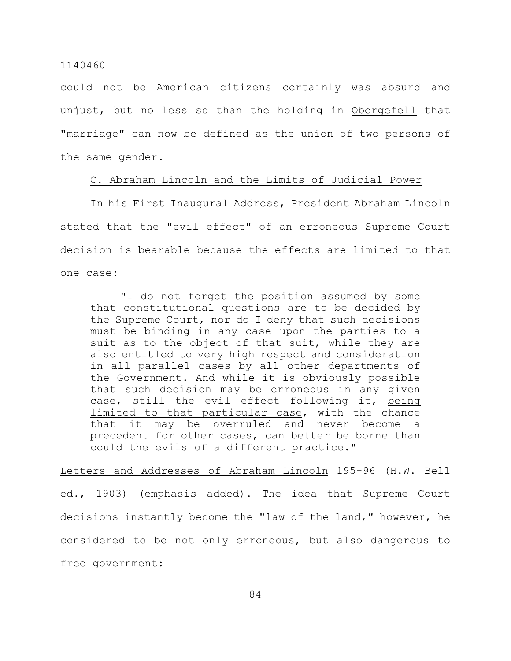could not be American citizens certainly was absurd and unjust, but no less so than the holding in Obergefell that "marriage" can now be defined as the union of two persons of the same gender.

# C. Abraham Lincoln and the Limits of Judicial Power

In his First Inaugural Address, President Abraham Lincoln stated that the "evil effect" of an erroneous Supreme Court decision is bearable because the effects are limited to that one case:

"I do not forget the position assumed by some that constitutional questions are to be decided by the Supreme Court, nor do I deny that such decisions must be binding in any case upon the parties to a suit as to the object of that suit, while they are also entitled to very high respect and consideration in all parallel cases by all other departments of the Government. And while it is obviously possible that such decision may be erroneous in any given case, still the evil effect following it, being limited to that particular case, with the chance that it may be overruled and never become a precedent for other cases, can better be borne than could the evils of a different practice."

Letters and Addresses of Abraham Lincoln 195-96 (H.W. Bell ed., 1903) (emphasis added). The idea that Supreme Court decisions instantly become the "law of the land," however, he considered to be not only erroneous, but also dangerous to free government: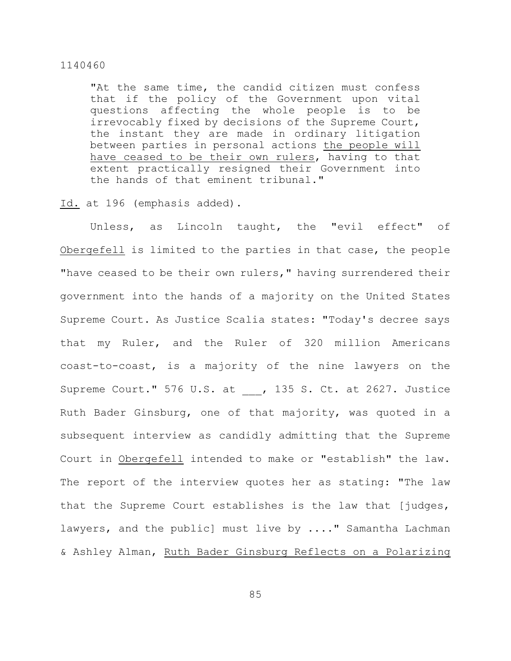"At the same time, the candid citizen must confess that if the policy of the Government upon vital questions affecting the whole people is to be irrevocably fixed by decisions of the Supreme Court, the instant they are made in ordinary litigation between parties in personal actions the people will have ceased to be their own rulers, having to that extent practically resigned their Government into the hands of that eminent tribunal."

Id. at 196 (emphasis added).

Unless, as Lincoln taught, the "evil effect" of Obergefell is limited to the parties in that case, the people "have ceased to be their own rulers," having surrendered their government into the hands of a majority on the United States Supreme Court. As Justice Scalia states: "Today's decree says that my Ruler, and the Ruler of 320 million Americans coast-to-coast, is a majority of the nine lawyers on the Supreme Court." 576 U.S. at , 135 S. Ct. at 2627. Justice Ruth Bader Ginsburg, one of that majority, was quoted in a subsequent interview as candidly admitting that the Supreme Court in Obergefell intended to make or "establish" the law. The report of the interview quotes her as stating: "The law that the Supreme Court establishes is the law that [judges, lawyers, and the public] must live by ...." Samantha Lachman & Ashley Alman, Ruth Bader Ginsburg Reflects on a Polarizing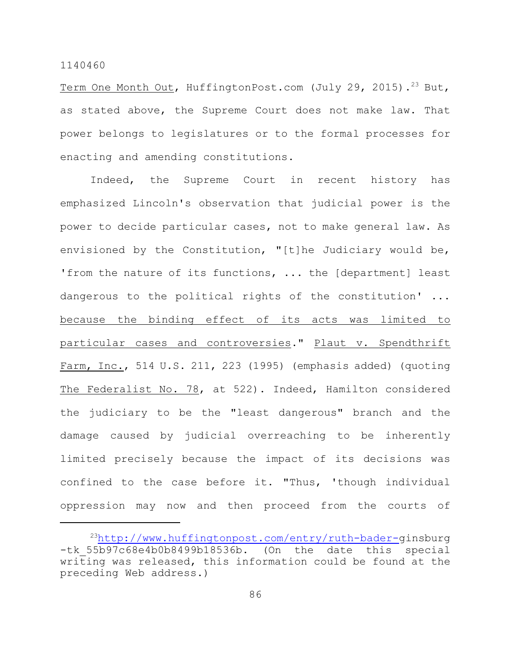Term One Month Out, HuffingtonPost.com (July 29, 2015).<sup>23</sup> But, as stated above, the Supreme Court does not make law. That power belongs to legislatures or to the formal processes for enacting and amending constitutions.

Indeed, the Supreme Court in recent history has emphasized Lincoln's observation that judicial power is the power to decide particular cases, not to make general law. As envisioned by the Constitution, "[t]he Judiciary would be, 'from the nature of its functions, ... the [department] least dangerous to the political rights of the constitution' ... because the binding effect of its acts was limited to particular cases and controversies." Plaut v. Spendthrift Farm, Inc., 514 U.S. 211, 223 (1995) (emphasis added) (quoting The Federalist No. 78, at 522). Indeed, Hamilton considered the judiciary to be the "least dangerous" branch and the damage caused by judicial overreaching to be inherently limited precisely because the impact of its decisions was confined to the case before it. "Thus, 'though individual oppression may now and then proceed from the courts of

<sup>23</sup><http://www.huffingtonpost.com/entry/ruth-bader->ginsburg -tk 55b97c68e4b0b8499b18536b. (On the date this special writing was released, this information could be found at the preceding Web address.)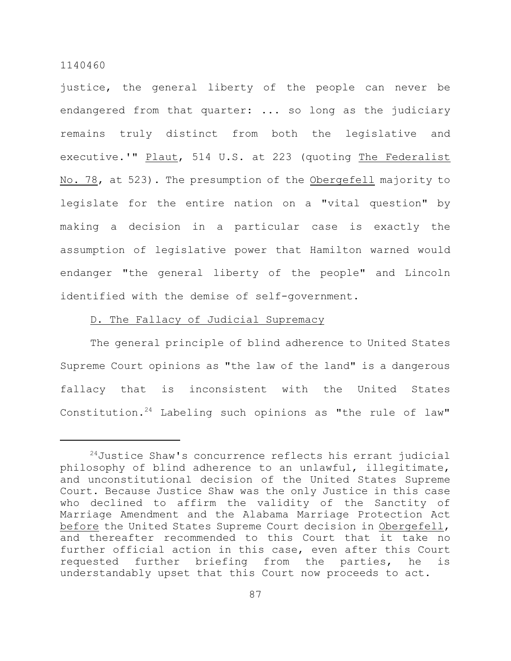justice, the general liberty of the people can never be endangered from that quarter: ... so long as the judiciary remains truly distinct from both the legislative and executive.'" Plaut, 514 U.S. at 223 (quoting The Federalist No. 78, at 523). The presumption of the Obergefell majority to legislate for the entire nation on a "vital question" by making a decision in a particular case is exactly the assumption of legislative power that Hamilton warned would endanger "the general liberty of the people" and Lincoln identified with the demise of self-government.

# D. The Fallacy of Judicial Supremacy

The general principle of blind adherence to United States Supreme Court opinions as "the law of the land" is a dangerous fallacy that is inconsistent with the United States Constitution.<sup>24</sup> Labeling such opinions as "the rule of law"

 $24$ Justice Shaw's concurrence reflects his errant judicial philosophy of blind adherence to an unlawful, illegitimate, and unconstitutional decision of the United States Supreme Court. Because Justice Shaw was the only Justice in this case who declined to affirm the validity of the Sanctity of Marriage Amendment and the Alabama Marriage Protection Act before the United States Supreme Court decision in Obergefell, and thereafter recommended to this Court that it take no further official action in this case, even after this Court requested further briefing from the parties, he is understandably upset that this Court now proceeds to act.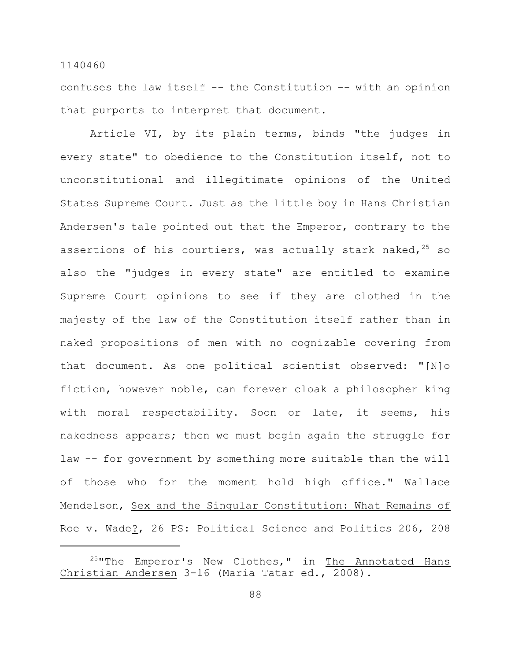confuses the law itself -- the Constitution -- with an opinion that purports to interpret that document.

Article VI, by its plain terms, binds "the judges in every state" to obedience to the Constitution itself, not to unconstitutional and illegitimate opinions of the United States Supreme Court. Just as the little boy in Hans Christian Andersen's tale pointed out that the Emperor, contrary to the assertions of his courtiers, was actually stark naked,  $25$  so also the "judges in every state" are entitled to examine Supreme Court opinions to see if they are clothed in the majesty of the law of the Constitution itself rather than in naked propositions of men with no cognizable covering from that document. As one political scientist observed: "[N]o fiction, however noble, can forever cloak a philosopher king with moral respectability. Soon or late, it seems, his nakedness appears; then we must begin again the struggle for law -- for government by something more suitable than the will of those who for the moment hold high office." Wallace Mendelson, Sex and the Singular Constitution: What Remains of Roe v. Wade?, 26 PS: Political Science and Politics 206, 208

 $^{25}$ "The Emperor's New Clothes," in The Annotated Hans Christian Andersen 3-16 (Maria Tatar ed., 2008).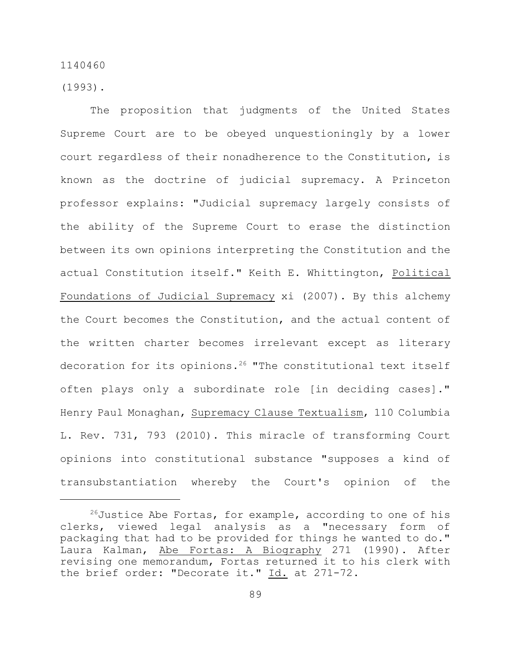(1993).

The proposition that judgments of the United States Supreme Court are to be obeyed unquestioningly by a lower court regardless of their nonadherence to the Constitution, is known as the doctrine of judicial supremacy. A Princeton professor explains: "Judicial supremacy largely consists of the ability of the Supreme Court to erase the distinction between its own opinions interpreting the Constitution and the actual Constitution itself." Keith E. Whittington, Political Foundations of Judicial Supremacy xi (2007). By this alchemy the Court becomes the Constitution, and the actual content of the written charter becomes irrelevant except as literary decoration for its opinions.<sup>26</sup> "The constitutional text itself often plays only a subordinate role [in deciding cases]." Henry Paul Monaghan, Supremacy Clause Textualism, 110 Columbia L. Rev. 731, 793 (2010). This miracle of transforming Court opinions into constitutional substance "supposes a kind of transubstantiation whereby the Court's opinion of the

 $^{26}$ Justice Abe Fortas, for example, according to one of his clerks, viewed legal analysis as a "necessary form of packaging that had to be provided for things he wanted to do." Laura Kalman, Abe Fortas: A Biography 271 (1990). After revising one memorandum, Fortas returned it to his clerk with the brief order: "Decorate it." Id. at 271-72.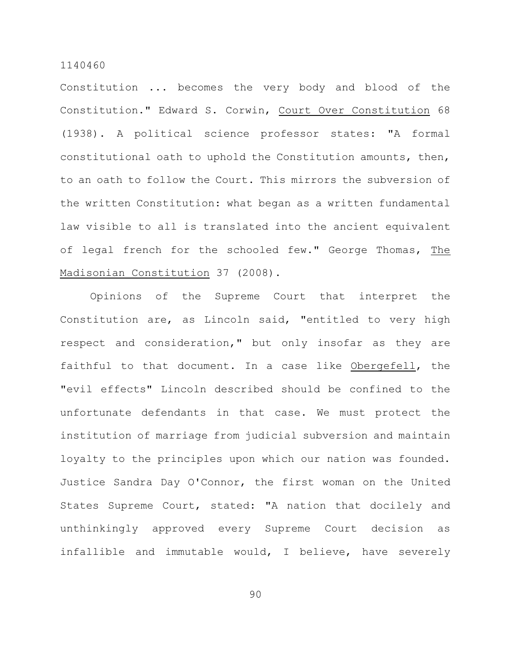Constitution ... becomes the very body and blood of the Constitution." Edward S. Corwin, Court Over Constitution 68 (1938). A political science professor states: "A formal constitutional oath to uphold the Constitution amounts, then, to an oath to follow the Court. This mirrors the subversion of the written Constitution: what began as a written fundamental law visible to all is translated into the ancient equivalent of legal french for the schooled few." George Thomas, The Madisonian Constitution 37 (2008).

Opinions of the Supreme Court that interpret the Constitution are, as Lincoln said, "entitled to very high respect and consideration," but only insofar as they are faithful to that document. In a case like Obergefell, the "evil effects" Lincoln described should be confined to the unfortunate defendants in that case. We must protect the institution of marriage from judicial subversion and maintain loyalty to the principles upon which our nation was founded. Justice Sandra Day O'Connor, the first woman on the United States Supreme Court, stated: "A nation that docilely and unthinkingly approved every Supreme Court decision as infallible and immutable would, I believe, have severely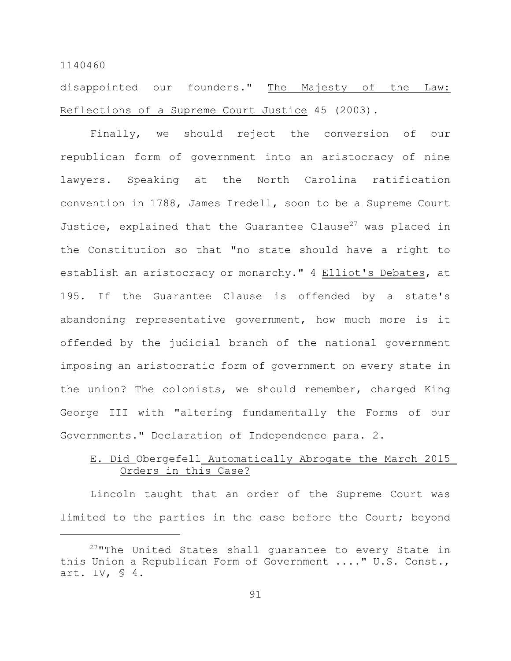disappointed our founders." The Majesty of the Law: Reflections of a Supreme Court Justice 45 (2003).

Finally, we should reject the conversion of our republican form of government into an aristocracy of nine lawyers. Speaking at the North Carolina ratification convention in 1788, James Iredell, soon to be a Supreme Court Justice, explained that the Guarantee Clause<sup>27</sup> was placed in the Constitution so that "no state should have a right to establish an aristocracy or monarchy." 4 Elliot's Debates, at 195. If the Guarantee Clause is offended by a state's abandoning representative government, how much more is it offended by the judicial branch of the national government imposing an aristocratic form of government on every state in the union? The colonists, we should remember, charged King George III with "altering fundamentally the Forms of our Governments." Declaration of Independence para. 2.

# E. Did Obergefell Automatically Abrogate the March 2015 Orders in this Case?

Lincoln taught that an order of the Supreme Court was limited to the parties in the case before the Court; beyond

 $27$ "The United States shall guarantee to every State in this Union a Republican Form of Government ...." U.S. Const., art. IV,  $\Im$  4.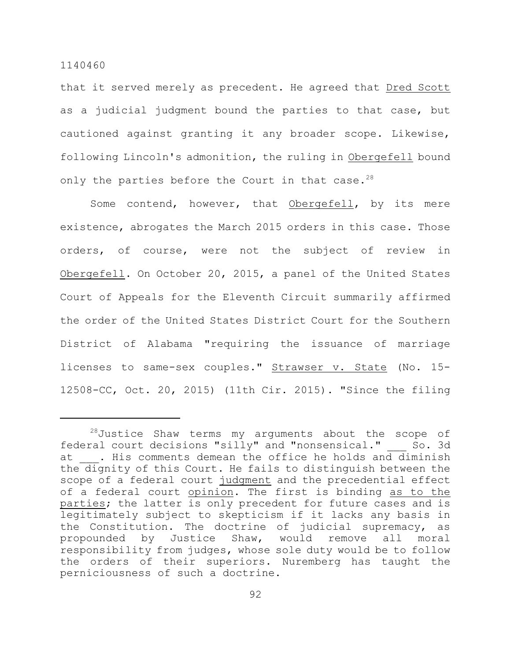that it served merely as precedent. He agreed that Dred Scott as a judicial judgment bound the parties to that case, but cautioned against granting it any broader scope. Likewise, following Lincoln's admonition, the ruling in Obergefell bound only the parties before the Court in that case.<sup>28</sup>

Some contend, however, that Obergefell, by its mere existence, abrogates the March 2015 orders in this case. Those orders, of course, were not the subject of review in Obergefell. On October 20, 2015, a panel of the United States Court of Appeals for the Eleventh Circuit summarily affirmed the order of the United States District Court for the Southern District of Alabama "requiring the issuance of marriage licenses to same-sex couples." Strawser v. State (No. 15- 12508-CC, Oct. 20, 2015) (11th Cir. 2015). "Since the filing

 $28$ Justice Shaw terms my arguments about the scope of federal court decisions "silly" and "nonsensical." So. 3d at . His comments demean the office he holds and diminish the dignity of this Court. He fails to distinguish between the scope of a federal court judgment and the precedential effect of a federal court opinion. The first is binding as to the parties; the latter is only precedent for future cases and is legitimately subject to skepticism if it lacks any basis in the Constitution. The doctrine of judicial supremacy, as propounded by Justice Shaw, would remove all moral responsibility from judges, whose sole duty would be to follow the orders of their superiors. Nuremberg has taught the perniciousness of such a doctrine.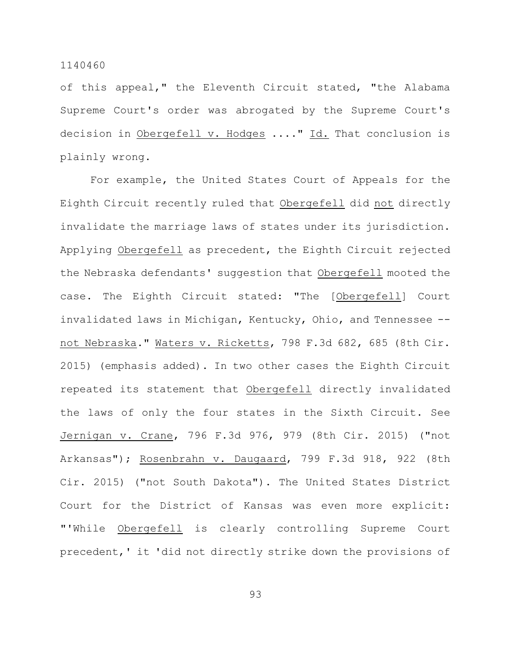of this appeal," the Eleventh Circuit stated, "the Alabama Supreme Court's order was abrogated by the Supreme Court's decision in Obergefell v. Hodges ...." Id. That conclusion is plainly wrong.

For example, the United States Court of Appeals for the Eighth Circuit recently ruled that Obergefell did not directly invalidate the marriage laws of states under its jurisdiction. Applying Obergefell as precedent, the Eighth Circuit rejected the Nebraska defendants' suggestion that Obergefell mooted the case. The Eighth Circuit stated: "The [Obergefell] Court invalidated laws in Michigan, Kentucky, Ohio, and Tennessee - not Nebraska." Waters v. Ricketts, 798 F.3d 682, 685 (8th Cir. 2015) (emphasis added). In two other cases the Eighth Circuit repeated its statement that Obergefell directly invalidated the laws of only the four states in the Sixth Circuit. See Jernigan v. Crane, 796 F.3d 976, 979 (8th Cir. 2015) ("not Arkansas"); Rosenbrahn v. Daugaard, 799 F.3d 918, 922 (8th Cir. 2015) ("not South Dakota"). The United States District Court for the District of Kansas was even more explicit: "'While Obergefell is clearly controlling Supreme Court precedent,' it 'did not directly strike down the provisions of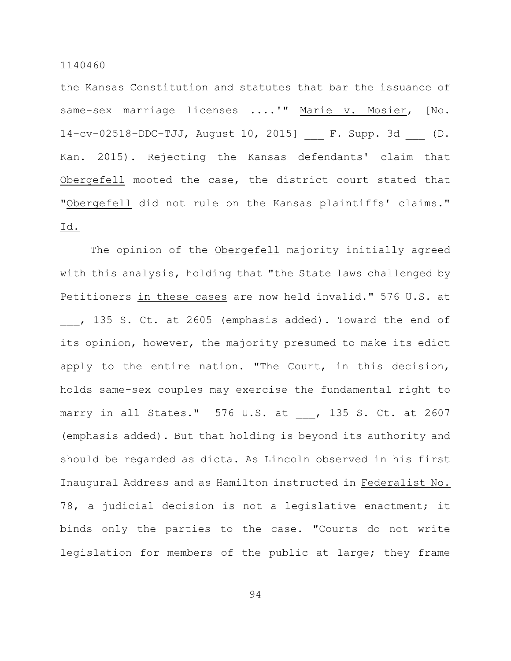the Kansas Constitution and statutes that bar the issuance of same-sex marriage licenses ....'" Marie v. Mosier, [No. 14–cv–02518–DDC–TJJ, August 10, 2015] \_\_\_ F. Supp. 3d \_\_\_ (D. Kan. 2015). Rejecting the Kansas defendants' claim that Obergefell mooted the case, the district court stated that "Obergefell did not rule on the Kansas plaintiffs' claims." Id.

The opinion of the Obergefell majority initially agreed with this analysis, holding that "the State laws challenged by Petitioners in these cases are now held invalid." 576 U.S. at , 135 S. Ct. at 2605 (emphasis added). Toward the end of its opinion, however, the majority presumed to make its edict apply to the entire nation. "The Court, in this decision, holds same-sex couples may exercise the fundamental right to marry in all States." 576 U.S. at , 135 S. Ct. at 2607 (emphasis added). But that holding is beyond its authority and should be regarded as dicta. As Lincoln observed in his first Inaugural Address and as Hamilton instructed in Federalist No. 78, a judicial decision is not a legislative enactment; it binds only the parties to the case. "Courts do not write legislation for members of the public at large; they frame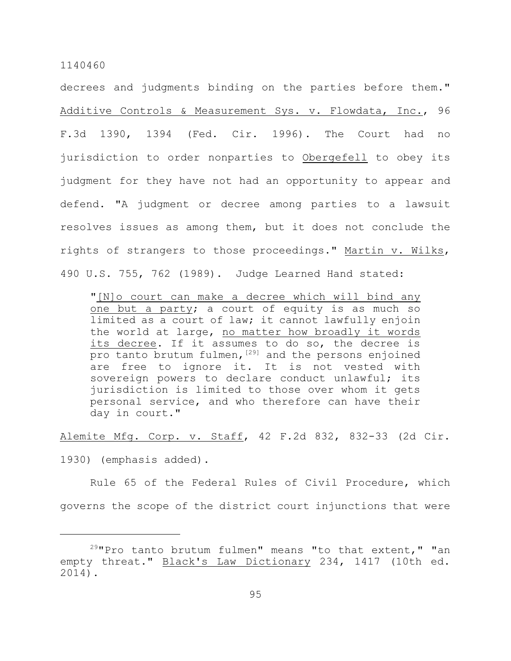decrees and judgments binding on the parties before them." Additive Controls & Measurement Sys. v. Flowdata, Inc., 96 F.3d 1390, 1394 (Fed. Cir. 1996). The Court had no jurisdiction to order nonparties to Obergefell to obey its judgment for they have not had an opportunity to appear and defend. "A judgment or decree among parties to a lawsuit resolves issues as among them, but it does not conclude the rights of strangers to those proceedings." Martin v. Wilks, 490 U.S. 755, 762 (1989). Judge Learned Hand stated:

"[N]o court can make a decree which will bind any one but a party; a court of equity is as much so limited as a court of law; it cannot lawfully enjoin the world at large, no matter how broadly it words its decree. If it assumes to do so, the decree is pro tanto brutum fulmen,  $[29]$  and the persons enjoined are free to ignore it. It is not vested with sovereign powers to declare conduct unlawful; its jurisdiction is limited to those over whom it gets personal service, and who therefore can have their day in court."

Alemite Mfg. Corp. v. Staff, 42 F.2d 832, 832-33 (2d Cir.

1930) (emphasis added).

Rule 65 of the Federal Rules of Civil Procedure, which governs the scope of the district court injunctions that were

 $29$ "Pro tanto brutum fulmen" means "to that extent," "an empty threat." Black's Law Dictionary 234, 1417 (10th ed. 2014).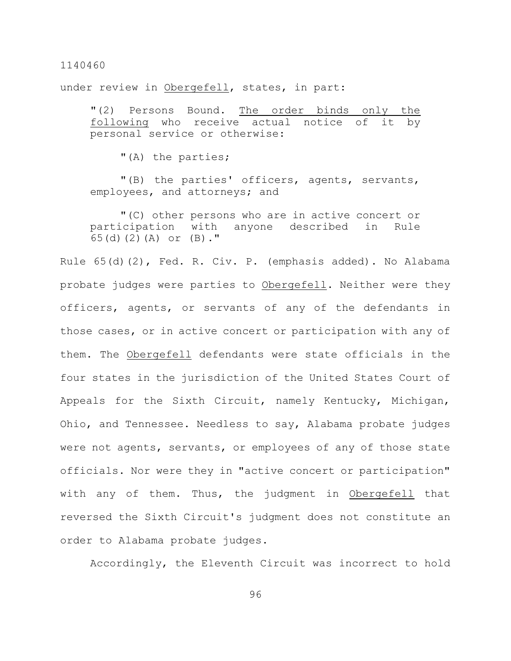under review in Obergefell, states, in part:

"(2) Persons Bound. The order binds only the following who receive actual notice of it personal service or otherwise:

"(A) the parties;

"(B) the parties' officers, agents, servants, employees, and attorneys; and

"(C) other persons who are in active concert or participation with anyone described in Rule 65(d)(2)(A) or (B)."

Rule 65(d)(2), Fed. R. Civ. P. (emphasis added). No Alabama probate judges were parties to Obergefell. Neither were they officers, agents, or servants of any of the defendants in those cases, or in active concert or participation with any of them. The Obergefell defendants were state officials in the four states in the jurisdiction of the United States Court of Appeals for the Sixth Circuit, namely Kentucky, Michigan, Ohio, and Tennessee. Needless to say, Alabama probate judges were not agents, servants, or employees of any of those state officials. Nor were they in "active concert or participation" with any of them. Thus, the judgment in Obergefell that reversed the Sixth Circuit's judgment does not constitute an order to Alabama probate judges.

Accordingly, the Eleventh Circuit was incorrect to hold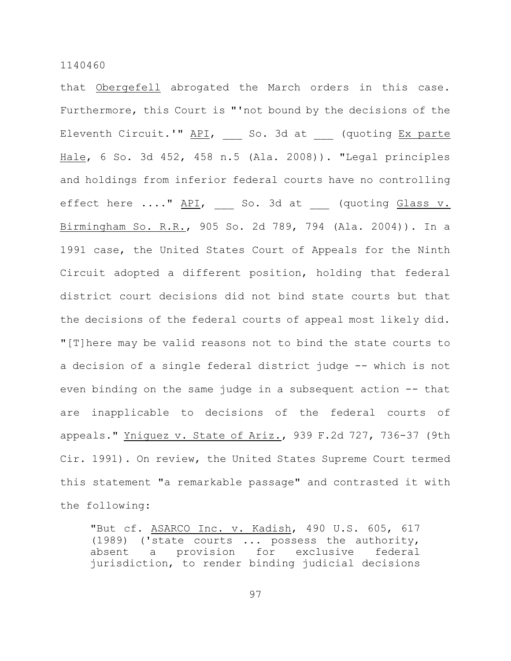that Obergefell abrogated the March orders in this case. Furthermore, this Court is "'not bound by the decisions of the Eleventh Circuit.'" API, \_\_\_ So. 3d at \_\_\_ (quoting Ex parte Hale, 6 So. 3d 452, 458 n.5 (Ala. 2008)). "Legal principles and holdings from inferior federal courts have no controlling effect here ...." API, \_\_ So. 3d at \_\_ (quoting Glass v. Birmingham So. R.R., 905 So. 2d 789, 794 (Ala. 2004)). In a 1991 case, the United States Court of Appeals for the Ninth Circuit adopted a different position, holding that federal district court decisions did not bind state courts but that the decisions of the federal courts of appeal most likely did. "[T]here may be valid reasons not to bind the state courts to a decision of a single federal district judge -- which is not even binding on the same judge in a subsequent action -- that are inapplicable to decisions of the federal courts of appeals." Yniguez v. State of Ariz., 939 F.2d 727, 736-37 (9th Cir. 1991). On review, the United States Supreme Court termed this statement "a remarkable passage" and contrasted it with the following:

"But cf. ASARCO Inc. v. Kadish, 490 U.S. 605, 617 (1989) ('state courts ... possess the authority, absent a provision for exclusive federal jurisdiction, to render binding judicial decisions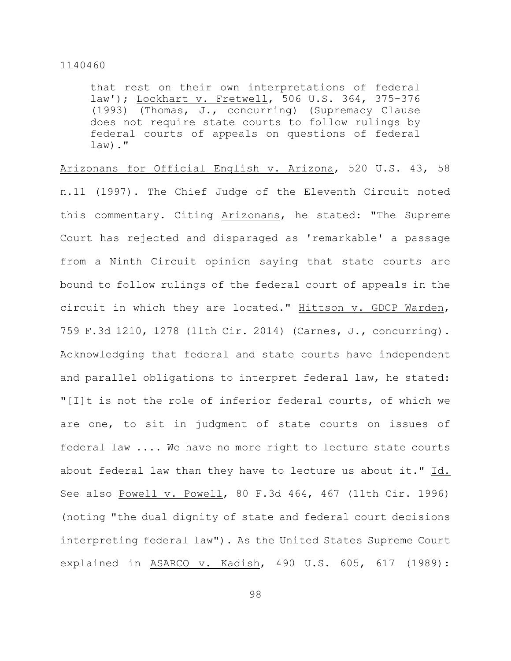that rest on their own interpretations of federal law'); Lockhart v. Fretwell, 506 U.S. 364, 375-376 (1993) (Thomas, J., concurring) (Supremacy Clause does not require state courts to follow rulings by federal courts of appeals on questions of federal  $law)$ ."

Arizonans for Official English v. Arizona, 520 U.S. 43, 58 n.11 (1997). The Chief Judge of the Eleventh Circuit noted this commentary. Citing Arizonans, he stated: "The Supreme Court has rejected and disparaged as 'remarkable' a passage from a Ninth Circuit opinion saying that state courts are bound to follow rulings of the federal court of appeals in the circuit in which they are located." Hittson v. GDCP Warden, 759 F.3d 1210, 1278 (11th Cir. 2014) (Carnes, J., concurring). Acknowledging that federal and state courts have independent and parallel obligations to interpret federal law, he stated: "[I]t is not the role of inferior federal courts, of which we are one, to sit in judgment of state courts on issues of federal law .... We have no more right to lecture state courts about federal law than they have to lecture us about it." Id. See also Powell v. Powell, 80 F.3d 464, 467 (11th Cir. 1996) (noting "the dual dignity of state and federal court decisions interpreting federal law"). As the United States Supreme Court explained in ASARCO v. Kadish, 490 U.S. 605, 617 (1989):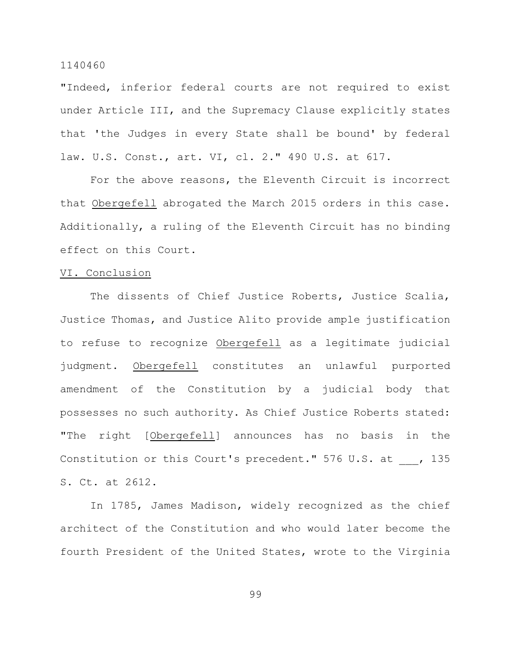"Indeed, inferior federal courts are not required to exist under Article III, and the Supremacy Clause explicitly states that 'the Judges in every State shall be bound' by federal law. U.S. Const., art. VI, cl. 2." 490 U.S. at 617.

For the above reasons, the Eleventh Circuit is incorrect that Obergefell abrogated the March 2015 orders in this case. Additionally, a ruling of the Eleventh Circuit has no binding effect on this Court.

### VI. Conclusion

The dissents of Chief Justice Roberts, Justice Scalia, Justice Thomas, and Justice Alito provide ample justification to refuse to recognize Obergefell as a legitimate judicial judgment. Obergefell constitutes an unlawful purported amendment of the Constitution by a judicial body that possesses no such authority. As Chief Justice Roberts stated: "The right [Obergefell] announces has no basis in the Constitution or this Court's precedent." 576 U.S. at , 135 S. Ct. at 2612.

In 1785, James Madison, widely recognized as the chief architect of the Constitution and who would later become the fourth President of the United States, wrote to the Virginia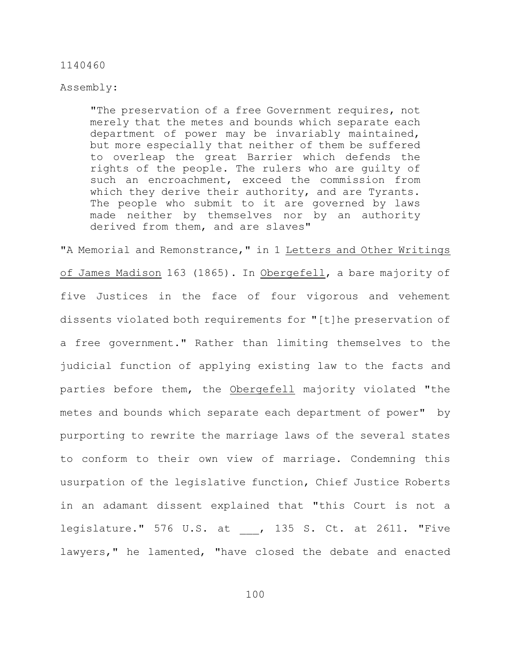## Assembly:

"The preservation of a free Government requires, not merely that the metes and bounds which separate each department of power may be invariably maintained, but more especially that neither of them be suffered to overleap the great Barrier which defends the rights of the people. The rulers who are guilty of such an encroachment, exceed the commission from which they derive their authority, and are Tyrants. The people who submit to it are governed by laws made neither by themselves nor by an authority derived from them, and are slaves"

"A Memorial and Remonstrance," in 1 Letters and Other Writings of James Madison 163 (1865). In Obergefell, a bare majority of five Justices in the face of four vigorous and vehement dissents violated both requirements for "[t]he preservation of a free government." Rather than limiting themselves to the judicial function of applying existing law to the facts and parties before them, the Obergefell majority violated "the metes and bounds which separate each department of power" by purporting to rewrite the marriage laws of the several states to conform to their own view of marriage. Condemning this usurpation of the legislative function, Chief Justice Roberts in an adamant dissent explained that "this Court is not a legislature." 576 U.S. at , 135 S. Ct. at 2611. "Five lawyers," he lamented, "have closed the debate and enacted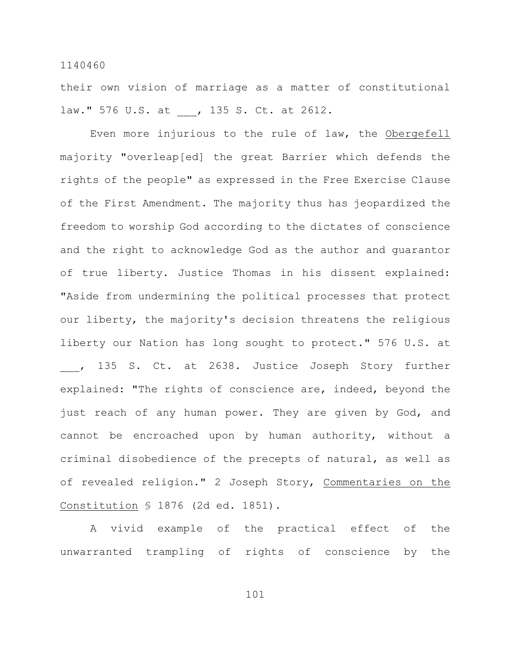their own vision of marriage as a matter of constitutional law." 576 U.S. at , 135 S. Ct. at 2612.

Even more injurious to the rule of law, the Obergefell majority "overleap[ed] the great Barrier which defends the rights of the people" as expressed in the Free Exercise Clause of the First Amendment. The majority thus has jeopardized the freedom to worship God according to the dictates of conscience and the right to acknowledge God as the author and guarantor of true liberty. Justice Thomas in his dissent explained: "Aside from undermining the political processes that protect our liberty, the majority's decision threatens the religious liberty our Nation has long sought to protect." 576 U.S. at \_\_\_, 135 S. Ct. at 2638. Justice Joseph Story further explained: "The rights of conscience are, indeed, beyond the just reach of any human power. They are given by God, and cannot be encroached upon by human authority, without a criminal disobedience of the precepts of natural, as well as of revealed religion." 2 Joseph Story, Commentaries on the Constitution § 1876 (2d ed. 1851).

A vivid example of the practical effect of the unwarranted trampling of rights of conscience by the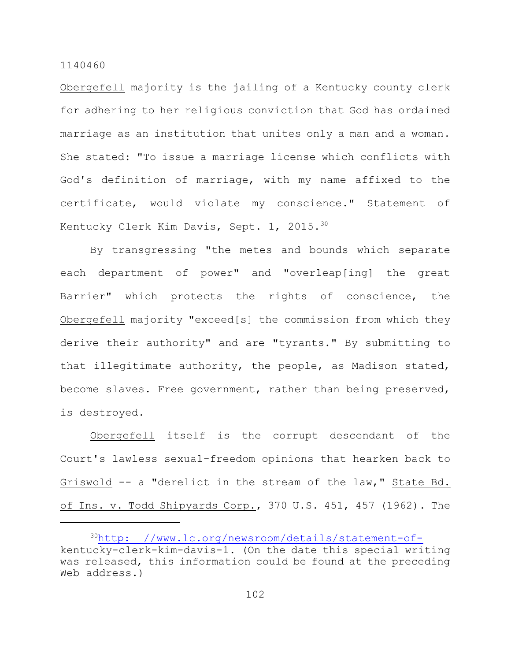Obergefell majority is the jailing of a Kentucky county clerk for adhering to her religious conviction that God has ordained marriage as an institution that unites only a man and a woman. She stated: "To issue a marriage license which conflicts with God's definition of marriage, with my name affixed to the certificate, would violate my conscience." Statement of Kentucky Clerk Kim Davis, Sept. 1, 2015.<sup>30</sup>

By transgressing "the metes and bounds which separate each department of power" and "overleap[ing] the great Barrier" which protects the rights of conscience, the Obergefell majority "exceed[s] the commission from which they derive their authority" and are "tyrants." By submitting to that illegitimate authority, the people, as Madison stated, become slaves. Free government, rather than being preserved, is destroyed.

Obergefell itself is the corrupt descendant of the Court's lawless sexual-freedom opinions that hearken back to Griswold -- a "derelict in the stream of the law," State Bd. of Ins. v. Todd Shipyards Corp., 370 U.S. 451, 457 (1962). The

<sup>&</sup>lt;sup>30</sup>[http: //www.lc.org/newsroom/details/statement-of](http://www.lc.org/newsroom/details/statement-of-)kentucky-clerk-kim-davis-1. (On the date this special writing was released, this information could be found at the preceding Web address.)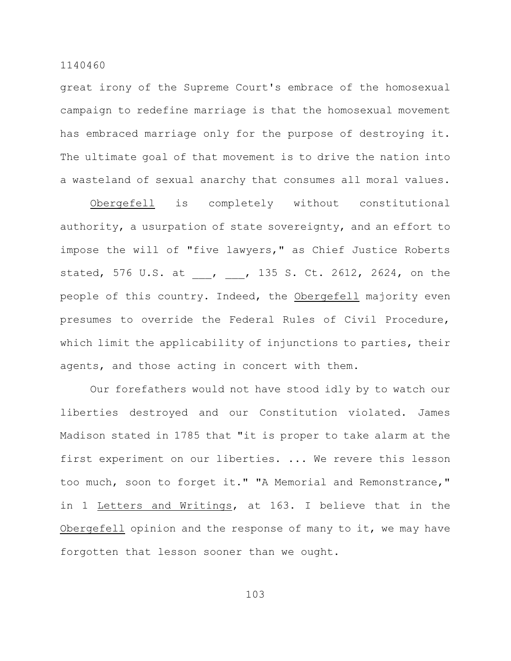great irony of the Supreme Court's embrace of the homosexual campaign to redefine marriage is that the homosexual movement has embraced marriage only for the purpose of destroying it. The ultimate goal of that movement is to drive the nation into a wasteland of sexual anarchy that consumes all moral values.

Obergefell is completely without constitutional authority, a usurpation of state sovereignty, and an effort to impose the will of "five lawyers," as Chief Justice Roberts stated, 576 U.S. at , , 135 S. Ct. 2612, 2624, on the people of this country. Indeed, the Obergefell majority even presumes to override the Federal Rules of Civil Procedure, which limit the applicability of injunctions to parties, their agents, and those acting in concert with them.

Our forefathers would not have stood idly by to watch our liberties destroyed and our Constitution violated. James Madison stated in 1785 that "it is proper to take alarm at the first experiment on our liberties. ... We revere this lesson too much, soon to forget it." "A Memorial and Remonstrance," in 1 Letters and Writings, at 163. I believe that in the Obergefell opinion and the response of many to it, we may have forgotten that lesson sooner than we ought.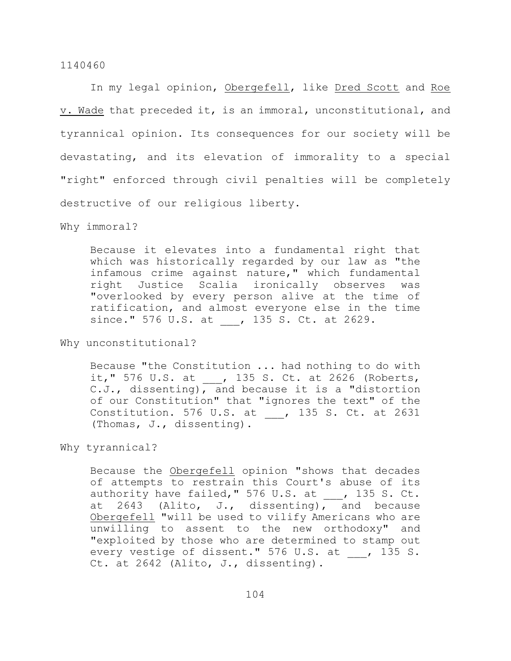In my legal opinion, Obergefell, like Dred Scott and Roe v. Wade that preceded it, is an immoral, unconstitutional, and tyrannical opinion. Its consequences for our society will be devastating, and its elevation of immorality to a special "right" enforced through civil penalties will be completely destructive of our religious liberty.

Why immoral?

Because it elevates into a fundamental right that which was historically regarded by our law as "the infamous crime against nature," which fundamental right Justice Scalia ironically observes was "overlooked by every person alive at the time of ratification, and almost everyone else in the time since." 576 U.S. at , 135 S. Ct. at 2629.

Why unconstitutional?

Because "the Constitution ... had nothing to do with it," 576 U.S. at \_\_\_, 135 S. Ct. at 2626 (Roberts, C.J., dissenting), and because it is a "distortion of our Constitution" that "ignores the text" of the Constitution. 576 U.S. at , 135 S. Ct. at 2631 (Thomas, J., dissenting).

Why tyrannical?

Because the Obergefell opinion "shows that decades of attempts to restrain this Court's abuse of its authority have failed," 576 U.S. at  $\_\_\_\_$ , 135 S. Ct. at 2643 (Alito, J., dissenting), and because Obergefell "will be used to vilify Americans who are unwilling to assent to the new orthodoxy" and "exploited by those who are determined to stamp out every vestige of dissent." 576 U.S. at \_\_\_, 135 S. Ct. at 2642 (Alito, J., dissenting).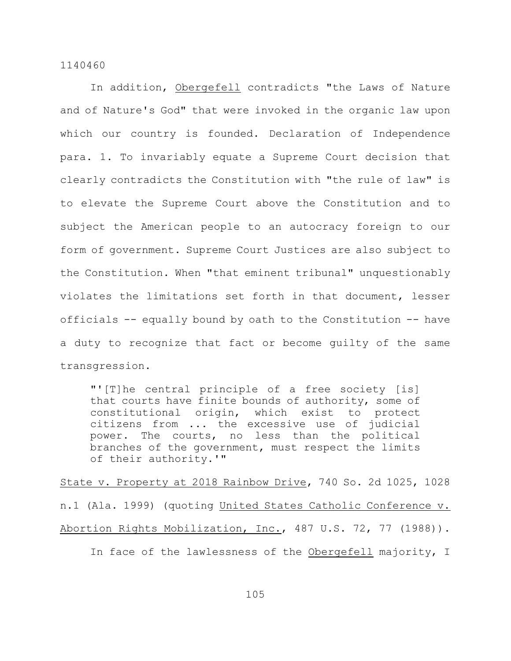In addition, Obergefell contradicts "the Laws of Nature and of Nature's God" that were invoked in the organic law upon which our country is founded. Declaration of Independence para. 1. To invariably equate a Supreme Court decision that clearly contradicts the Constitution with "the rule of law" is to elevate the Supreme Court above the Constitution and to subject the American people to an autocracy foreign to our form of government. Supreme Court Justices are also subject to the Constitution. When "that eminent tribunal" unquestionably violates the limitations set forth in that document, lesser officials -- equally bound by oath to the Constitution -- have a duty to recognize that fact or become guilty of the same transgression.

"'[T]he central principle of a free society [is] that courts have finite bounds of authority, some of constitutional origin, which exist to protect citizens from ... the excessive use of judicial power. The courts, no less than the political branches of the government, must respect the limits of their authority.'"

State v. Property at 2018 Rainbow Drive, 740 So. 2d 1025, 1028 n.1 (Ala. 1999) (quoting United States Catholic Conference v. Abortion Rights Mobilization, Inc., 487 U.S. 72, 77 (1988)). In face of the lawlessness of the Obergefell majority, I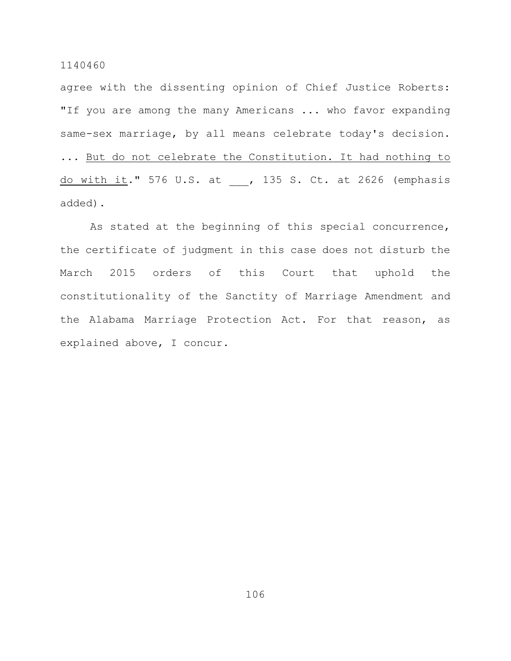agree with the dissenting opinion of Chief Justice Roberts: "If you are among the many Americans ... who favor expanding same-sex marriage, by all means celebrate today's decision. ... But do not celebrate the Constitution. It had nothing to do with it." 576 U.S. at , 135 S. Ct. at 2626 (emphasis added).

As stated at the beginning of this special concurrence, the certificate of judgment in this case does not disturb the March 2015 orders of this Court that uphold the constitutionality of the Sanctity of Marriage Amendment and the Alabama Marriage Protection Act. For that reason, as explained above, I concur.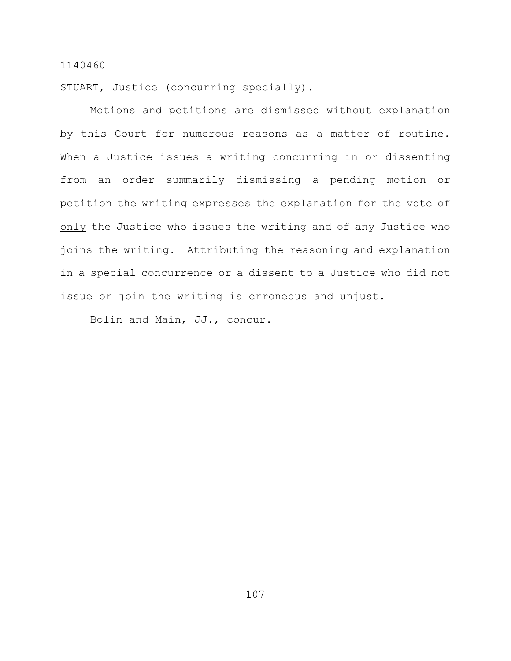STUART, Justice (concurring specially).

Motions and petitions are dismissed without explanation by this Court for numerous reasons as a matter of routine. When a Justice issues a writing concurring in or dissenting from an order summarily dismissing a pending motion or petition the writing expresses the explanation for the vote of only the Justice who issues the writing and of any Justice who joins the writing. Attributing the reasoning and explanation in a special concurrence or a dissent to a Justice who did not issue or join the writing is erroneous and unjust.

Bolin and Main, JJ., concur.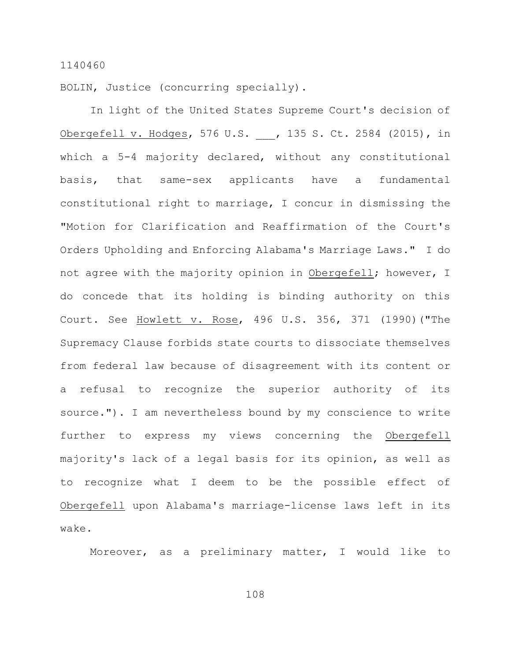BOLIN, Justice (concurring specially).

In light of the United States Supreme Court's decision of Obergefell v. Hodges, 576 U.S. , 135 S. Ct. 2584 (2015), in which a 5-4 majority declared, without any constitutional basis, that same-sex applicants have a fundamental constitutional right to marriage, I concur in dismissing the "Motion for Clarification and Reaffirmation of the Court's Orders Upholding and Enforcing Alabama's Marriage Laws." I do not agree with the majority opinion in Obergefell; however, I do concede that its holding is binding authority on this Court. See Howlett v. Rose, 496 U.S. 356, 371 (1990)("The Supremacy Clause forbids state courts to dissociate themselves from federal law because of disagreement with its content or a refusal to recognize the superior authority of its source."). I am nevertheless bound by my conscience to write further to express my views concerning the Obergefell majority's lack of a legal basis for its opinion, as well as to recognize what I deem to be the possible effect of Obergefell upon Alabama's marriage-license laws left in its wake.

Moreover, as a preliminary matter, I would like to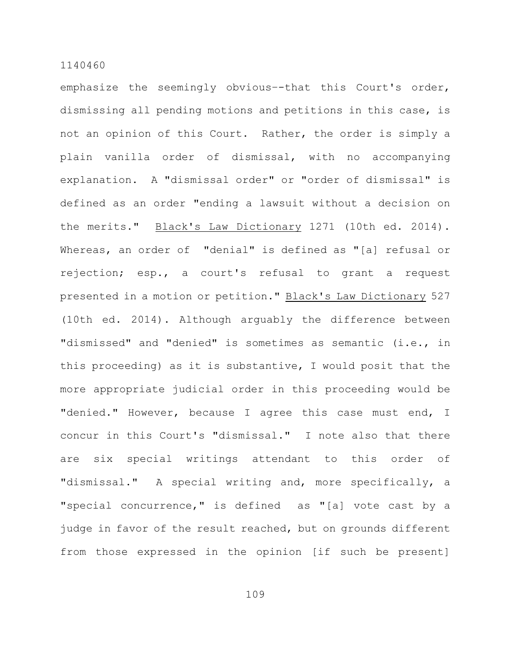emphasize the seemingly obvious–-that this Court's order, dismissing all pending motions and petitions in this case, is not an opinion of this Court. Rather, the order is simply a plain vanilla order of dismissal, with no accompanying explanation. A "dismissal order" or "order of dismissal" is defined as an order "ending a lawsuit without a decision on the merits." Black's Law Dictionary 1271 (10th ed. 2014). Whereas, an order of "denial" is defined as "[a] refusal or rejection; esp., a court's refusal to grant a request presented in a motion or petition." Black's Law Dictionary 527 (10th ed. 2014). Although arguably the difference between "dismissed" and "denied" is sometimes as semantic (i.e., in this proceeding) as it is substantive, I would posit that the more appropriate judicial order in this proceeding would be "denied." However, because I agree this case must end, I concur in this Court's "dismissal." I note also that there are six special writings attendant to this order of "dismissal." A special writing and, more specifically, a "special concurrence," is defined as "[a] vote cast by a judge in favor of the result reached, but on grounds different from those expressed in the opinion [if such be present]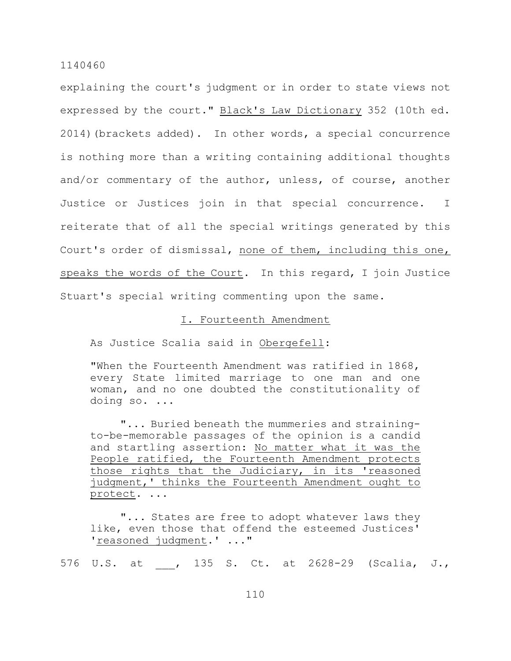explaining the court's judgment or in order to state views not expressed by the court." Black's Law Dictionary 352 (10th ed. 2014)(brackets added). In other words, a special concurrence is nothing more than a writing containing additional thoughts and/or commentary of the author, unless, of course, another Justice or Justices join in that special concurrence. I reiterate that of all the special writings generated by this Court's order of dismissal, none of them, including this one, speaks the words of the Court. In this regard, I join Justice Stuart's special writing commenting upon the same.

### I. Fourteenth Amendment

As Justice Scalia said in Obergefell:

"When the Fourteenth Amendment was ratified in 1868, every State limited marriage to one man and one woman, and no one doubted the constitutionality of doing so. ...

"... Buried beneath the mummeries and strainingto-be-memorable passages of the opinion is a candid and startling assertion: No matter what it was the People ratified, the Fourteenth Amendment protects those rights that the Judiciary, in its 'reasoned judgment,' thinks the Fourteenth Amendment ought to protect. ...

"... States are free to adopt whatever laws they like, even those that offend the esteemed Justices' 'reasoned judgment.' ..."

576 U.S. at , 135 S. Ct. at 2628-29 (Scalia, J.,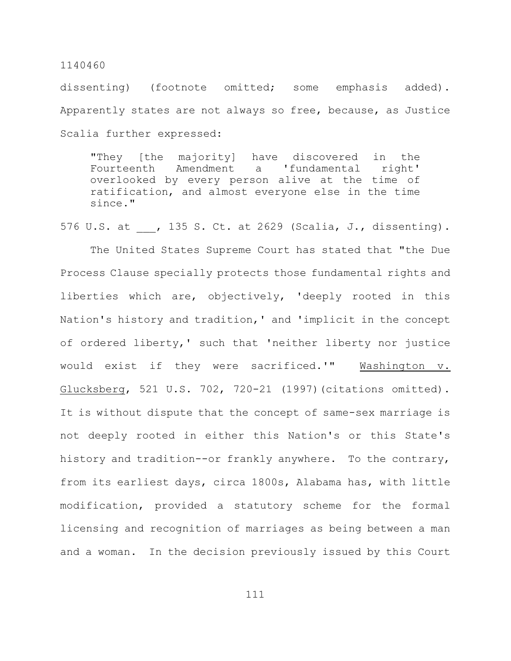dissenting) (footnote omitted; some emphasis added). Apparently states are not always so free, because, as Justice Scalia further expressed:

"They [the majority] have discovered in the Fourteenth Amendment a 'fundamental right' overlooked by every person alive at the time of ratification, and almost everyone else in the time since."

576 U.S. at , 135 S. Ct. at 2629 (Scalia, J., dissenting).

The United States Supreme Court has stated that "the Due Process Clause specially protects those fundamental rights and liberties which are, objectively, 'deeply rooted in this Nation's history and tradition,' and 'implicit in the concept of ordered liberty,' such that 'neither liberty nor justice would exist if they were sacrificed.'" Washington v. Glucksberg, 521 U.S. 702, 720-21 (1997)(citations omitted). It is without dispute that the concept of same-sex marriage is not deeply rooted in either this Nation's or this State's history and tradition--or frankly anywhere. To the contrary, from its earliest days, circa 1800s, Alabama has, with little modification, provided a statutory scheme for the formal licensing and recognition of marriages as being between a man and a woman. In the decision previously issued by this Court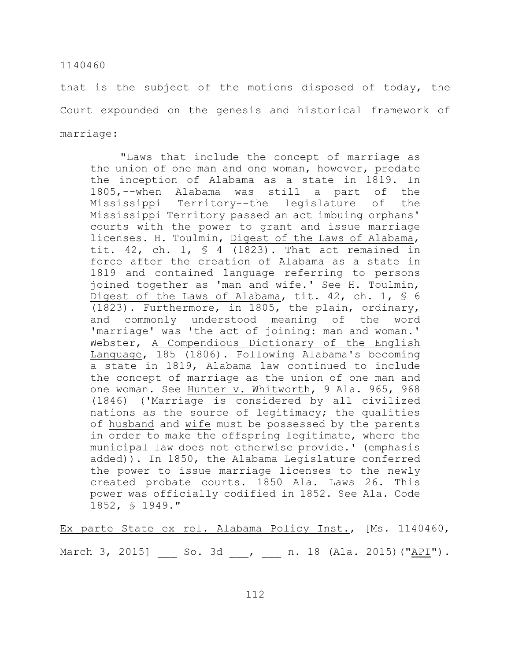that is the subject of the motions disposed of today, the Court expounded on the genesis and historical framework of marriage:

"Laws that include the concept of marriage as the union of one man and one woman, however, predate the inception of Alabama as a state in 1819. In 1805,--when Alabama was still a part of the Mississippi Territory--the legislature of the Mississippi Territory passed an act imbuing orphans' courts with the power to grant and issue marriage licenses. H. Toulmin, Digest of the Laws of Alabama, tit. 42, ch. 1,  $\frac{1}{5}$  4 (1823). That act remained in force after the creation of Alabama as a state in 1819 and contained language referring to persons joined together as 'man and wife.' See H. Toulmin, Digest of the Laws of Alabama, tit. 42, ch. 1, § 6 (1823). Furthermore, in 1805, the plain, ordinary, and commonly understood meaning of the word 'marriage' was 'the act of joining: man and woman.' Webster, A Compendious Dictionary of the English Language, 185 (1806). Following Alabama's becoming a state in 1819, Alabama law continued to include the concept of marriage as the union of one man and one woman. See Hunter v. Whitworth, 9 Ala. 965, 968 (1846) ('Marriage is considered by all civilized nations as the source of legitimacy; the qualities of husband and wife must be possessed by the parents in order to make the offspring legitimate, where the municipal law does not otherwise provide.' (emphasis added)). In 1850, the Alabama Legislature conferred the power to issue marriage licenses to the newly created probate courts. 1850 Ala. Laws 26. This power was officially codified in 1852. See Ala. Code 1852, § 1949."

Ex parte State ex rel. Alabama Policy Inst., [Ms. 1140460, March 3, 2015] \_\_\_ So. 3d \_\_\_, \_\_\_ n. 18 (Ala. 2015)("API").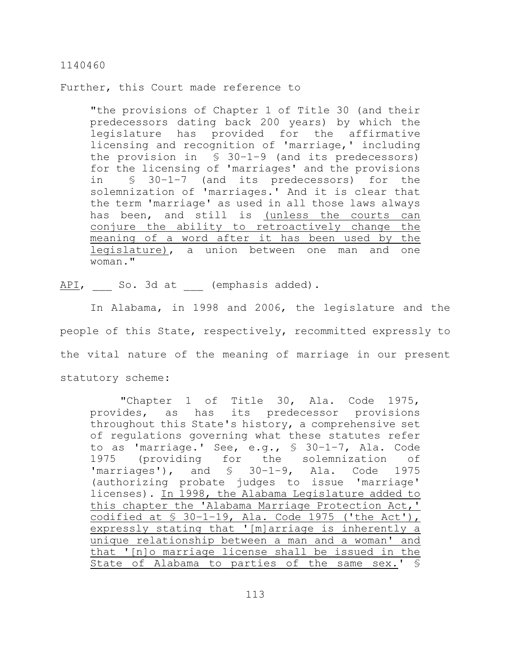Further, this Court made reference to

"the provisions of Chapter 1 of Title 30 (and their predecessors dating back 200 years) by which the legislature has provided for the affirmative licensing and recognition of 'marriage,' including the provision in  $\leq 30-1-9$  (and its predecessors) for the licensing of 'marriages' and the provisions in § 30–1–7 (and its predecessors) for the solemnization of 'marriages.' And it is clear that the term 'marriage' as used in all those laws always has been, and still is (unless the courts can conjure the ability to retroactively change the meaning of a word after it has been used by the legislature), a union between one man and one woman."

API, So. 3d at \_\_\_ (emphasis added).

In Alabama, in 1998 and 2006, the legislature and the people of this State, respectively, recommitted expressly to the vital nature of the meaning of marriage in our present statutory scheme:

"Chapter 1 of Title 30, Ala. Code 1975, provides, as has its predecessor provisions throughout this State's history, a comprehensive set of regulations governing what these statutes refer to as 'marriage.' See, e.g., § 30–1–7, Ala. Code 1975 (providing for the solemnization of 'marriages'), and  $\frac{1}{2}$  30-1-9, Ala. Code 1975 (authorizing probate judges to issue 'marriage' licenses). In 1998, the Alabama Legislature added to this chapter the 'Alabama Marriage Protection Act,' codified at  $\frac{1}{5}$  30-1-19, Ala. Code 1975 ('the Act'), expressly stating that '[m]arriage is inherently a unique relationship between a man and a woman' and that '[n]o marriage license shall be issued in the State of Alabama to parties of the same sex.' §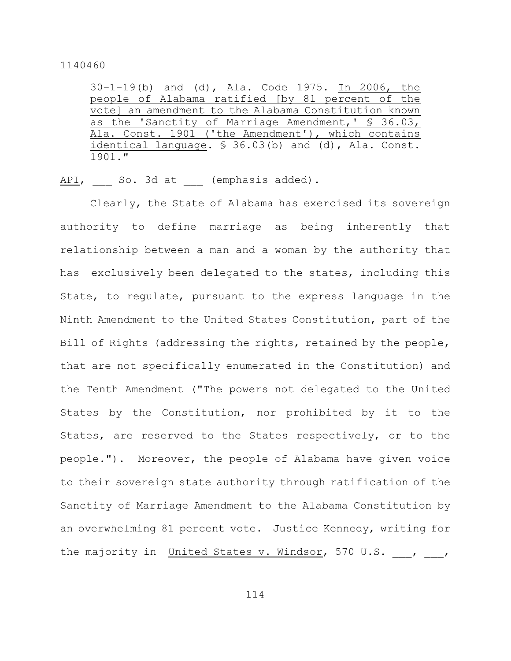30–1–19(b) and (d), Ala. Code 1975. In 2006, the people of Alabama ratified [by 81 percent of the vote] an amendment to the Alabama Constitution known as the 'Sanctity of Marriage Amendment,' § 36.03, Ala. Const. 1901 ('the Amendment'), which contains identical language. § 36.03(b) and (d), Ala. Const. 1901."

API, So. 3d at (emphasis added).

Clearly, the State of Alabama has exercised its sovereign authority to define marriage as being inherently that relationship between a man and a woman by the authority that has exclusively been delegated to the states, including this State, to regulate, pursuant to the express language in the Ninth Amendment to the United States Constitution, part of the Bill of Rights (addressing the rights, retained by the people, that are not specifically enumerated in the Constitution) and the Tenth Amendment ("The powers not delegated to the United States by the Constitution, nor prohibited by it to the States, are reserved to the States respectively, or to the people."). Moreover, the people of Alabama have given voice to their sovereign state authority through ratification of the Sanctity of Marriage Amendment to the Alabama Constitution by an overwhelming 81 percent vote. Justice Kennedy, writing for the majority in United States v. Windsor, 570 U.S. \_\_\_, \_\_\_,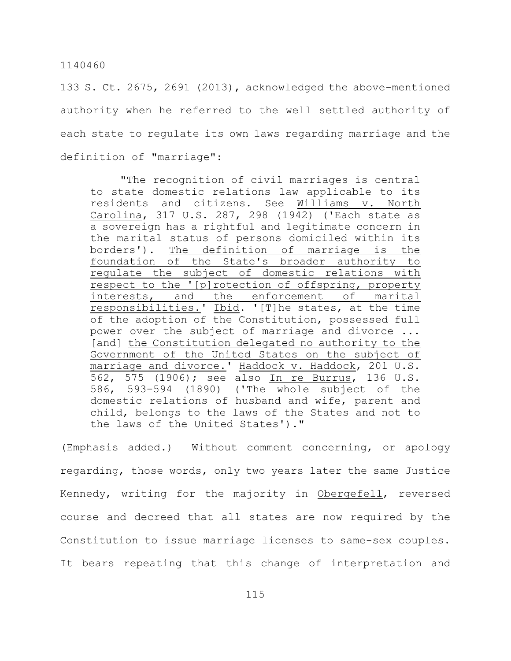133 S. Ct. 2675, 2691 (2013), acknowledged the above-mentioned authority when he referred to the well settled authority of each state to regulate its own laws regarding marriage and the definition of "marriage":

"The recognition of civil marriages is central to state domestic relations law applicable to its residents and citizens. See Williams v. North Carolina, 317 U.S. 287, 298 (1942) ('Each state as a sovereign has a rightful and legitimate concern in the marital status of persons domiciled within its borders'). The definition of marriage is the foundation of the State's broader authority to regulate the subject of domestic relations with respect to the '[p]rotection of offspring, property interests, and the enforcement of marital responsibilities.' Ibid. '[T]he states, at the time of the adoption of the Constitution, possessed full power over the subject of marriage and divorce ... [and] the Constitution delegated no authority to the Government of the United States on the subject of marriage and divorce.' Haddock v. Haddock, 201 U.S. 562, 575 (1906); see also In re Burrus, 136 U.S. 586, 593–594 (1890) ('The whole subject of the domestic relations of husband and wife, parent and child, belongs to the laws of the States and not to the laws of the United States')."

(Emphasis added.) Without comment concerning, or apology regarding, those words, only two years later the same Justice Kennedy, writing for the majority in Obergefell, reversed course and decreed that all states are now required by the Constitution to issue marriage licenses to same-sex couples. It bears repeating that this change of interpretation and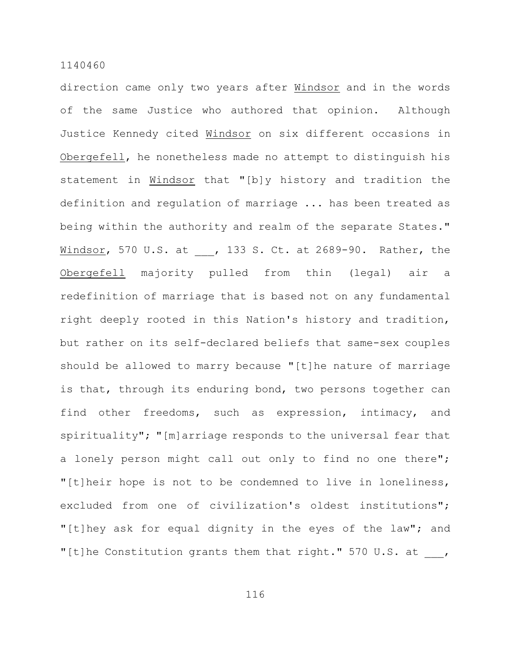direction came only two years after Windsor and in the words of the same Justice who authored that opinion. Although Justice Kennedy cited Windsor on six different occasions in Obergefell, he nonetheless made no attempt to distinguish his statement in Windsor that "[b]y history and tradition the definition and regulation of marriage ... has been treated as being within the authority and realm of the separate States." Windsor, 570 U.S. at , 133 S. Ct. at 2689-90. Rather, the Obergefell majority pulled from thin (legal) air a redefinition of marriage that is based not on any fundamental right deeply rooted in this Nation's history and tradition, but rather on its self-declared beliefs that same-sex couples should be allowed to marry because "[t]he nature of marriage is that, through its enduring bond, two persons together can find other freedoms, such as expression, intimacy, and spirituality"; "[m]arriage responds to the universal fear that a lonely person might call out only to find no one there"; "[t]heir hope is not to be condemned to live in loneliness, excluded from one of civilization's oldest institutions"; "[t]hey ask for equal dignity in the eyes of the law"; and "[t]he Constitution grants them that right." 570 U.S. at ,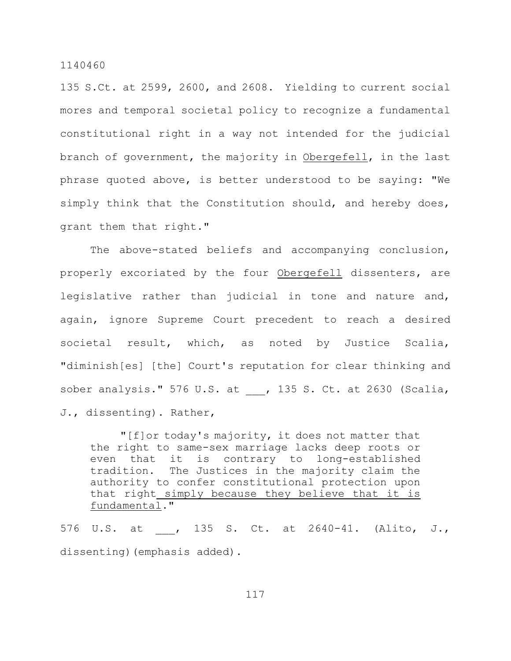135 S.Ct. at 2599, 2600, and 2608. Yielding to current social mores and temporal societal policy to recognize a fundamental constitutional right in a way not intended for the judicial branch of government, the majority in Obergefell, in the last phrase quoted above, is better understood to be saying: "We simply think that the Constitution should, and hereby does, grant them that right."

The above-stated beliefs and accompanying conclusion, properly excoriated by the four Obergefell dissenters, are legislative rather than judicial in tone and nature and, again, ignore Supreme Court precedent to reach a desired societal result, which, as noted by Justice Scalia, "diminish[es] [the] Court's reputation for clear thinking and sober analysis." 576 U.S. at , 135 S. Ct. at 2630 (Scalia, J., dissenting). Rather,

"[f]or today's majority, it does not matter that the right to same-sex marriage lacks deep roots or even that it is contrary to long-established tradition. The Justices in the majority claim the authority to confer constitutional protection upon that right simply because they believe that it is fundamental."

576 U.S. at , 135 S. Ct. at 2640-41. (Alito, J., dissenting) (emphasis added).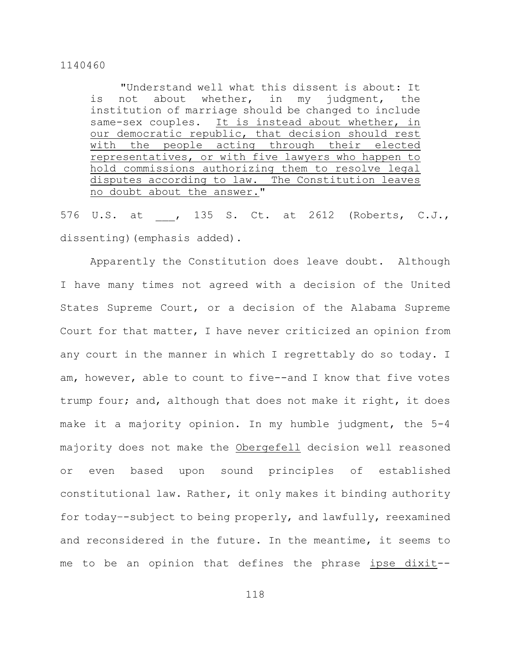"Understand well what this dissent is about: It is not about whether, in my judgment, the institution of marriage should be changed to include same-sex couples. It is instead about whether, in our democratic republic, that decision should rest with the people acting through their elected representatives, or with five lawyers who happen to hold commissions authorizing them to resolve legal disputes according to law. The Constitution leaves no doubt about the answer."

576 U.S. at , 135 S. Ct. at 2612 (Roberts, C.J., dissenting) (emphasis added).

Apparently the Constitution does leave doubt. Although I have many times not agreed with a decision of the United States Supreme Court, or a decision of the Alabama Supreme Court for that matter, I have never criticized an opinion from any court in the manner in which I regrettably do so today. I am, however, able to count to five--and I know that five votes trump four; and, although that does not make it right, it does make it a majority opinion. In my humble judgment, the 5-4 majority does not make the Obergefell decision well reasoned or even based upon sound principles of established constitutional law. Rather, it only makes it binding authority for today–-subject to being properly, and lawfully, reexamined and reconsidered in the future. In the meantime, it seems to me to be an opinion that defines the phrase ipse dixit--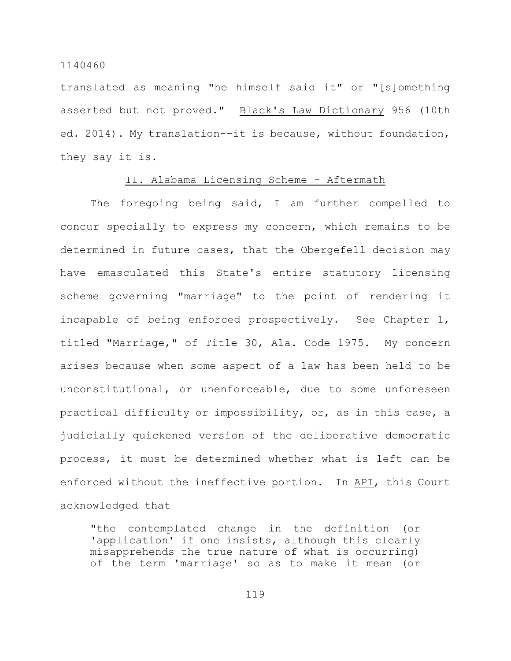translated as meaning "he himself said it" or "[s]omething asserted but not proved." Black's Law Dictionary 956 (10th ed. 2014). My translation--it is because, without foundation, they say it is.

# II. Alabama Licensing Scheme - Aftermath

The foregoing being said, I am further compelled to concur specially to express my concern, which remains to be determined in future cases, that the Obergefell decision may have emasculated this State's entire statutory licensing scheme governing "marriage" to the point of rendering it incapable of being enforced prospectively. See Chapter 1, titled "Marriage," of Title 30, Ala. Code 1975. My concern arises because when some aspect of a law has been held to be unconstitutional, or unenforceable, due to some unforeseen practical difficulty or impossibility, or, as in this case, a judicially quickened version of the deliberative democratic process, it must be determined whether what is left can be enforced without the ineffective portion. In API, this Court acknowledged that

"the contemplated change in the definition (or 'application' if one insists, although this clearly misapprehends the true nature of what is occurring) of the term 'marriage' so as to make it mean (or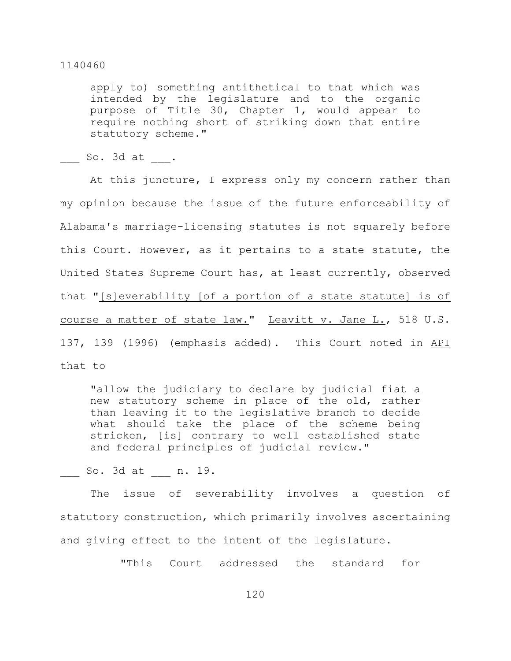apply to) something antithetical to that which was intended by the legislature and to the organic purpose of Title 30, Chapter 1, would appear to require nothing short of striking down that entire statutory scheme."

 $So. 3d at .$ 

At this juncture, I express only my concern rather than my opinion because the issue of the future enforceability of Alabama's marriage-licensing statutes is not squarely before this Court. However, as it pertains to a state statute, the United States Supreme Court has, at least currently, observed that "[s]everability [of a portion of a state statute] is of course a matter of state law." Leavitt v. Jane L., 518 U.S. 137, 139 (1996) (emphasis added). This Court noted in API that to

"allow the judiciary to declare by judicial fiat a new statutory scheme in place of the old, rather than leaving it to the legislative branch to decide what should take the place of the scheme being stricken, [is] contrary to well established state and federal principles of judicial review."

\_\_\_ So. 3d at \_\_\_ n. 19.

The issue of severability involves a question of statutory construction, which primarily involves ascertaining and giving effect to the intent of the legislature.

"This Court addressed the standard for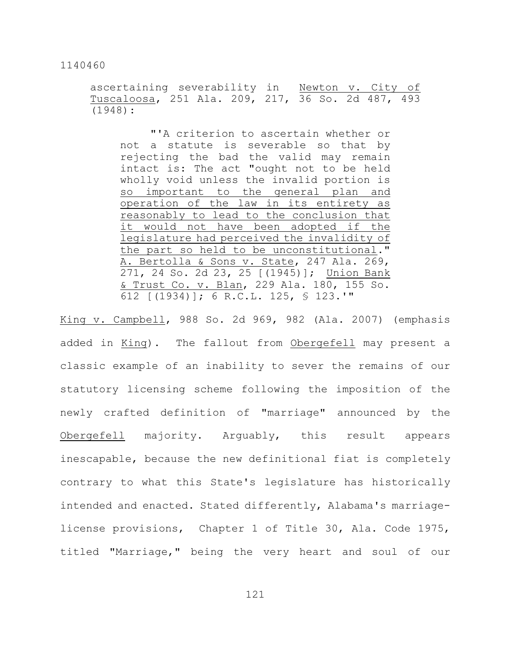ascertaining severability in Newton v. City of Tuscaloosa, 251 Ala. 209, 217, 36 So. 2d 487, 493 (1948):

"'A criterion to ascertain whether or not a statute is severable so that by rejecting the bad the valid may remain intact is: The act "ought not to be held wholly void unless the invalid portion is so important to the general plan and operation of the law in its entirety as reasonably to lead to the conclusion that it would not have been adopted if the legislature had perceived the invalidity of the part so held to be unconstitutional." A. Bertolla & Sons v. State, 247 Ala. 269, 271, 24 So. 2d 23, 25 [(1945)]; Union Bank & Trust Co. v. Blan, 229 Ala. 180, 155 So. 612 [(1934)]; 6 R.C.L. 125, § 123.'"

King v. Campbell, 988 So. 2d 969, 982 (Ala. 2007) (emphasis added in King). The fallout from Obergefell may present a classic example of an inability to sever the remains of our statutory licensing scheme following the imposition of the newly crafted definition of "marriage" announced by the Obergefell majority. Arguably, this result appears inescapable, because the new definitional fiat is completely contrary to what this State's legislature has historically intended and enacted. Stated differently, Alabama's marriagelicense provisions, Chapter 1 of Title 30, Ala. Code 1975, titled "Marriage," being the very heart and soul of our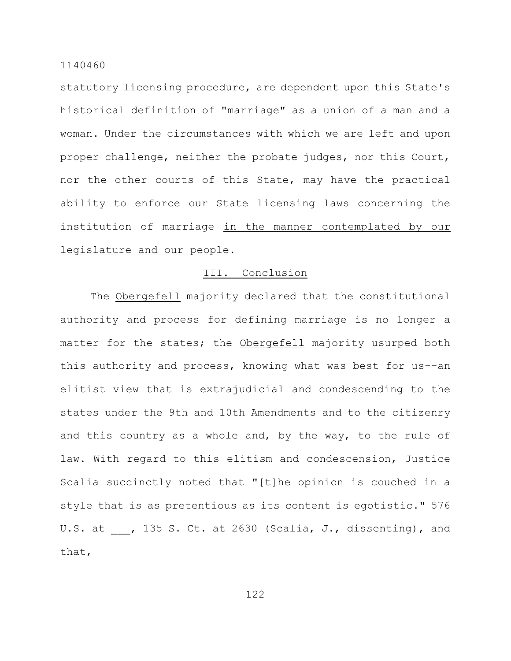statutory licensing procedure, are dependent upon this State's historical definition of "marriage" as a union of a man and a woman. Under the circumstances with which we are left and upon proper challenge, neither the probate judges, nor this Court, nor the other courts of this State, may have the practical ability to enforce our State licensing laws concerning the institution of marriage in the manner contemplated by our legislature and our people.

# III. Conclusion

The Obergefell majority declared that the constitutional authority and process for defining marriage is no longer a matter for the states; the Obergefell majority usurped both this authority and process, knowing what was best for us--an elitist view that is extrajudicial and condescending to the states under the 9th and 10th Amendments and to the citizenry and this country as a whole and, by the way, to the rule of law. With regard to this elitism and condescension, Justice Scalia succinctly noted that "[t]he opinion is couched in a style that is as pretentious as its content is egotistic." 576 U.S. at \_\_\_, 135 S. Ct. at 2630 (Scalia, J., dissenting), and that,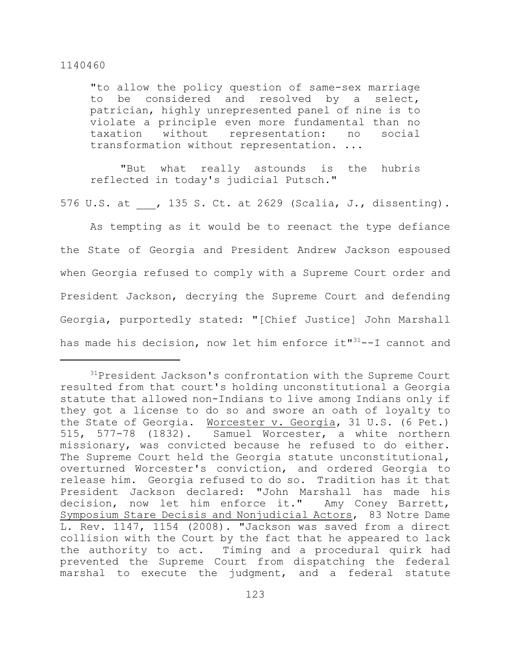"to allow the policy question of same-sex marriage to be considered and resolved by a select, patrician, highly unrepresented panel of nine is to violate a principle even more fundamental than no taxation without representation: no social transformation without representation. ...

"But what really astounds is the hubris reflected in today's judicial Putsch."

576 U.S. at , 135 S. Ct. at 2629 (Scalia, J., dissenting).

As tempting as it would be to reenact the type defiance the State of Georgia and President Andrew Jackson espoused when Georgia refused to comply with a Supreme Court order and President Jackson, decrying the Supreme Court and defending Georgia, purportedly stated: "[Chief Justice] John Marshall has made his decision, now let him enforce it" $31$ --I cannot and

 $31$ President Jackson's confrontation with the Supreme Court resulted from that court's holding unconstitutional a Georgia statute that allowed non-Indians to live among Indians only if they got a license to do so and swore an oath of loyalty to the State of Georgia. Worcester v. Georgia, 31 U.S. (6 Pet.) 515, 577-78 (1832). Samuel Worcester, a white northern missionary, was convicted because he refused to do either. The Supreme Court held the Georgia statute unconstitutional, overturned Worcester's conviction, and ordered Georgia to release him. Georgia refused to do so. Tradition has it that President Jackson declared: "John Marshall has made his decision, now let him enforce it." Amy Coney Barrett, Symposium Stare Decisis and Nonjudicial Actors, 83 Notre Dame L. Rev. 1147, 1154 (2008). "Jackson was saved from a direct collision with the Court by the fact that he appeared to lack the authority to act. Timing and a procedural quirk had prevented the Supreme Court from dispatching the federal marshal to execute the judgment, and a federal statute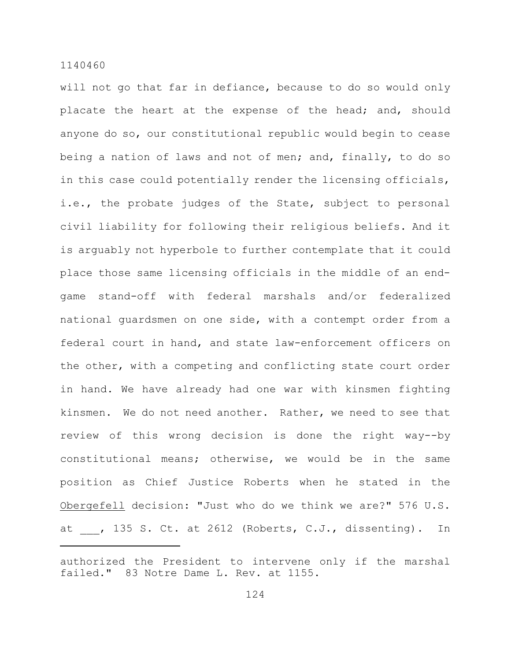will not go that far in defiance, because to do so would only placate the heart at the expense of the head; and, should anyone do so, our constitutional republic would begin to cease being a nation of laws and not of men; and, finally, to do so in this case could potentially render the licensing officials, i.e., the probate judges of the State, subject to personal civil liability for following their religious beliefs. And it is arguably not hyperbole to further contemplate that it could place those same licensing officials in the middle of an endgame stand-off with federal marshals and/or federalized national guardsmen on one side, with a contempt order from a federal court in hand, and state law-enforcement officers on the other, with a competing and conflicting state court order in hand. We have already had one war with kinsmen fighting kinsmen. We do not need another. Rather, we need to see that review of this wrong decision is done the right way--by constitutional means; otherwise, we would be in the same position as Chief Justice Roberts when he stated in the Obergefell decision: "Just who do we think we are?" 576 U.S. at , 135 S. Ct. at 2612 (Roberts, C.J., dissenting). In

authorized the President to intervene only if the marshal failed." 83 Notre Dame L. Rev. at 1155.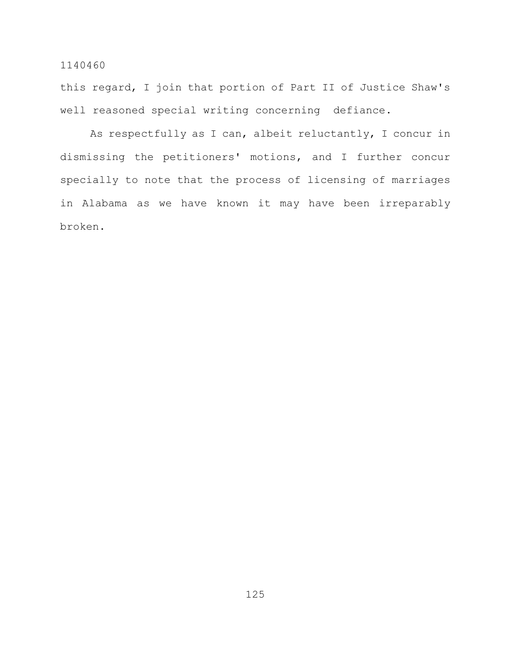this regard, I join that portion of Part II of Justice Shaw's well reasoned special writing concerning defiance.

As respectfully as I can, albeit reluctantly, I concur in dismissing the petitioners' motions, and I further concur specially to note that the process of licensing of marriages in Alabama as we have known it may have been irreparably broken.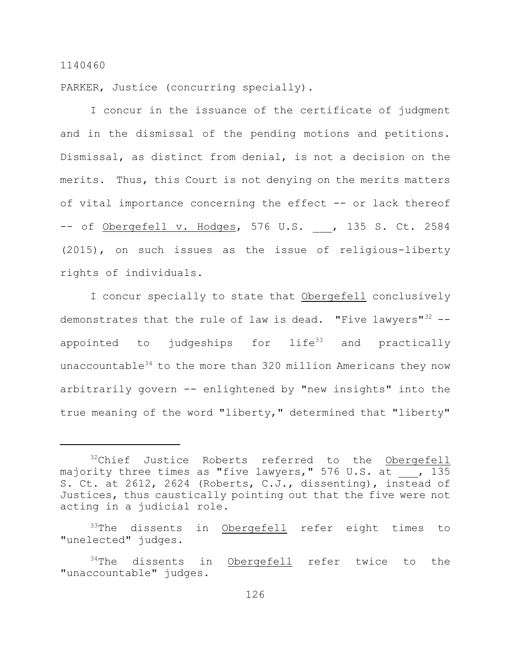PARKER, Justice (concurring specially).

I concur in the issuance of the certificate of judgment and in the dismissal of the pending motions and petitions. Dismissal, as distinct from denial, is not a decision on the merits. Thus, this Court is not denying on the merits matters of vital importance concerning the effect -- or lack thereof -- of Obergefell v. Hodges, 576 U.S. , 135 S. Ct. 2584 (2015), on such issues as the issue of religious-liberty rights of individuals.

I concur specially to state that Obergefell conclusively demonstrates that the rule of law is dead. "Five lawyers"<sup>32</sup> -appointed to judgeships for life<sup>33</sup> and practically unaccountable<sup>34</sup> to the more than 320 million Americans they now arbitrarily govern -- enlightened by "new insights" into the true meaning of the word "liberty," determined that "liberty"

 $32$ Chief Justice Roberts referred to the Obergefell majority three times as "five lawyers," 576 U.S. at , 135 S. Ct. at 2612, 2624 (Roberts, C.J., dissenting), instead of Justices, thus caustically pointing out that the five were not acting in a judicial role.

 $33$ The dissents in Obergefell refer eight times to "unelected" judges.

 $34$ The dissents in Obergefell refer twice to the "unaccountable" judges.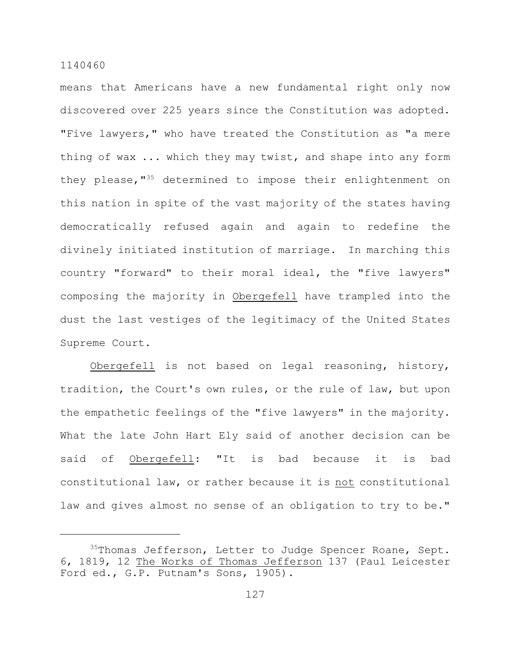means that Americans have a new fundamental right only now discovered over 225 years since the Constitution was adopted. "Five lawyers," who have treated the Constitution as "a mere thing of wax ... which they may twist, and shape into any form they please,  $135$  determined to impose their enlightenment on this nation in spite of the vast majority of the states having democratically refused again and again to redefine the divinely initiated institution of marriage. In marching this country "forward" to their moral ideal, the "five lawyers" composing the majority in Obergefell have trampled into the dust the last vestiges of the legitimacy of the United States Supreme Court.

Obergefell is not based on legal reasoning, history, tradition, the Court's own rules, or the rule of law, but upon the empathetic feelings of the "five lawyers" in the majority. What the late John Hart Ely said of another decision can be said of Obergefell: "It is bad because it is bad constitutional law, or rather because it is not constitutional law and gives almost no sense of an obligation to try to be."

 $35$ Thomas Jefferson, Letter to Judge Spencer Roane, Sept. 6, 1819, 12 The Works of Thomas Jefferson 137 (Paul Leicester Ford ed., G.P. Putnam's Sons, 1905).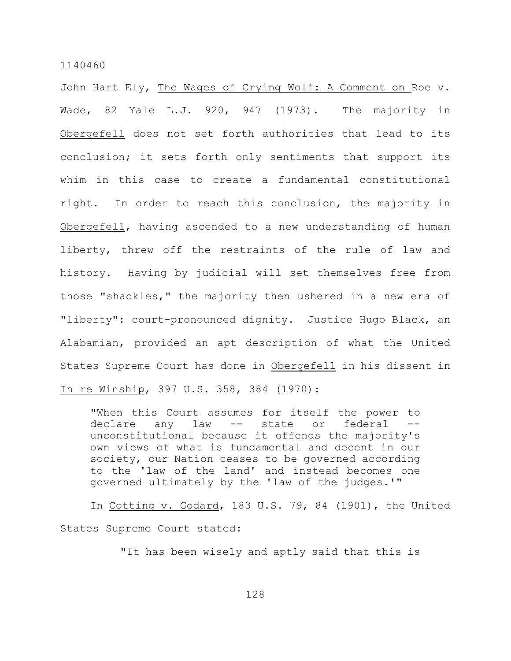John Hart Ely, The Wages of Crying Wolf: A Comment on Roe v. Wade, 82 Yale L.J. 920, 947 (1973). The majority in Obergefell does not set forth authorities that lead to its conclusion; it sets forth only sentiments that support its whim in this case to create a fundamental constitutional right. In order to reach this conclusion, the majority in Obergefell, having ascended to a new understanding of human liberty, threw off the restraints of the rule of law and history. Having by judicial will set themselves free from those "shackles," the majority then ushered in a new era of "liberty": court-pronounced dignity. Justice Hugo Black, an Alabamian, provided an apt description of what the United States Supreme Court has done in Obergefell in his dissent in In re Winship, 397 U.S. 358, 384 (1970):

"When this Court assumes for itself the power to declare any law -- state or federal - unconstitutional because it offends the majority's own views of what is fundamental and decent in our society, our Nation ceases to be governed according to the 'law of the land' and instead becomes one governed ultimately by the 'law of the judges.'"

In Cotting v. Godard, 183 U.S. 79, 84 (1901), the United States Supreme Court stated:

"It has been wisely and aptly said that this is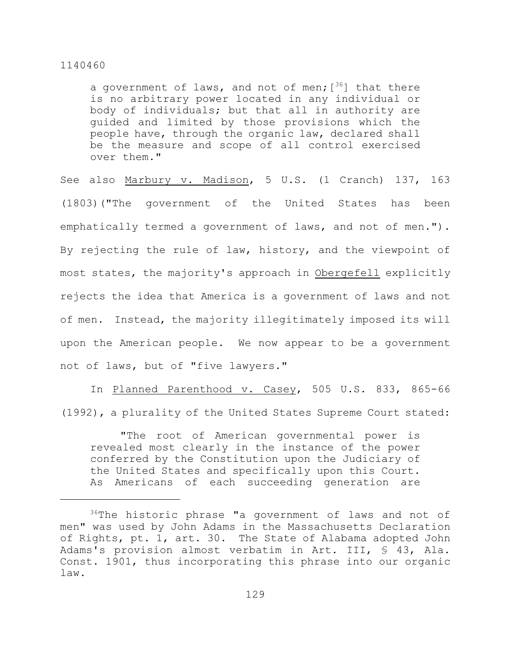a government of laws, and not of men;  $[36]$  that there is no arbitrary power located in any individual or body of individuals; but that all in authority are guided and limited by those provisions which the people have, through the organic law, declared shall be the measure and scope of all control exercised over them."

See also Marbury v. Madison, 5 U.S. (1 Cranch) 137, 163 (1803)("The government of the United States has been emphatically termed a government of laws, and not of men."). By rejecting the rule of law, history, and the viewpoint of most states, the majority's approach in Obergefell explicitly rejects the idea that America is a government of laws and not of men. Instead, the majority illegitimately imposed its will upon the American people. We now appear to be a government not of laws, but of "five lawyers."

In Planned Parenthood v. Casey, 505 U.S. 833, 865-66 (1992), a plurality of the United States Supreme Court stated:

"The root of American governmental power is revealed most clearly in the instance of the power conferred by the Constitution upon the Judiciary of the United States and specifically upon this Court. As Americans of each succeeding generation are

 $36$ The historic phrase "a government of laws and not of men" was used by John Adams in the Massachusetts Declaration of Rights, pt. 1, art. 30. The State of Alabama adopted John Adams's provision almost verbatim in Art. III, § 43, Ala. Const. 1901, thus incorporating this phrase into our organic law.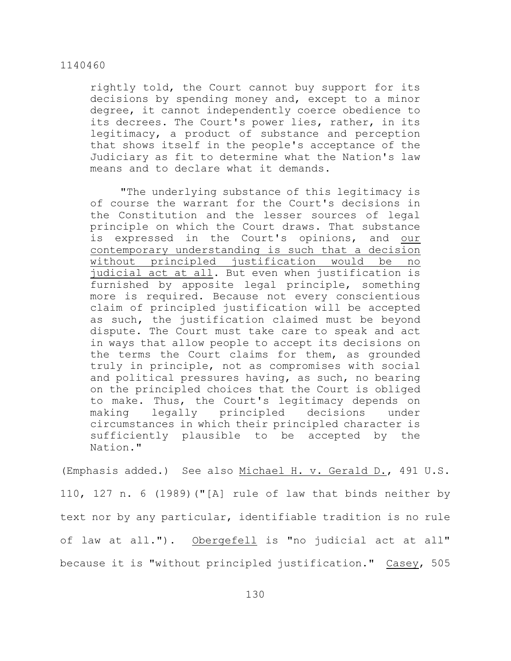rightly told, the Court cannot buy support for its decisions by spending money and, except to a minor degree, it cannot independently coerce obedience to its decrees. The Court's power lies, rather, in its legitimacy, a product of substance and perception that shows itself in the people's acceptance of the Judiciary as fit to determine what the Nation's law means and to declare what it demands.

"The underlying substance of this legitimacy is of course the warrant for the Court's decisions in the Constitution and the lesser sources of legal principle on which the Court draws. That substance is expressed in the Court's opinions, and our contemporary understanding is such that a decision without principled justification would be no judicial act at all. But even when justification is furnished by apposite legal principle, something more is required. Because not every conscientious claim of principled justification will be accepted as such, the justification claimed must be beyond dispute. The Court must take care to speak and act in ways that allow people to accept its decisions on the terms the Court claims for them, as grounded truly in principle, not as compromises with social and political pressures having, as such, no bearing on the principled choices that the Court is obliged to make. Thus, the Court's legitimacy depends on making legally principled decisions under circumstances in which their principled character is sufficiently plausible to be accepted by the Nation."

(Emphasis added.) See also Michael H. v. Gerald D., 491 U.S. 110, 127 n. 6 (1989)("[A] rule of law that binds neither by text nor by any particular, identifiable tradition is no rule of law at all."). Obergefell is "no judicial act at all" because it is "without principled justification." Casey, 505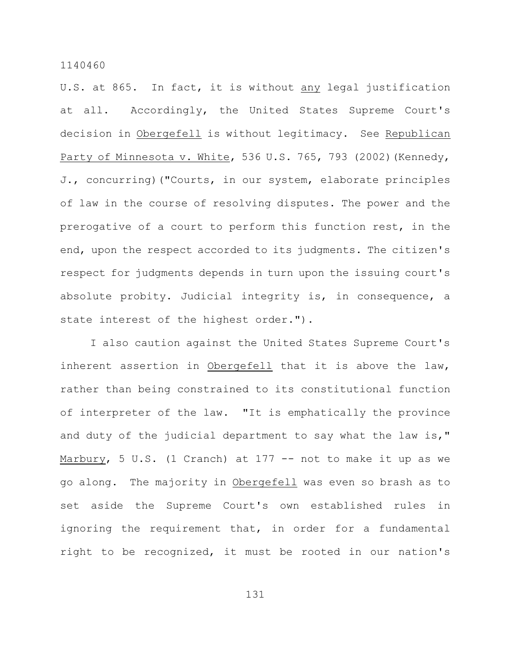U.S. at 865. In fact, it is without any legal justification at all. Accordingly, the United States Supreme Court's decision in Obergefell is without legitimacy. See Republican Party of Minnesota v. White, 536 U.S. 765, 793 (2002)(Kennedy, J., concurring)("Courts, in our system, elaborate principles of law in the course of resolving disputes. The power and the prerogative of a court to perform this function rest, in the end, upon the respect accorded to its judgments. The citizen's respect for judgments depends in turn upon the issuing court's absolute probity. Judicial integrity is, in consequence, a state interest of the highest order.").

I also caution against the United States Supreme Court's inherent assertion in Obergefell that it is above the law, rather than being constrained to its constitutional function of interpreter of the law. "It is emphatically the province and duty of the judicial department to say what the law is," Marbury, 5 U.S. (1 Cranch) at 177 -- not to make it up as we go along. The majority in Obergefell was even so brash as to set aside the Supreme Court's own established rules in ignoring the requirement that, in order for a fundamental right to be recognized, it must be rooted in our nation's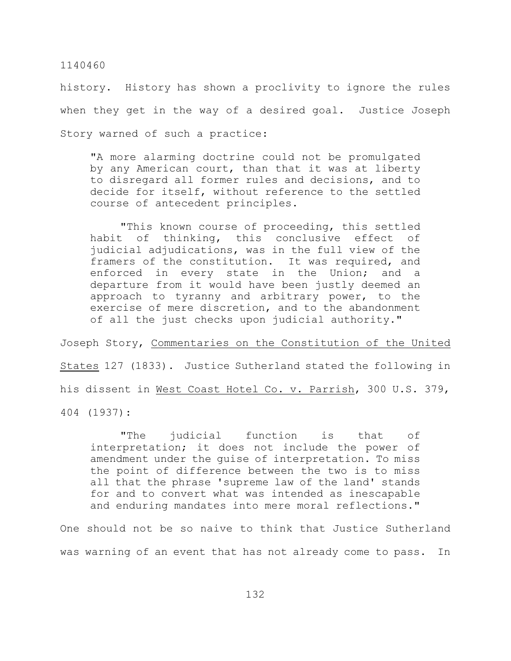history. History has shown a proclivity to ignore the rules when they get in the way of a desired goal. Justice Joseph Story warned of such a practice:

"A more alarming doctrine could not be promulgated by any American court, than that it was at liberty to disregard all former rules and decisions, and to decide for itself, without reference to the settled course of antecedent principles.

"This known course of proceeding, this settled habit of thinking, this conclusive effect of judicial adjudications, was in the full view of the framers of the constitution. It was required, and enforced in every state in the Union; and departure from it would have been justly deemed an approach to tyranny and arbitrary power, to the exercise of mere discretion, and to the abandonment of all the just checks upon judicial authority."

Joseph Story, Commentaries on the Constitution of the United States 127 (1833). Justice Sutherland stated the following in his dissent in West Coast Hotel Co. v. Parrish, 300 U.S. 379, 404 (1937):

"The judicial function is that of interpretation; it does not include the power of amendment under the guise of interpretation. To miss the point of difference between the two is to miss all that the phrase 'supreme law of the land' stands for and to convert what was intended as inescapable and enduring mandates into mere moral reflections."

One should not be so naive to think that Justice Sutherland was warning of an event that has not already come to pass. In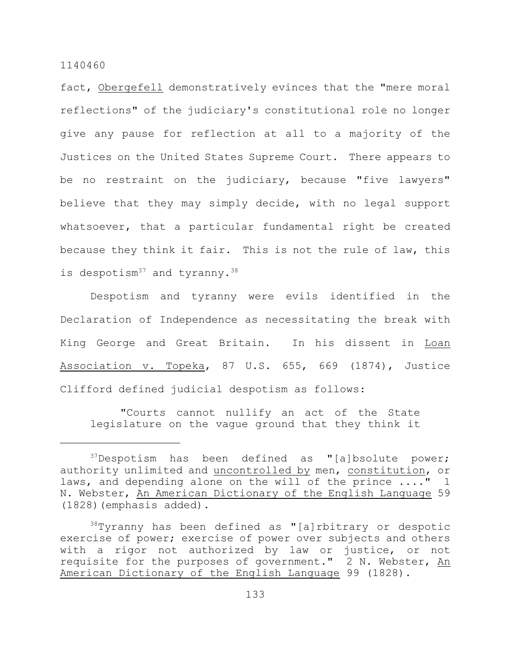fact, Obergefell demonstratively evinces that the "mere moral reflections" of the judiciary's constitutional role no longer give any pause for reflection at all to a majority of the Justices on the United States Supreme Court. There appears to be no restraint on the judiciary, because "five lawyers" believe that they may simply decide, with no legal support whatsoever, that a particular fundamental right be created because they think it fair. This is not the rule of law, this is despotism<sup>37</sup> and tyranny.<sup>38</sup>

Despotism and tyranny were evils identified in the Declaration of Independence as necessitating the break with King George and Great Britain. In his dissent in Loan Association v. Topeka, 87 U.S. 655, 669 (1874), Justice Clifford defined judicial despotism as follows:

"Courts cannot nullify an act of the State legislature on the vague ground that they think it

 $37$ Despotism has been defined as "[a]bsolute power; authority unlimited and uncontrolled by men, constitution, or laws, and depending alone on the will of the prince ...." 1 N. Webster, An American Dictionary of the English Language 59 (1828)(emphasis added).

 $38$ Tyranny has been defined as "[a]rbitrary or despotic exercise of power; exercise of power over subjects and others with a rigor not authorized by law or justice, or not requisite for the purposes of government." 2 N. Webster, An American Dictionary of the English Language 99 (1828).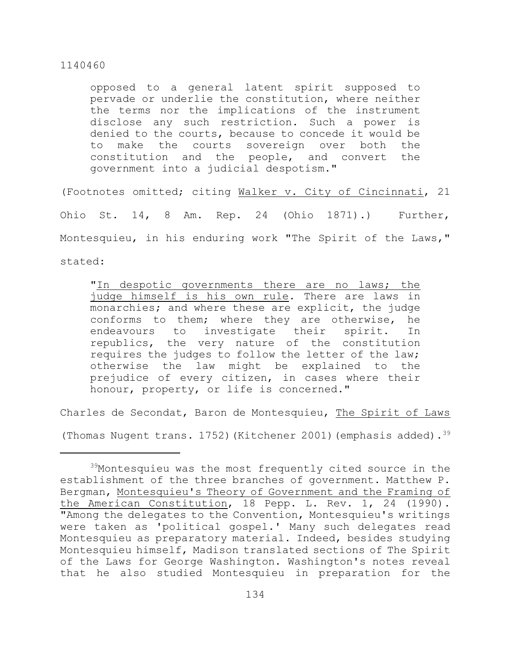opposed to a general latent spirit supposed to pervade or underlie the constitution, where neither the terms nor the implications of the instrument disclose any such restriction. Such a power is denied to the courts, because to concede it would be to make the courts sovereign over both the constitution and the people, and convert the government into a judicial despotism."

(Footnotes omitted; citing Walker v. City of Cincinnati, 21 Ohio St. 14, 8 Am. Rep. 24 (Ohio 1871).) Further, Montesquieu, in his enduring work "The Spirit of the Laws," stated:

"In despotic governments there are no laws; the judge himself is his own rule. There are laws in monarchies; and where these are explicit, the judge conforms to them; where they are otherwise, he endeavours to investigate their spirit. In republics, the very nature of the constitution requires the judges to follow the letter of the law; otherwise the law might be explained to the prejudice of every citizen, in cases where their honour, property, or life is concerned."

Charles de Secondat, Baron de Montesquieu, The Spirit of Laws

(Thomas Nugent trans. 1752) (Kitchener 2001) (emphasis added).  $39$ 

 $39$ Montesquieu was the most frequently cited source in the establishment of the three branches of government. Matthew P. Bergman, Montesquieu's Theory of Government and the Framing of the American Constitution, 18 Pepp. L. Rev. 1, 24 (1990). "Among the delegates to the Convention, Montesquieu's writings were taken as 'political gospel.' Many such delegates read Montesquieu as preparatory material. Indeed, besides studying Montesquieu himself, Madison translated sections of The Spirit of the Laws for George Washington. Washington's notes reveal that he also studied Montesquieu in preparation for the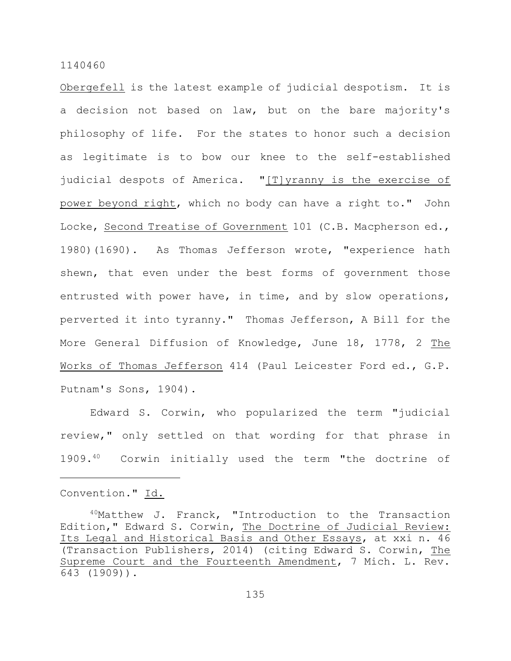Obergefell is the latest example of judicial despotism. It is a decision not based on law, but on the bare majority's philosophy of life. For the states to honor such a decision as legitimate is to bow our knee to the self-established judicial despots of America. "[T]yranny is the exercise of power beyond right, which no body can have a right to." John Locke, Second Treatise of Government 101 (C.B. Macpherson ed., 1980)(1690). As Thomas Jefferson wrote, "experience hath shewn, that even under the best forms of government those entrusted with power have, in time, and by slow operations, perverted it into tyranny." Thomas Jefferson, A Bill for the More General Diffusion of Knowledge, June 18, 1778, 2 The Works of Thomas Jefferson 414 (Paul Leicester Ford ed., G.P. Putnam's Sons, 1904).

Edward S. Corwin, who popularized the term "judicial review," only settled on that wording for that phrase in  $1909.^{40}$  Corwin initially used the term "the doctrine of

Convention." Id.

<sup>40</sup>Matthew J. Franck, "Introduction to the Transaction Edition," Edward S. Corwin, The Doctrine of Judicial Review: Its Legal and Historical Basis and Other Essays, at xxi n. 46 (Transaction Publishers, 2014) (citing Edward S. Corwin, The Supreme Court and the Fourteenth Amendment, 7 Mich. L. Rev. 643 (1909)).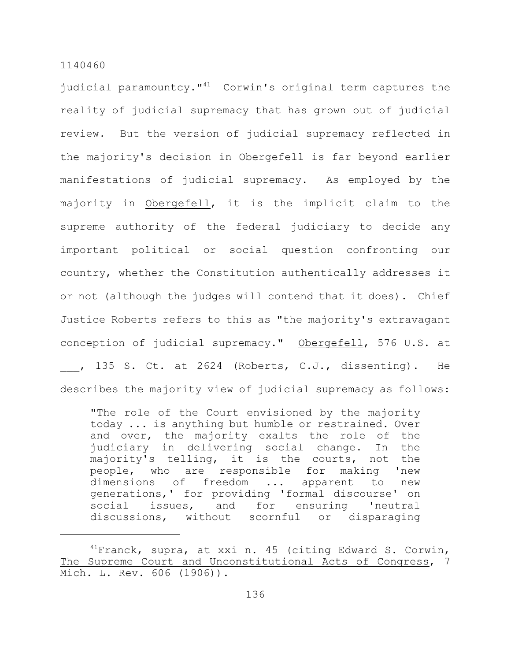judicial paramountcy. $141$  Corwin's original term captures the reality of judicial supremacy that has grown out of judicial review. But the version of judicial supremacy reflected in the majority's decision in Obergefell is far beyond earlier manifestations of judicial supremacy. As employed by the majority in Obergefell, it is the implicit claim to the supreme authority of the federal judiciary to decide any important political or social question confronting our country, whether the Constitution authentically addresses it or not (although the judges will contend that it does). Chief Justice Roberts refers to this as "the majority's extravagant conception of judicial supremacy." Obergefell, 576 U.S. at , 135 S. Ct. at 2624 (Roberts, C.J., dissenting). He describes the majority view of judicial supremacy as follows:

"The role of the Court envisioned by the majority today ... is anything but humble or restrained. Over and over, the majority exalts the role of the judiciary in delivering social change. In the majority's telling, it is the courts, not the people, who are responsible for making 'new dimensions of freedom ... apparent to new generations,' for providing 'formal discourse' on social issues, and for ensuring 'neutral discussions, without scornful or disparaging

 $14$ Franck, supra, at xxi n. 45 (citing Edward S. Corwin, The Supreme Court and Unconstitutional Acts of Congress, 7 Mich. L. Rev. 606 (1906)).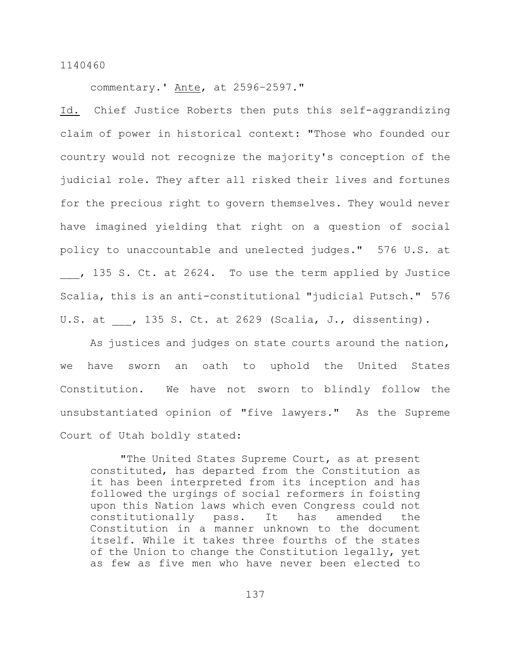commentary.' Ante, at 2596–2597."

Id. Chief Justice Roberts then puts this self-aggrandizing claim of power in historical context: "Those who founded our country would not recognize the majority's conception of the judicial role. They after all risked their lives and fortunes for the precious right to govern themselves. They would never have imagined yielding that right on a question of social policy to unaccountable and unelected judges." 576 U.S. at , 135 S. Ct. at 2624. To use the term applied by Justice Scalia, this is an anti-constitutional "judicial Putsch." 576 U.S. at , 135 S. Ct. at 2629 (Scalia, J., dissenting).

As justices and judges on state courts around the nation, we have sworn an oath to uphold the United States Constitution. We have not sworn to blindly follow the unsubstantiated opinion of "five lawyers." As the Supreme Court of Utah boldly stated:

"The United States Supreme Court, as at present constituted, has departed from the Constitution as it has been interpreted from its inception and has followed the urgings of social reformers in foisting upon this Nation laws which even Congress could not constitutionally pass. It has amended the Constitution in a manner unknown to the document itself. While it takes three fourths of the states of the Union to change the Constitution legally, yet as few as five men who have never been elected to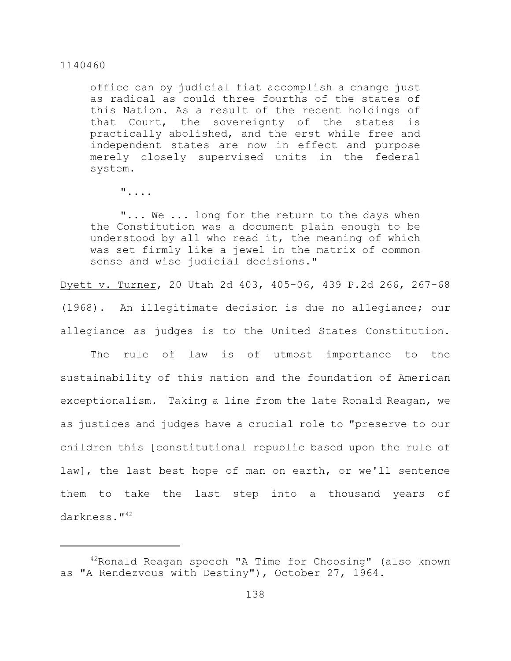office can by judicial fiat accomplish a change just as radical as could three fourths of the states of this Nation. As a result of the recent holdings of that Court, the sovereignty of the states is practically abolished, and the erst while free and independent states are now in effect and purpose merely closely supervised units in the federal system.

"....

"... We ... long for the return to the days when the Constitution was a document plain enough to be understood by all who read it, the meaning of which was set firmly like a jewel in the matrix of common sense and wise judicial decisions."

Dyett v. Turner, 20 Utah 2d 403, 405-06, 439 P.2d 266, 267-68 (1968). An illegitimate decision is due no allegiance; our allegiance as judges is to the United States Constitution.

The rule of law is of utmost importance to the sustainability of this nation and the foundation of American exceptionalism. Taking a line from the late Ronald Reagan, we as justices and judges have a crucial role to "preserve to our children this [constitutional republic based upon the rule of law], the last best hope of man on earth, or we'll sentence them to take the last step into a thousand years of darkness."<sup>42</sup>

 $42$ Ronald Reagan speech "A Time for Choosing" (also known as "A Rendezvous with Destiny"), October 27, 1964.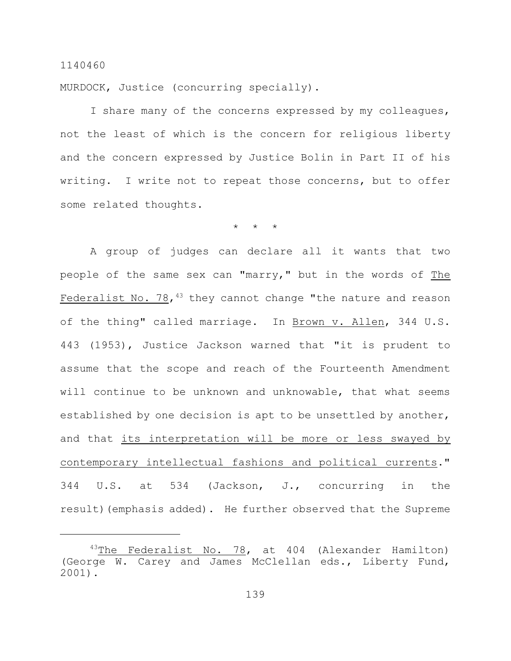MURDOCK, Justice (concurring specially).

I share many of the concerns expressed by my colleagues, not the least of which is the concern for religious liberty and the concern expressed by Justice Bolin in Part II of his writing. I write not to repeat those concerns, but to offer some related thoughts.

\* \* \*

A group of judges can declare all it wants that two people of the same sex can "marry," but in the words of The Federalist No. 78, 43 they cannot change "the nature and reason of the thing" called marriage. In Brown v. Allen, 344 U.S. 443 (1953), Justice Jackson warned that "it is prudent to assume that the scope and reach of the Fourteenth Amendment will continue to be unknown and unknowable, that what seems established by one decision is apt to be unsettled by another, and that its interpretation will be more or less swayed by contemporary intellectual fashions and political currents." 344 U.S. at 534 (Jackson, J., concurring in the result)(emphasis added). He further observed that the Supreme

 $43$ The Federalist No. 78, at 404 (Alexander Hamilton) (George W. Carey and James McClellan eds., Liberty Fund, 2001).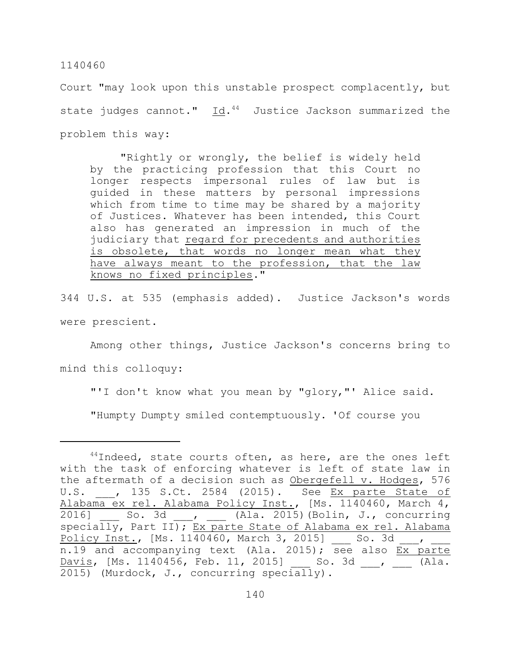Court "may look upon this unstable prospect complacently, but state judges cannot." Id.<sup>44</sup> Justice Jackson summarized the problem this way:

"Rightly or wrongly, the belief is widely held by the practicing profession that this Court no longer respects impersonal rules of law but is guided in these matters by personal impressions which from time to time may be shared by a majority of Justices. Whatever has been intended, this Court also has generated an impression in much of the judiciary that regard for precedents and authorities is obsolete, that words no longer mean what they have always meant to the profession, that the law knows no fixed principles."

344 U.S. at 535 (emphasis added). Justice Jackson's words were prescient.

Among other things, Justice Jackson's concerns bring to

mind this colloquy:

"'I don't know what you mean by "glory,"' Alice said.

"Humpty Dumpty smiled contemptuously. 'Of course you

 $44$ Indeed, state courts often, as here, are the ones left with the task of enforcing whatever is left of state law in the aftermath of a decision such as Obergefell v. Hodges, 576 U.S. **,** 135 S.Ct. 2584 (2015). See <u>Ex parte State of</u> Alabama ex rel. Alabama Policy Inst., [Ms. 1140460, March 4, 2016] So. 3d , (Ala. 2015)(Bolin, J., concurring specially, Part II); Ex parte State of Alabama ex rel. Alabama Policy Inst., [Ms. 1140460, March 3, 2015] \_\_\_ So. 3d \_\_\_, n.19 and accompanying text (Ala. 2015); see also Ex parte Davis, [Ms. 1140456, Feb. 11, 2015] So. 3d , (Ala. 2015) (Murdock, J., concurring specially).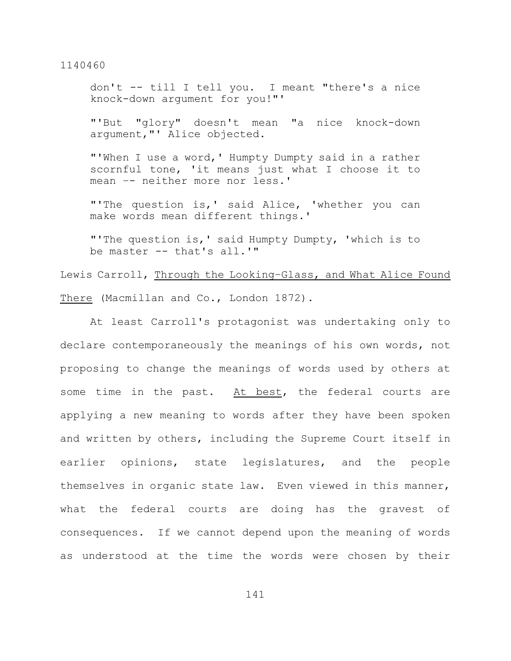don't -- till I tell you. I meant "there's a nice knock-down argument for you!"'

"'But "glory" doesn't mean "a nice knock-down argument,"' Alice objected.

"'When I use a word,' Humpty Dumpty said in a rather scornful tone, 'it means just what I choose it to mean –- neither more nor less.'

"'The question is,' said Alice, 'whether you can make words mean different things.'

"'The question is,' said Humpty Dumpty, 'which is to be master -- that's all.'"

Lewis Carroll, Through the Looking-Glass, and What Alice Found There (Macmillan and Co., London 1872).

At least Carroll's protagonist was undertaking only to declare contemporaneously the meanings of his own words, not proposing to change the meanings of words used by others at some time in the past. At best, the federal courts are applying a new meaning to words after they have been spoken and written by others, including the Supreme Court itself in earlier opinions, state legislatures, and the people themselves in organic state law. Even viewed in this manner, what the federal courts are doing has the gravest of consequences. If we cannot depend upon the meaning of words as understood at the time the words were chosen by their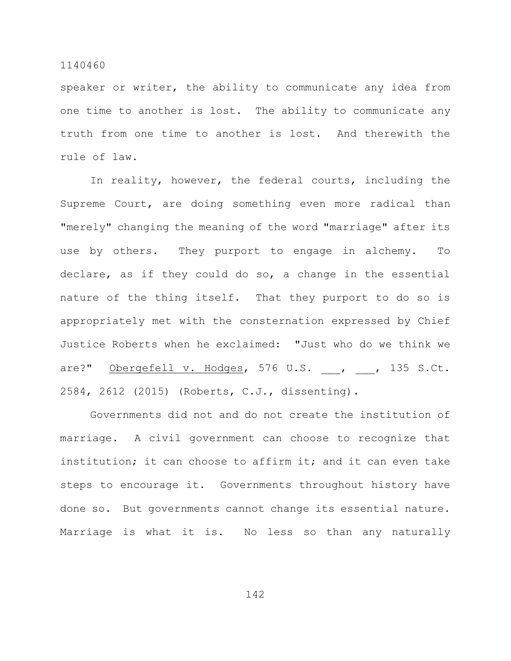speaker or writer, the ability to communicate any idea from one time to another is lost. The ability to communicate any truth from one time to another is lost. And therewith the rule of law.

In reality, however, the federal courts, including the Supreme Court, are doing something even more radical than "merely" changing the meaning of the word "marriage" after its use by others. They purport to engage in alchemy. To declare, as if they could do so, a change in the essential nature of the thing itself. That they purport to do so is appropriately met with the consternation expressed by Chief Justice Roberts when he exclaimed: "Just who do we think we are?" Obergefell v. Hodges, 576 U.S. , , 135 S.Ct. 2584, 2612 (2015) (Roberts, C.J., dissenting).

Governments did not and do not create the institution of marriage. A civil government can choose to recognize that institution; it can choose to affirm it; and it can even take steps to encourage it. Governments throughout history have done so. But governments cannot change its essential nature. Marriage is what it is. No less so than any naturally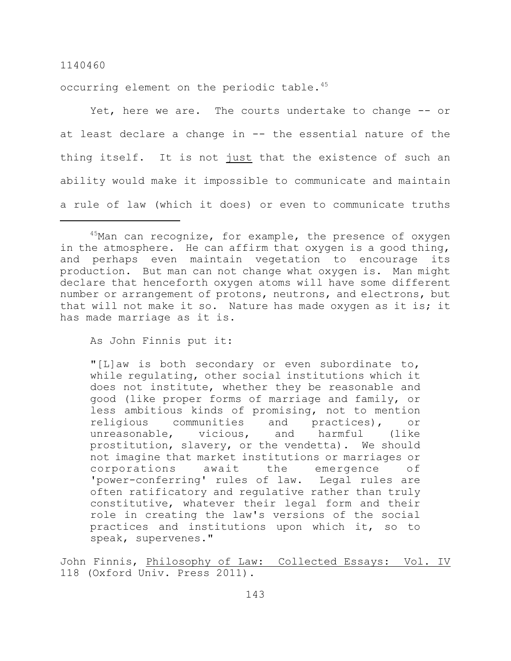occurring element on the periodic table.<sup>45</sup>

Yet, here we are. The courts undertake to change -- or at least declare a change in -- the essential nature of the thing itself. It is not just that the existence of such an ability would make it impossible to communicate and maintain a rule of law (which it does) or even to communicate truths

As John Finnis put it:

"[L]aw is both secondary or even subordinate to, while regulating, other social institutions which it does not institute, whether they be reasonable and good (like proper forms of marriage and family, or less ambitious kinds of promising, not to mention religious communities and practices), or unreasonable, vicious, and harmful (like prostitution, slavery, or the vendetta). We should not imagine that market institutions or marriages or corporations await the emergence of 'power-conferring' rules of law. Legal rules are often ratificatory and regulative rather than truly constitutive, whatever their legal form and their role in creating the law's versions of the social practices and institutions upon which it, so to speak, supervenes."

John Finnis, Philosophy of Law: Collected Essays: Vol. IV 118 (Oxford Univ. Press 2011).

 $45$ Man can recognize, for example, the presence of oxygen in the atmosphere. He can affirm that oxygen is a good thing, and perhaps even maintain vegetation to encourage its production. But man can not change what oxygen is. Man might declare that henceforth oxygen atoms will have some different number or arrangement of protons, neutrons, and electrons, but that will not make it so. Nature has made oxygen as it is; it has made marriage as it is.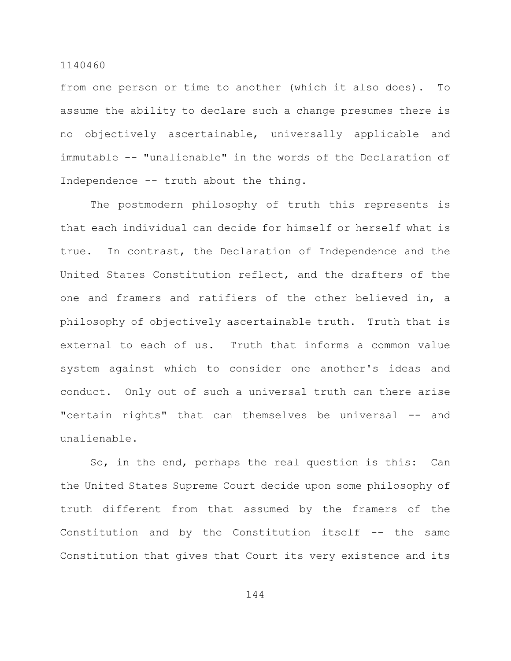from one person or time to another (which it also does). To assume the ability to declare such a change presumes there is no objectively ascertainable, universally applicable and immutable -- "unalienable" in the words of the Declaration of Independence -- truth about the thing.

The postmodern philosophy of truth this represents is that each individual can decide for himself or herself what is true. In contrast, the Declaration of Independence and the United States Constitution reflect, and the drafters of the one and framers and ratifiers of the other believed in, a philosophy of objectively ascertainable truth. Truth that is external to each of us. Truth that informs a common value system against which to consider one another's ideas and conduct. Only out of such a universal truth can there arise "certain rights" that can themselves be universal -- and unalienable.

So, in the end, perhaps the real question is this: Can the United States Supreme Court decide upon some philosophy of truth different from that assumed by the framers of the Constitution and by the Constitution itself -- the same Constitution that gives that Court its very existence and its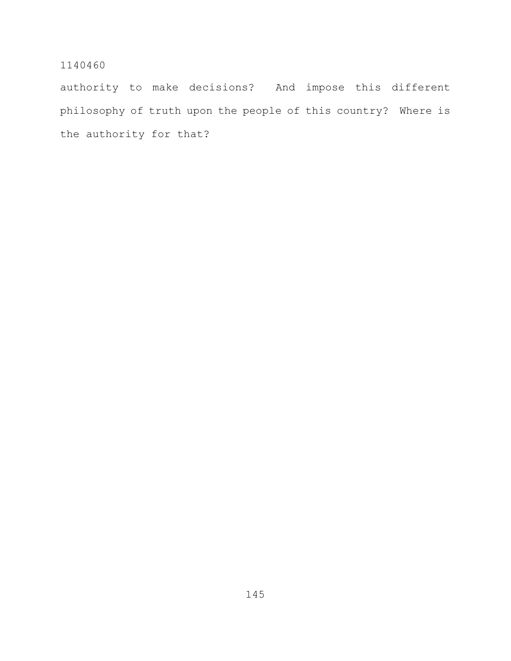authority to make decisions? And impose this different philosophy of truth upon the people of this country? Where is the authority for that?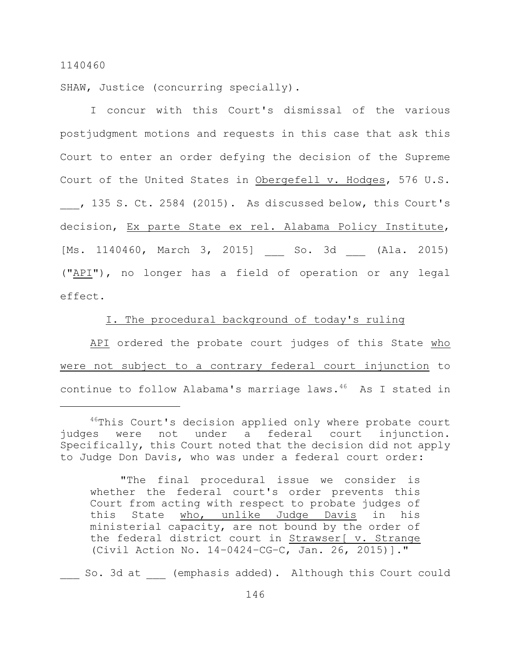SHAW, Justice (concurring specially).

I concur with this Court's dismissal of the various postjudgment motions and requests in this case that ask this Court to enter an order defying the decision of the Supreme Court of the United States in Obergefell v. Hodges, 576 U.S.

, 135 S. Ct. 2584 (2015). As discussed below, this Court's decision, Ex parte State ex rel. Alabama Policy Institute, [Ms. 1140460, March 3, 2015] So. 3d (Ala. 2015) ("API"), no longer has a field of operation or any legal effect.

## I. The procedural background of today's ruling

API ordered the probate court judges of this State who were not subject to a contrary federal court injunction to continue to follow Alabama's marriage laws. $46$  As I stated in

So. 3d at (emphasis added). Although this Court could

 $46$ This Court's decision applied only where probate court judges were not under a federal court injunction. Specifically, this Court noted that the decision did not apply to Judge Don Davis, who was under a federal court order:

<sup>&</sup>quot;The final procedural issue we consider is whether the federal court's order prevents this Court from acting with respect to probate judges of this State who, unlike Judge Davis in his ministerial capacity, are not bound by the order of the federal district court in Strawser[ v. Strange (Civil Action No. 14–0424–CG–C, Jan. 26, 2015)]."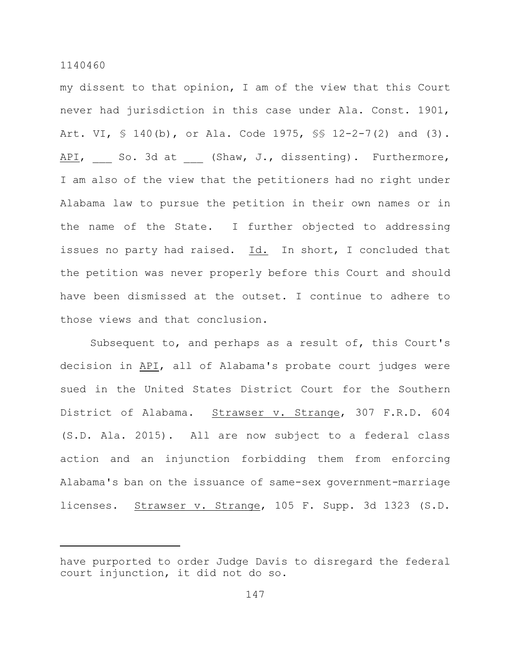my dissent to that opinion, I am of the view that this Court never had jurisdiction in this case under Ala. Const. 1901, Art. VI, § 140(b), or Ala. Code 1975, §§ 12-2-7(2) and (3). API, So. 3d at (Shaw, J., dissenting). Furthermore, I am also of the view that the petitioners had no right under Alabama law to pursue the petition in their own names or in the name of the State. I further objected to addressing issues no party had raised. Id. In short, I concluded that the petition was never properly before this Court and should have been dismissed at the outset. I continue to adhere to those views and that conclusion.

Subsequent to, and perhaps as a result of, this Court's decision in API, all of Alabama's probate court judges were sued in the United States District Court for the Southern District of Alabama. Strawser v. Strange, 307 F.R.D. 604 (S.D. Ala. 2015). All are now subject to a federal class action and an injunction forbidding them from enforcing Alabama's ban on the issuance of same-sex government-marriage licenses. Strawser v. Strange, 105 F. Supp. 3d 1323 (S.D.

have purported to order Judge Davis to disregard the federal court injunction, it did not do so.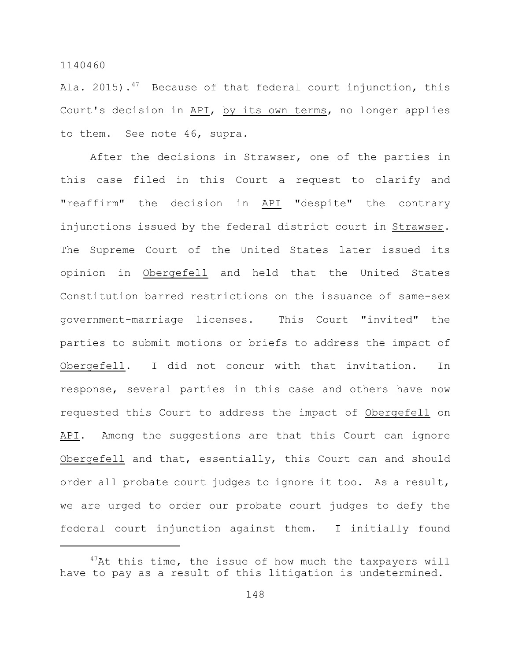Ala. 2015).<sup>47</sup> Because of that federal court injunction, this Court's decision in API, by its own terms, no longer applies to them. See note 46, supra.

After the decisions in Strawser, one of the parties in this case filed in this Court a request to clarify and "reaffirm" the decision in API "despite" the contrary injunctions issued by the federal district court in Strawser. The Supreme Court of the United States later issued its opinion in Obergefell and held that the United States Constitution barred restrictions on the issuance of same-sex government-marriage licenses. This Court "invited" the parties to submit motions or briefs to address the impact of Obergefell. I did not concur with that invitation. In response, several parties in this case and others have now requested this Court to address the impact of Obergefell on API. Among the suggestions are that this Court can ignore Obergefell and that, essentially, this Court can and should order all probate court judges to ignore it too. As a result, we are urged to order our probate court judges to defy the federal court injunction against them. I initially found

 $47$ At this time, the issue of how much the taxpayers will have to pay as a result of this litigation is undetermined.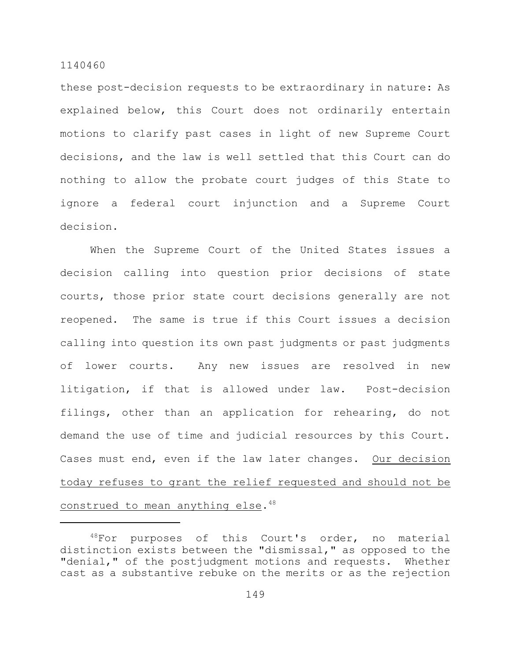these post-decision requests to be extraordinary in nature: As explained below, this Court does not ordinarily entertain motions to clarify past cases in light of new Supreme Court decisions, and the law is well settled that this Court can do nothing to allow the probate court judges of this State to ignore a federal court injunction and a Supreme Court decision.

When the Supreme Court of the United States issues a decision calling into question prior decisions of state courts, those prior state court decisions generally are not reopened. The same is true if this Court issues a decision calling into question its own past judgments or past judgments of lower courts. Any new issues are resolved in new litigation, if that is allowed under law. Post-decision filings, other than an application for rehearing, do not demand the use of time and judicial resources by this Court. Cases must end, even if the law later changes. Our decision today refuses to grant the relief requested and should not be construed to mean anything else.<sup>48</sup>

 $48$ For purposes of this Court's order, no material distinction exists between the "dismissal," as opposed to the "denial," of the postjudgment motions and requests. Whether cast as a substantive rebuke on the merits or as the rejection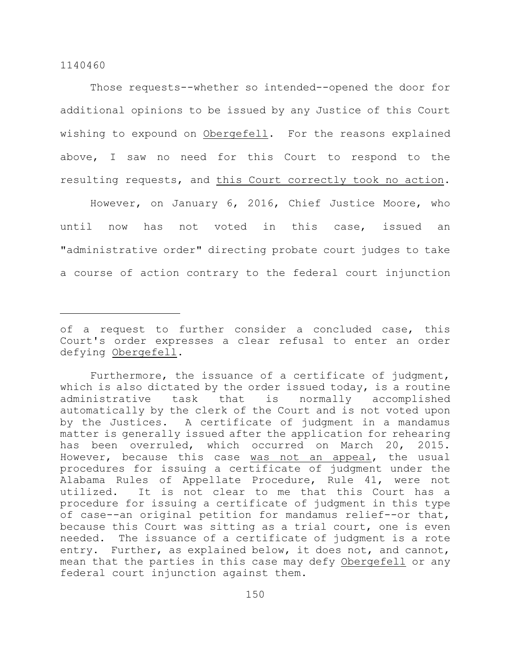Those requests--whether so intended--opened the door for additional opinions to be issued by any Justice of this Court wishing to expound on Obergefell. For the reasons explained above, I saw no need for this Court to respond to the resulting requests, and this Court correctly took no action.

However, on January 6, 2016, Chief Justice Moore, who until now has not voted in this case, issued an "administrative order" directing probate court judges to take a course of action contrary to the federal court injunction

of a request to further consider a concluded case, this Court's order expresses a clear refusal to enter an order defying Obergefell.

Furthermore, the issuance of a certificate of judgment, which is also dictated by the order issued today, is a routine administrative task that is normally accomplished automatically by the clerk of the Court and is not voted upon by the Justices. A certificate of judgment in a mandamus matter is generally issued after the application for rehearing has been overruled, which occurred on March 20, 2015. However, because this case was not an appeal, the usual procedures for issuing a certificate of judgment under the Alabama Rules of Appellate Procedure, Rule 41, were not utilized. It is not clear to me that this Court has a procedure for issuing a certificate of judgment in this type of case--an original petition for mandamus relief--or that, because this Court was sitting as a trial court, one is even needed. The issuance of a certificate of judgment is a rote entry. Further, as explained below, it does not, and cannot, mean that the parties in this case may defy Obergefell or any federal court injunction against them.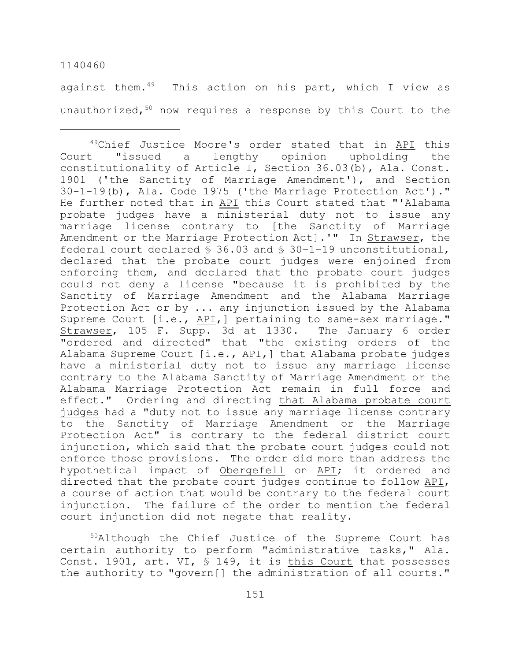against them. $49$  This action on his part, which I view as unauthorized,<sup>50</sup> now requires a response by this Court to the

 $50$ Although the Chief Justice of the Supreme Court has certain authority to perform "administrative tasks," Ala. Const. 1901, art. VI, § 149, it is this Court that possesses the authority to "govern[] the administration of all courts."

 $49$ Chief Justice Moore's order stated that in  $\overline{API}$  this Court "issued a lengthy opinion upholding the constitutionality of Article I, Section 36.03(b), Ala. Const. 1901 ('the Sanctity of Marriage Amendment'), and Section 30-1-19(b), Ala. Code 1975 ('the Marriage Protection Act')." He further noted that in API this Court stated that "'Alabama probate judges have a ministerial duty not to issue any marriage license contrary to [the Sanctity of Marriage Amendment or the Marriage Protection Act].'" In Strawser, the federal court declared § 36.03 and § 30–1–19 unconstitutional, declared that the probate court judges were enjoined from enforcing them, and declared that the probate court judges could not deny a license "because it is prohibited by the Sanctity of Marriage Amendment and the Alabama Marriage Protection Act or by ... any injunction issued by the Alabama Supreme Court [i.e., API,] pertaining to same-sex marriage." Strawser, 105 F. Supp. 3d at 1330. The January 6 order "ordered and directed" that "the existing orders of the Alabama Supreme Court [i.e., API,] that Alabama probate judges have a ministerial duty not to issue any marriage license contrary to the Alabama Sanctity of Marriage Amendment or the Alabama Marriage Protection Act remain in full force and effect." Ordering and directing that Alabama probate court judges had a "duty not to issue any marriage license contrary to the Sanctity of Marriage Amendment or the Marriage Protection Act" is contrary to the federal district court injunction, which said that the probate court judges could not enforce those provisions. The order did more than address the hypothetical impact of Obergefell on API; it ordered and directed that the probate court judges continue to follow API, a course of action that would be contrary to the federal court injunction. The failure of the order to mention the federal court injunction did not negate that reality.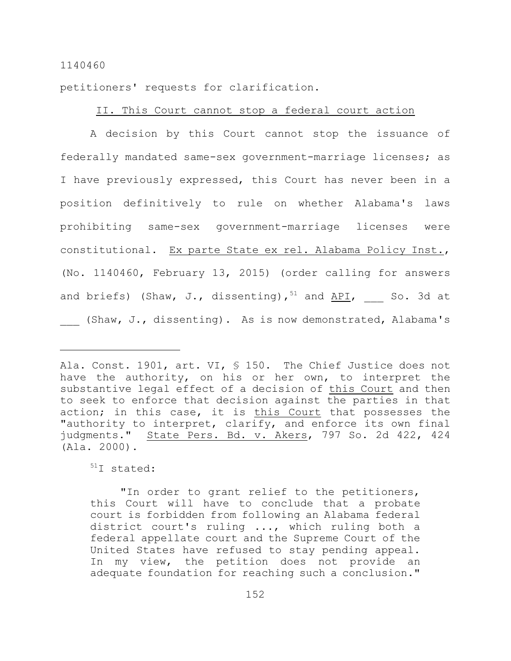petitioners' requests for clarification.

## II. This Court cannot stop a federal court action

A decision by this Court cannot stop the issuance of federally mandated same-sex government-marriage licenses; as I have previously expressed, this Court has never been in a position definitively to rule on whether Alabama's laws prohibiting same-sex government-marriage licenses were constitutional. Ex parte State ex rel. Alabama Policy Inst., (No. 1140460, February 13, 2015) (order calling for answers and briefs) (Shaw, J., dissenting),  $51$  and API, So. 3d at (Shaw, J., dissenting). As is now demonstrated, Alabama's

 $^{51}I$  stated:

"In order to grant relief to the petitioners, this Court will have to conclude that a probate court is forbidden from following an Alabama federal district court's ruling ..., which ruling both a federal appellate court and the Supreme Court of the United States have refused to stay pending appeal. In my view, the petition does not provide an adequate foundation for reaching such a conclusion."

Ala. Const. 1901, art. VI, § 150. The Chief Justice does not have the authority, on his or her own, to interpret the substantive legal effect of a decision of this Court and then to seek to enforce that decision against the parties in that action; in this case, it is this Court that possesses the "authority to interpret, clarify, and enforce its own final judgments." State Pers. Bd. v. Akers, 797 So. 2d 422, 424 (Ala. 2000).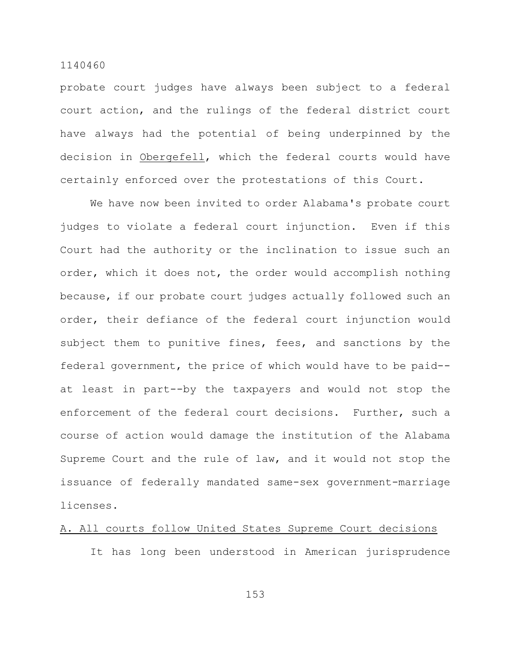probate court judges have always been subject to a federal court action, and the rulings of the federal district court have always had the potential of being underpinned by the decision in Obergefell, which the federal courts would have certainly enforced over the protestations of this Court.

We have now been invited to order Alabama's probate court judges to violate a federal court injunction. Even if this Court had the authority or the inclination to issue such an order, which it does not, the order would accomplish nothing because, if our probate court judges actually followed such an order, their defiance of the federal court injunction would subject them to punitive fines, fees, and sanctions by the federal government, the price of which would have to be paid- at least in part--by the taxpayers and would not stop the enforcement of the federal court decisions. Further, such a course of action would damage the institution of the Alabama Supreme Court and the rule of law, and it would not stop the issuance of federally mandated same-sex government-marriage licenses.

## A. All courts follow United States Supreme Court decisions

It has long been understood in American jurisprudence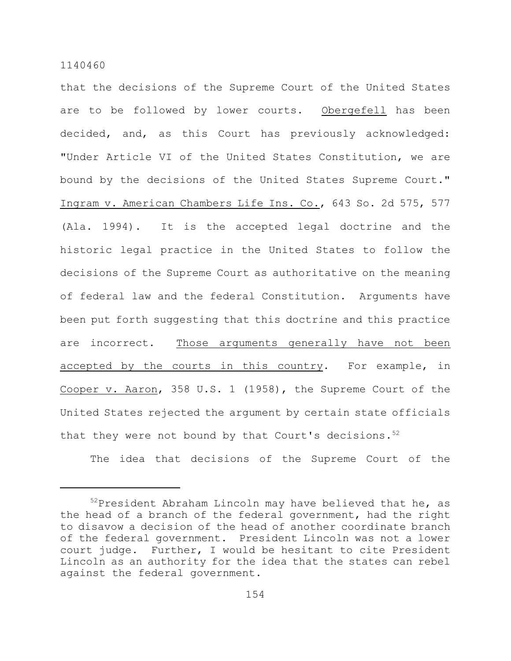that the decisions of the Supreme Court of the United States are to be followed by lower courts. Obergefell has been decided, and, as this Court has previously acknowledged: "Under Article VI of the United States Constitution, we are bound by the decisions of the United States Supreme Court." Ingram v. American Chambers Life Ins. Co., 643 So. 2d 575, 577 (Ala. 1994). It is the accepted legal doctrine and the historic legal practice in the United States to follow the decisions of the Supreme Court as authoritative on the meaning of federal law and the federal Constitution. Arguments have been put forth suggesting that this doctrine and this practice are incorrect. Those arguments generally have not been accepted by the courts in this country. For example, in Cooper v. Aaron, 358 U.S. 1 (1958), the Supreme Court of the United States rejected the argument by certain state officials that they were not bound by that Court's decisions. 52

The idea that decisions of the Supreme Court of the

 $52$ President Abraham Lincoln may have believed that he, as the head of a branch of the federal government, had the right to disavow a decision of the head of another coordinate branch of the federal government. President Lincoln was not a lower court judge. Further, I would be hesitant to cite President Lincoln as an authority for the idea that the states can rebel against the federal government.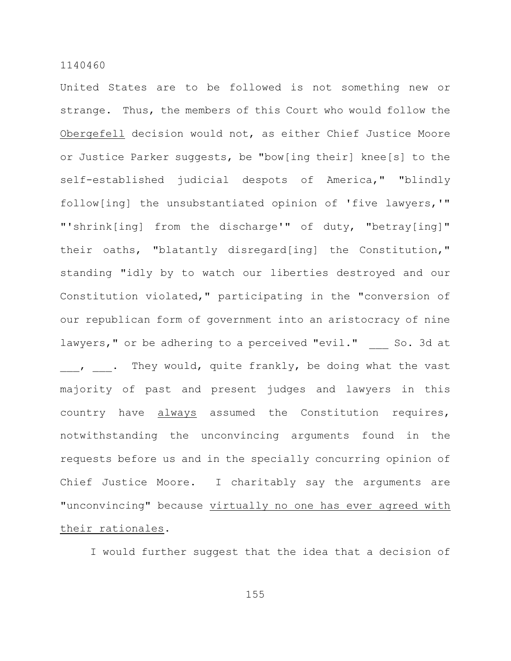United States are to be followed is not something new or strange. Thus, the members of this Court who would follow the Obergefell decision would not, as either Chief Justice Moore or Justice Parker suggests, be "bow[ing their] knee[s] to the self-established judicial despots of America," "blindly follow[ing] the unsubstantiated opinion of 'five lawyers,'" "'shrink[ing] from the discharge'" of duty, "betray[ing]" their oaths, "blatantly disregard[ing] the Constitution," standing "idly by to watch our liberties destroyed and our Constitution violated," participating in the "conversion of our republican form of government into an aristocracy of nine lawyers," or be adhering to a perceived "evil." So. 3d at , . They would, quite frankly, be doing what the vast majority of past and present judges and lawyers in this country have always assumed the Constitution requires, notwithstanding the unconvincing arguments found in the requests before us and in the specially concurring opinion of Chief Justice Moore. I charitably say the arguments are "unconvincing" because virtually no one has ever agreed with their rationales.

I would further suggest that the idea that a decision of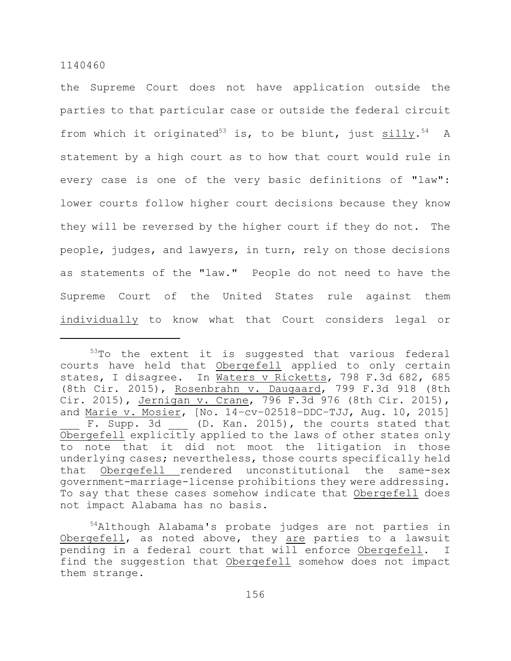the Supreme Court does not have application outside the parties to that particular case or outside the federal circuit from which it originated<sup>53</sup> is, to be blunt, just silly.<sup>54</sup> A statement by a high court as to how that court would rule in every case is one of the very basic definitions of "law": lower courts follow higher court decisions because they know they will be reversed by the higher court if they do not. The people, judges, and lawyers, in turn, rely on those decisions as statements of the "law." People do not need to have the Supreme Court of the United States rule against them individually to know what that Court considers legal or

 $53$ To the extent it is suggested that various federal courts have held that Obergefell applied to only certain states, I disagree. In Waters v Ricketts, 798 F.3d 682, 685 (8th Cir. 2015), Rosenbrahn v. Daugaard, 799 F.3d 918 (8th Cir. 2015), Jernigan v. Crane, 796 F.3d 976 (8th Cir. 2015), and Marie v. Mosier, [No. 14–cv–02518–DDC–TJJ, Aug. 10, 2015] F. Supp. 3d (D. Kan. 2015), the courts stated that Obergefell explicitly applied to the laws of other states only to note that it did not moot the litigation in those underlying cases; nevertheless, those courts specifically held that Obergefell rendered unconstitutional the same-sex government-marriage-license prohibitions they were addressing. To say that these cases somehow indicate that Obergefell does not impact Alabama has no basis.

 $54$ Although Alabama's probate judges are not parties in Obergefell, as noted above, they are parties to a lawsuit pending in a federal court that will enforce Obergefell. I find the suggestion that Obergefell somehow does not impact them strange.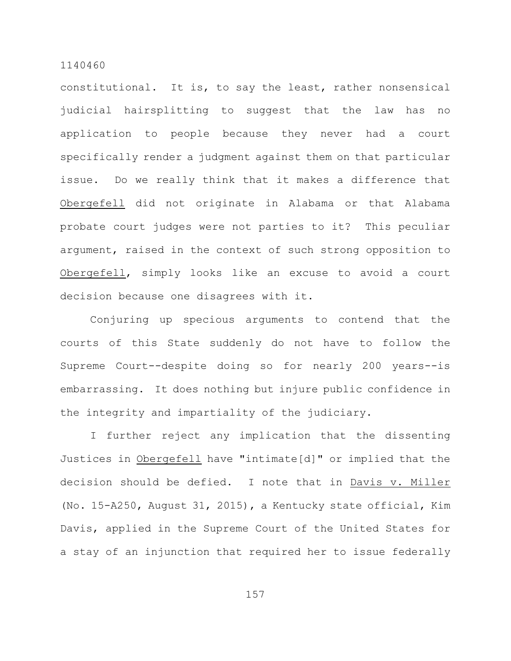constitutional. It is, to say the least, rather nonsensical judicial hairsplitting to suggest that the law has no application to people because they never had a court specifically render a judgment against them on that particular issue. Do we really think that it makes a difference that Obergefell did not originate in Alabama or that Alabama probate court judges were not parties to it? This peculiar argument, raised in the context of such strong opposition to Obergefell, simply looks like an excuse to avoid a court decision because one disagrees with it.

Conjuring up specious arguments to contend that the courts of this State suddenly do not have to follow the Supreme Court--despite doing so for nearly 200 years--is embarrassing. It does nothing but injure public confidence in the integrity and impartiality of the judiciary.

I further reject any implication that the dissenting Justices in Obergefell have "intimate[d]" or implied that the decision should be defied. I note that in Davis v. Miller (No. 15-A250, August 31, 2015), a Kentucky state official, Kim Davis, applied in the Supreme Court of the United States for a stay of an injunction that required her to issue federally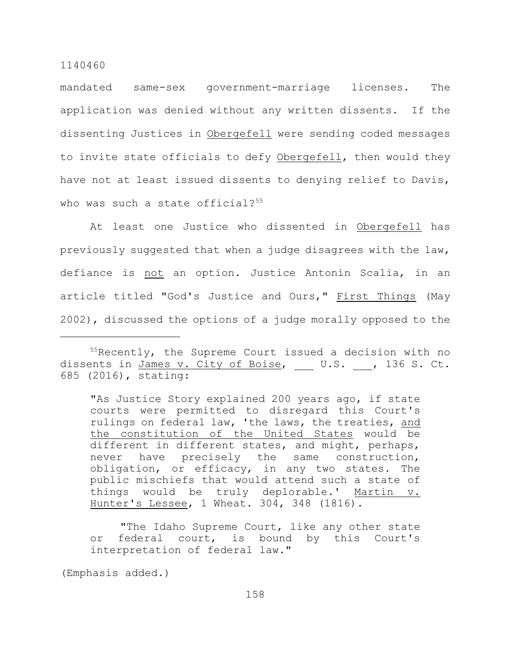mandated same-sex government-marriage licenses. The application was denied without any written dissents. If the dissenting Justices in Obergefell were sending coded messages to invite state officials to defy Obergefell, then would they have not at least issued dissents to denying relief to Davis, who was such a state official? $55$ 

At least one Justice who dissented in Obergefell has previously suggested that when a judge disagrees with the law, defiance is not an option. Justice Antonin Scalia, in an article titled "God's Justice and Ours," First Things (May 2002), discussed the options of a judge morally opposed to the

"As Justice Story explained 200 years ago, if state courts were permitted to disregard this Court's rulings on federal law, 'the laws, the treaties, and the constitution of the United States would be different in different states, and might, perhaps, never have precisely the same construction, obligation, or efficacy, in any two states. The public mischiefs that would attend such a state of things would be truly deplorable.' Martin v. Hunter's Lessee, 1 Wheat. 304, 348 (1816).

"The Idaho Supreme Court, like any other state or federal court, is bound by this Court's interpretation of federal law."

(Emphasis added.)

 $55$ Recently, the Supreme Court issued a decision with no dissents in James v. City of Boise, \_\_\_ U.S. \_\_, 136 S. Ct. 685 (2016), stating: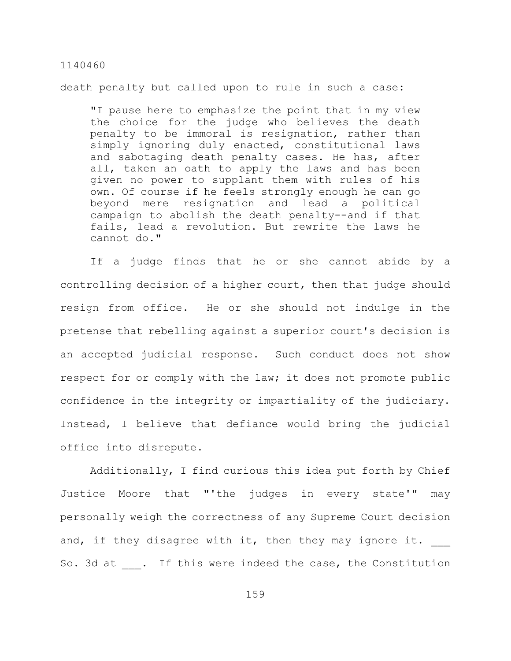death penalty but called upon to rule in such a case:

"I pause here to emphasize the point that in my view the choice for the judge who believes the death penalty to be immoral is resignation, rather than simply ignoring duly enacted, constitutional laws and sabotaging death penalty cases. He has, after all, taken an oath to apply the laws and has been given no power to supplant them with rules of his own. Of course if he feels strongly enough he can go beyond mere resignation and lead a political campaign to abolish the death penalty--and if that fails, lead a revolution. But rewrite the laws he cannot do."

If a judge finds that he or she cannot abide by a controlling decision of a higher court, then that judge should resign from office. He or she should not indulge in the pretense that rebelling against a superior court's decision is an accepted judicial response. Such conduct does not show respect for or comply with the law; it does not promote public confidence in the integrity or impartiality of the judiciary. Instead, I believe that defiance would bring the judicial office into disrepute.

Additionally, I find curious this idea put forth by Chief Justice Moore that "'the judges in every state'" may personally weigh the correctness of any Supreme Court decision and, if they disagree with it, then they may ignore it. So. 3d at . If this were indeed the case, the Constitution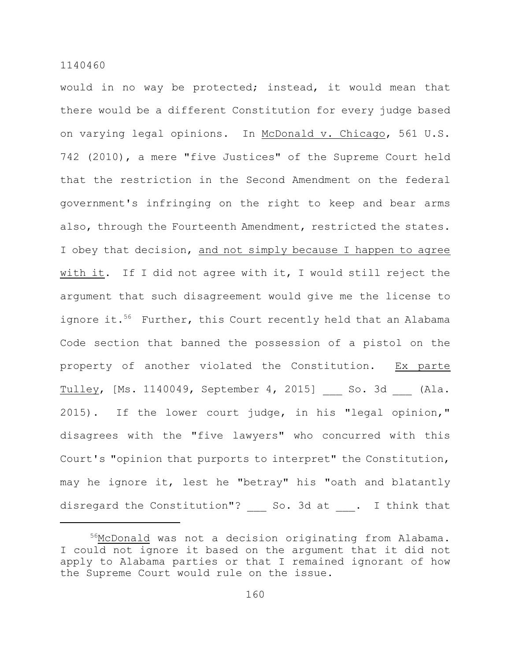would in no way be protected; instead, it would mean that there would be a different Constitution for every judge based on varying legal opinions. In McDonald v. Chicago, 561 U.S. 742 (2010), a mere "five Justices" of the Supreme Court held that the restriction in the Second Amendment on the federal government's infringing on the right to keep and bear arms also, through the Fourteenth Amendment, restricted the states. I obey that decision, and not simply because I happen to agree with it. If I did not agree with it, I would still reject the argument that such disagreement would give me the license to ignore it.<sup>56</sup> Further, this Court recently held that an Alabama Code section that banned the possession of a pistol on the property of another violated the Constitution. Ex parte Tulley, [Ms. 1140049, September 4, 2015] So. 3d (Ala. 2015). If the lower court judge, in his "legal opinion," disagrees with the "five lawyers" who concurred with this Court's "opinion that purports to interpret" the Constitution, may he ignore it, lest he "betray" his "oath and blatantly disregard the Constitution"? So. 3d at . I think that

<sup>&</sup>lt;sup>56</sup>McDonald was not a decision originating from Alabama. I could not ignore it based on the argument that it did not apply to Alabama parties or that I remained ignorant of how the Supreme Court would rule on the issue.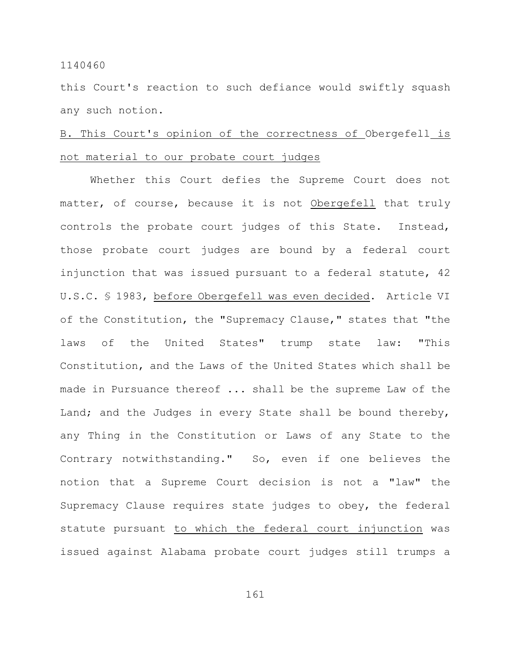this Court's reaction to such defiance would swiftly squash any such notion.

# B. This Court's opinion of the correctness of Obergefell is not material to our probate court judges

Whether this Court defies the Supreme Court does not matter, of course, because it is not Obergefell that truly controls the probate court judges of this State. Instead, those probate court judges are bound by a federal court injunction that was issued pursuant to a federal statute, 42 U.S.C. § 1983, before Obergefell was even decided. Article VI of the Constitution, the "Supremacy Clause," states that "the laws of the United States" trump state law: "This Constitution, and the Laws of the United States which shall be made in Pursuance thereof ... shall be the supreme Law of the Land; and the Judges in every State shall be bound thereby, any Thing in the Constitution or Laws of any State to the Contrary notwithstanding." So, even if one believes the notion that a Supreme Court decision is not a "law" the Supremacy Clause requires state judges to obey, the federal statute pursuant to which the federal court injunction was issued against Alabama probate court judges still trumps a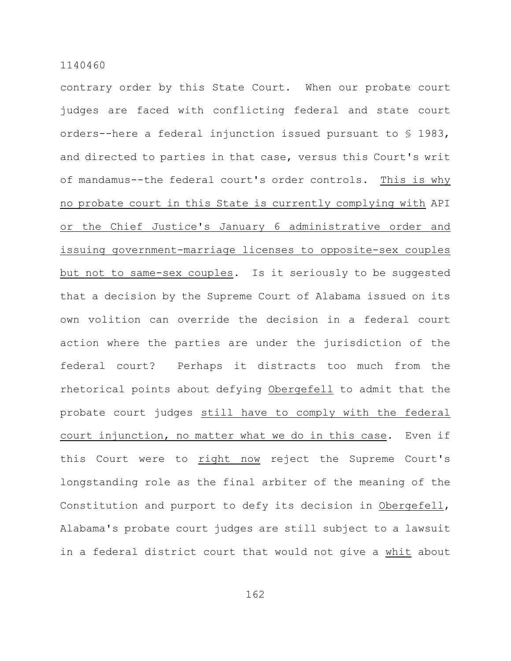contrary order by this State Court. When our probate court judges are faced with conflicting federal and state court orders--here a federal injunction issued pursuant to § 1983, and directed to parties in that case, versus this Court's writ of mandamus--the federal court's order controls. This is why no probate court in this State is currently complying with API or the Chief Justice's January 6 administrative order and issuing government-marriage licenses to opposite-sex couples but not to same-sex couples. Is it seriously to be suggested that a decision by the Supreme Court of Alabama issued on its own volition can override the decision in a federal court action where the parties are under the jurisdiction of the federal court? Perhaps it distracts too much from the rhetorical points about defying Obergefell to admit that the probate court judges still have to comply with the federal court injunction, no matter what we do in this case. Even if this Court were to right now reject the Supreme Court's longstanding role as the final arbiter of the meaning of the Constitution and purport to defy its decision in Obergefell, Alabama's probate court judges are still subject to a lawsuit in a federal district court that would not give a whit about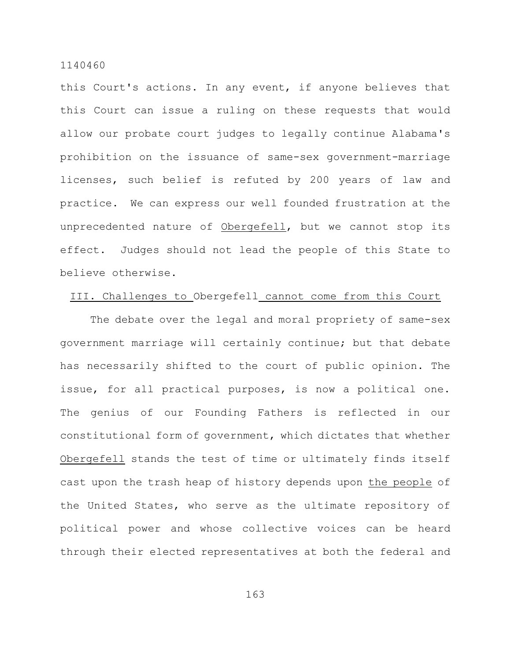this Court's actions. In any event, if anyone believes that this Court can issue a ruling on these requests that would allow our probate court judges to legally continue Alabama's prohibition on the issuance of same-sex government-marriage licenses, such belief is refuted by 200 years of law and practice. We can express our well founded frustration at the unprecedented nature of Obergefell, but we cannot stop its effect. Judges should not lead the people of this State to believe otherwise.

## III. Challenges to Obergefell cannot come from this Court

The debate over the legal and moral propriety of same-sex government marriage will certainly continue; but that debate has necessarily shifted to the court of public opinion. The issue, for all practical purposes, is now a political one. The genius of our Founding Fathers is reflected in our constitutional form of government, which dictates that whether Obergefell stands the test of time or ultimately finds itself cast upon the trash heap of history depends upon the people of the United States, who serve as the ultimate repository of political power and whose collective voices can be heard through their elected representatives at both the federal and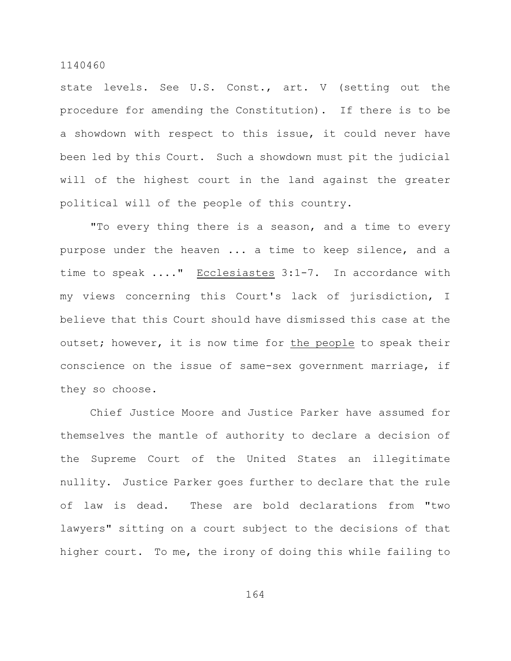state levels. See U.S. Const., art. V (setting out the procedure for amending the Constitution). If there is to be a showdown with respect to this issue, it could never have been led by this Court. Such a showdown must pit the judicial will of the highest court in the land against the greater political will of the people of this country.

"To every thing there is a season, and a time to every purpose under the heaven ... a time to keep silence, and a time to speak ...." Ecclesiastes 3:1-7. In accordance with my views concerning this Court's lack of jurisdiction, I believe that this Court should have dismissed this case at the outset; however, it is now time for the people to speak their conscience on the issue of same-sex government marriage, if they so choose.

Chief Justice Moore and Justice Parker have assumed for themselves the mantle of authority to declare a decision of the Supreme Court of the United States an illegitimate nullity. Justice Parker goes further to declare that the rule of law is dead. These are bold declarations from "two lawyers" sitting on a court subject to the decisions of that higher court. To me, the irony of doing this while failing to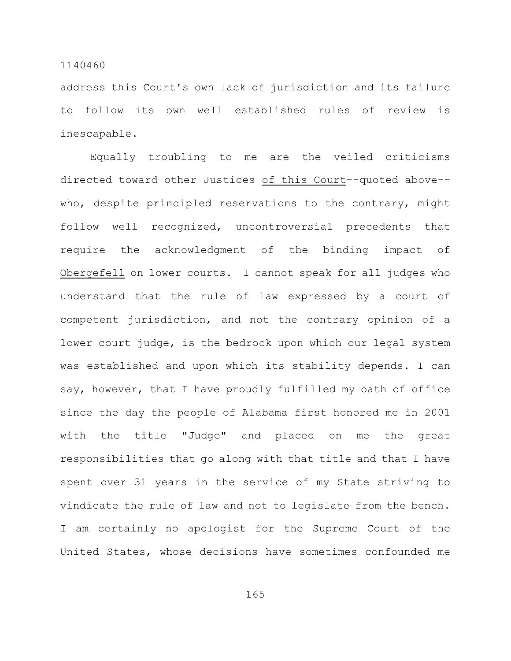address this Court's own lack of jurisdiction and its failure to follow its own well established rules of review is inescapable.

Equally troubling to me are the veiled criticisms directed toward other Justices of this Court--quoted above- who, despite principled reservations to the contrary, might follow well recognized, uncontroversial precedents that require the acknowledgment of the binding impact of Obergefell on lower courts. I cannot speak for all judges who understand that the rule of law expressed by a court of competent jurisdiction, and not the contrary opinion of a lower court judge, is the bedrock upon which our legal system was established and upon which its stability depends. I can say, however, that I have proudly fulfilled my oath of office since the day the people of Alabama first honored me in 2001 with the title "Judge" and placed on me the great responsibilities that go along with that title and that I have spent over 31 years in the service of my State striving to vindicate the rule of law and not to legislate from the bench. I am certainly no apologist for the Supreme Court of the United States, whose decisions have sometimes confounded me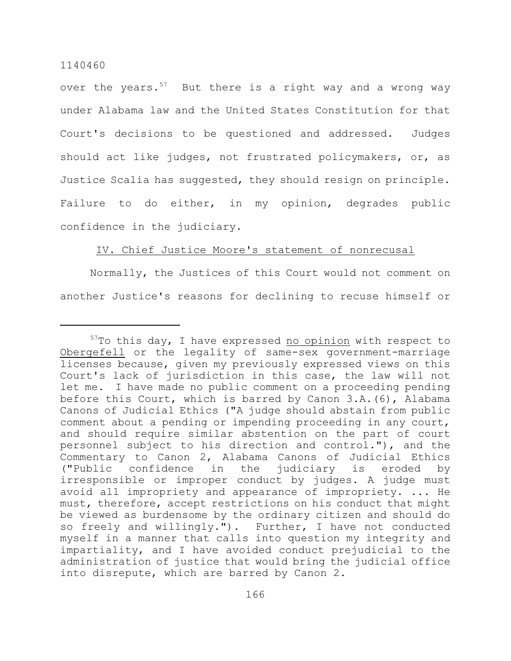over the years. $57$  But there is a right way and a wrong way under Alabama law and the United States Constitution for that Court's decisions to be questioned and addressed. Judges should act like judges, not frustrated policymakers, or, as Justice Scalia has suggested, they should resign on principle. Failure to do either, in my opinion, degrades public confidence in the judiciary.

## IV. Chief Justice Moore's statement of nonrecusal

Normally, the Justices of this Court would not comment on another Justice's reasons for declining to recuse himself or

 $57$ To this day, I have expressed no opinion with respect to Obergefell or the legality of same-sex government-marriage licenses because, given my previously expressed views on this Court's lack of jurisdiction in this case, the law will not let me. I have made no public comment on a proceeding pending before this Court, which is barred by Canon 3.A.(6), Alabama Canons of Judicial Ethics ("A judge should abstain from public comment about a pending or impending proceeding in any court, and should require similar abstention on the part of court personnel subject to his direction and control."), and the Commentary to Canon 2, Alabama Canons of Judicial Ethics ("Public confidence in the judiciary is eroded by irresponsible or improper conduct by judges. A judge must avoid all impropriety and appearance of impropriety. ... He must, therefore, accept restrictions on his conduct that might be viewed as burdensome by the ordinary citizen and should do so freely and willingly."). Further, I have not conducted myself in a manner that calls into question my integrity and impartiality, and I have avoided conduct prejudicial to the administration of justice that would bring the judicial office into disrepute, which are barred by Canon 2.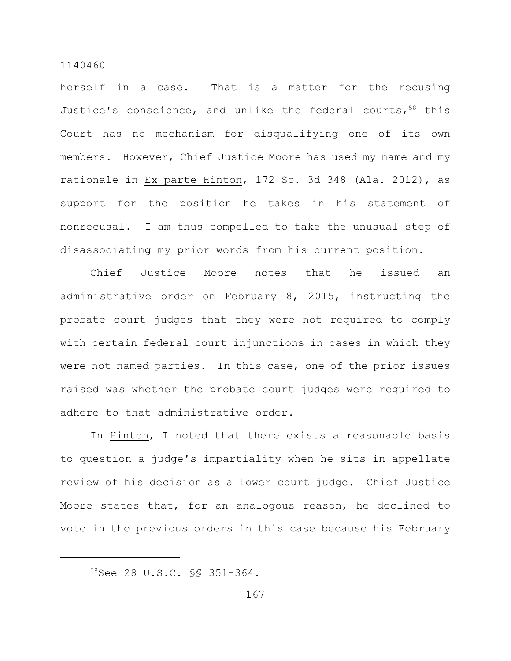herself in a case. That is a matter for the recusing Justice's conscience, and unlike the federal courts,  $58$  this Court has no mechanism for disqualifying one of its own members. However, Chief Justice Moore has used my name and my rationale in Ex parte Hinton, 172 So. 3d 348 (Ala. 2012), as support for the position he takes in his statement of nonrecusal. I am thus compelled to take the unusual step of disassociating my prior words from his current position.

Chief Justice Moore notes that he issued an administrative order on February 8, 2015, instructing the probate court judges that they were not required to comply with certain federal court injunctions in cases in which they were not named parties. In this case, one of the prior issues raised was whether the probate court judges were required to adhere to that administrative order.

In Hinton, I noted that there exists a reasonable basis to question a judge's impartiality when he sits in appellate review of his decision as a lower court judge. Chief Justice Moore states that, for an analogous reason, he declined to vote in the previous orders in this case because his February

<sup>58</sup> See 28 U.S.C. §§ 351-364.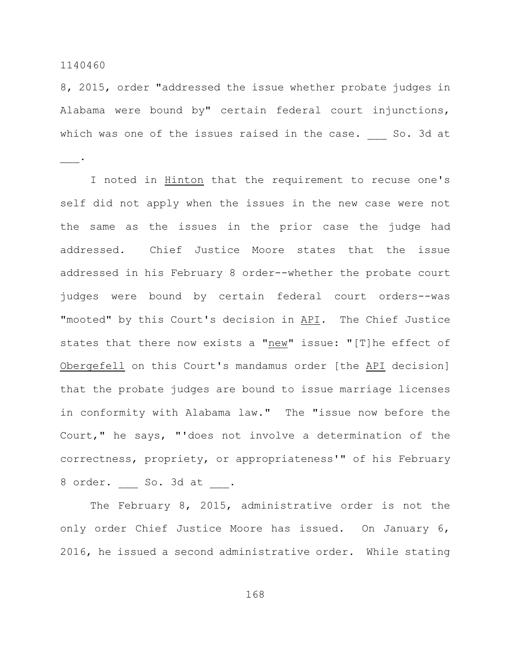\_\_\_.

8, 2015, order "addressed the issue whether probate judges in Alabama were bound by" certain federal court injunctions, which was one of the issues raised in the case. So. 3d at

I noted in Hinton that the requirement to recuse one's self did not apply when the issues in the new case were not the same as the issues in the prior case the judge had addressed. Chief Justice Moore states that the issue addressed in his February 8 order--whether the probate court judges were bound by certain federal court orders--was "mooted" by this Court's decision in API. The Chief Justice states that there now exists a "new" issue: "[T]he effect of Obergefell on this Court's mandamus order [the API decision] that the probate judges are bound to issue marriage licenses in conformity with Alabama law." The "issue now before the Court," he says, "'does not involve a determination of the correctness, propriety, or appropriateness'" of his February 8 order. So. 3d at .

The February 8, 2015, administrative order is not the only order Chief Justice Moore has issued. On January 6, 2016, he issued a second administrative order. While stating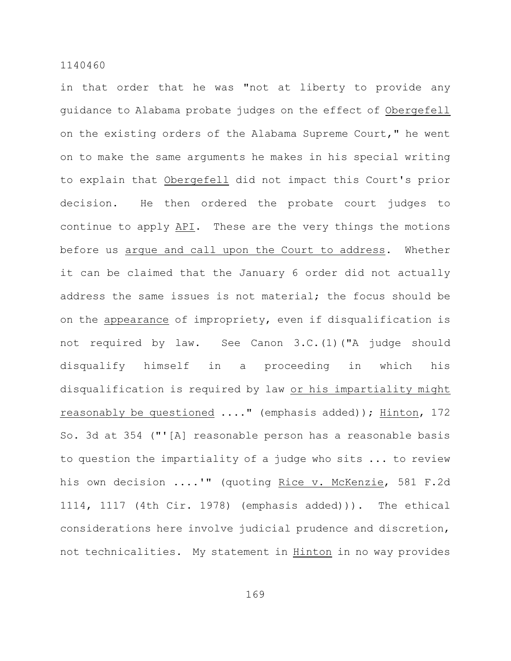in that order that he was "not at liberty to provide any guidance to Alabama probate judges on the effect of Obergefell on the existing orders of the Alabama Supreme Court," he went on to make the same arguments he makes in his special writing to explain that Obergefell did not impact this Court's prior decision. He then ordered the probate court judges to continue to apply API. These are the very things the motions before us argue and call upon the Court to address. Whether it can be claimed that the January 6 order did not actually address the same issues is not material; the focus should be on the appearance of impropriety, even if disqualification is not required by law. See Canon 3.C.(1)("A judge should disqualify himself in a proceeding in which his disqualification is required by law or his impartiality might reasonably be questioned ...." (emphasis added)); Hinton, 172 So. 3d at 354 ("'[A] reasonable person has a reasonable basis to question the impartiality of a judge who sits ... to review his own decision ....'" (quoting Rice v. McKenzie, 581 F.2d 1114, 1117 (4th Cir. 1978) (emphasis added))). The ethical considerations here involve judicial prudence and discretion, not technicalities. My statement in Hinton in no way provides